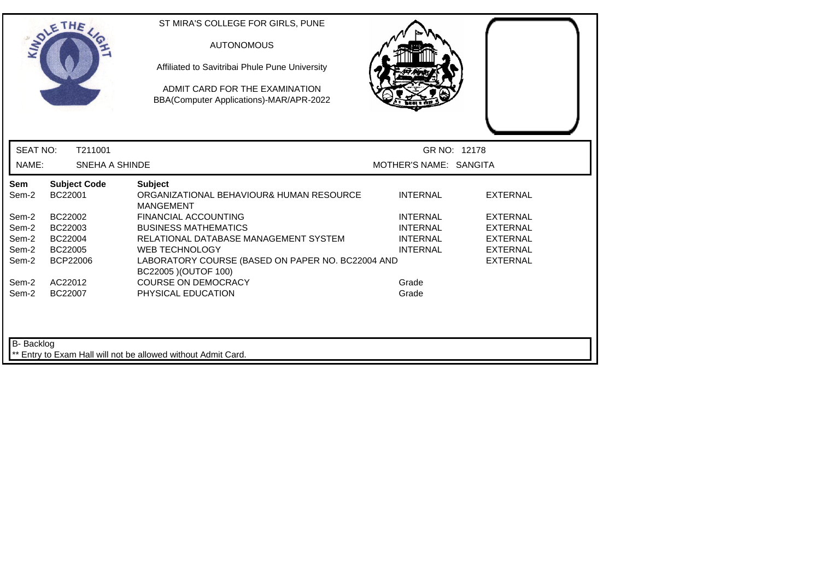|                 | <b>SOLETHE</b>                 | ST MIRA'S COLLEGE FOR GIRLS, PUNE<br><b>AUTONOMOUS</b><br>Affiliated to Savitribai Phule Pune University<br>ADMIT CARD FOR THE EXAMINATION<br>BBA(Computer Applications)-MAR/APR-2022 |                        |                 |
|-----------------|--------------------------------|---------------------------------------------------------------------------------------------------------------------------------------------------------------------------------------|------------------------|-----------------|
| <b>SEAT NO:</b> | T211001                        |                                                                                                                                                                                       | GR NO: 12178           |                 |
| NAME:           | SNEHA A SHINDE                 |                                                                                                                                                                                       | MOTHER'S NAME: SANGITA |                 |
| Sem<br>Sem-2    | <b>Subject Code</b><br>BC22001 | <b>Subject</b><br>ORGANIZATIONAL BEHAVIOUR& HUMAN RESOURCE<br><b>MANGEMENT</b>                                                                                                        | <b>INTERNAL</b>        | <b>EXTERNAL</b> |
| Sem-2           | BC22002                        | <b>FINANCIAL ACCOUNTING</b>                                                                                                                                                           | <b>INTERNAL</b>        | <b>EXTERNAL</b> |
| Sem-2           | BC22003                        | <b>BUSINESS MATHEMATICS</b>                                                                                                                                                           | <b>INTERNAL</b>        | <b>EXTERNAL</b> |
| Sem-2           | BC22004                        | RELATIONAL DATABASE MANAGEMENT SYSTEM                                                                                                                                                 | <b>INTERNAL</b>        | <b>EXTERNAL</b> |
| Sem-2           | BC22005                        | <b>WEB TECHNOLOGY</b>                                                                                                                                                                 | <b>INTERNAL</b>        | <b>EXTERNAL</b> |
| Sem-2           | BCP22006                       | LABORATORY COURSE (BASED ON PAPER NO. BC22004 AND<br>BC22005 ) (OUTOF 100)                                                                                                            |                        | <b>EXTERNAL</b> |
| Sem-2           | AC22012                        | <b>COURSE ON DEMOCRACY</b>                                                                                                                                                            | Grade                  |                 |
| Sem-2           | BC22007                        | PHYSICAL EDUCATION                                                                                                                                                                    | Grade                  |                 |
| B- Backlog      |                                | ** Entry to Exam Hall will not be allowed without Admit Card.                                                                                                                         |                        |                 |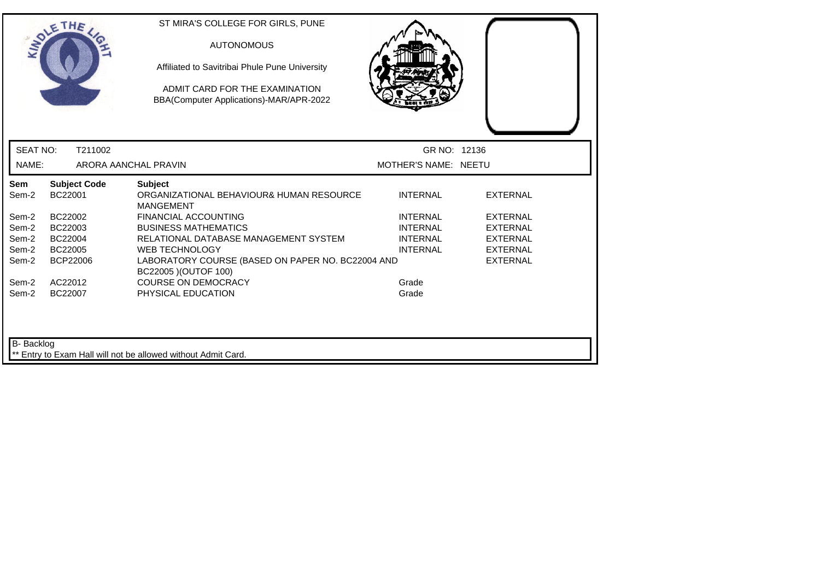|                   | <b>SOLETHE</b>                 | ST MIRA'S COLLEGE FOR GIRLS, PUNE<br><b>AUTONOMOUS</b><br>Affiliated to Savitribai Phule Pune University<br>ADMIT CARD FOR THE EXAMINATION<br>BBA(Computer Applications)-MAR/APR-2022 |                      |                 |
|-------------------|--------------------------------|---------------------------------------------------------------------------------------------------------------------------------------------------------------------------------------|----------------------|-----------------|
| <b>SEAT NO:</b>   | T211002                        |                                                                                                                                                                                       | GR NO: 12136         |                 |
| NAME:             |                                | ARORA AANCHAL PRAVIN                                                                                                                                                                  | MOTHER'S NAME: NEETU |                 |
| Sem<br>Sem-2      | <b>Subject Code</b><br>BC22001 | <b>Subject</b><br>ORGANIZATIONAL BEHAVIOUR& HUMAN RESOURCE<br><b>MANGEMENT</b>                                                                                                        | <b>INTERNAL</b>      | <b>EXTERNAL</b> |
| Sem-2             | BC22002                        | <b>FINANCIAL ACCOUNTING</b>                                                                                                                                                           | <b>INTERNAL</b>      | <b>EXTERNAL</b> |
| Sem-2             | BC22003                        | <b>BUSINESS MATHEMATICS</b>                                                                                                                                                           | <b>INTERNAL</b>      | <b>EXTERNAL</b> |
| Sem-2             | BC22004                        | RELATIONAL DATABASE MANAGEMENT SYSTEM                                                                                                                                                 | <b>INTERNAL</b>      | <b>EXTERNAL</b> |
| Sem-2             | BC22005                        | <b>WEB TECHNOLOGY</b>                                                                                                                                                                 | <b>INTERNAL</b>      | <b>EXTERNAL</b> |
| Sem-2             | <b>BCP22006</b>                | LABORATORY COURSE (BASED ON PAPER NO. BC22004 AND<br>BC22005 ) (OUTOF 100)                                                                                                            |                      | <b>EXTERNAL</b> |
| Sem-2             | AC22012                        | <b>COURSE ON DEMOCRACY</b>                                                                                                                                                            | Grade                |                 |
| Sem-2             | BC22007                        | PHYSICAL EDUCATION                                                                                                                                                                    | Grade                |                 |
| <b>B-</b> Backlog |                                | ** Entry to Exam Hall will not be allowed without Admit Card.                                                                                                                         |                      |                 |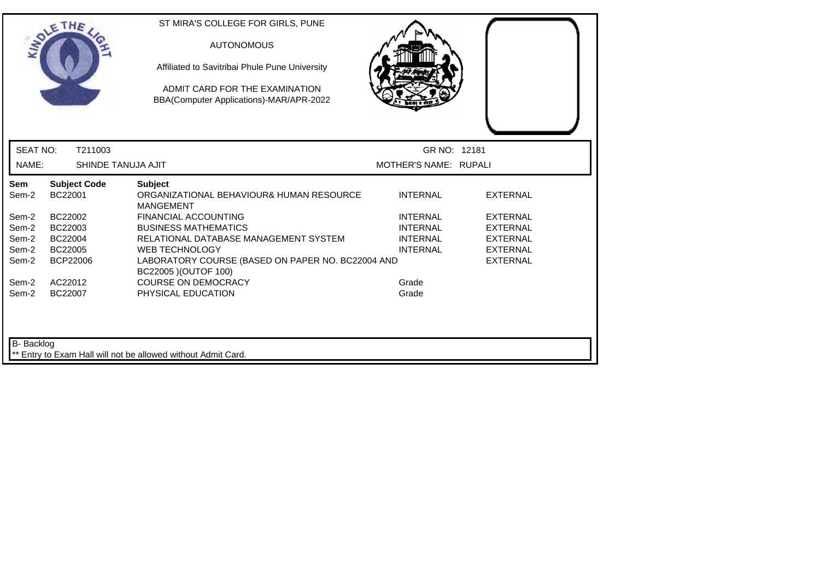|                 | THE                            | ST MIRA'S COLLEGE FOR GIRLS, PUNE<br><b>AUTONOMOUS</b><br>Affiliated to Savitribai Phule Pune University<br>ADMIT CARD FOR THE EXAMINATION<br>BBA(Computer Applications)-MAR/APR-2022 |                       |                 |
|-----------------|--------------------------------|---------------------------------------------------------------------------------------------------------------------------------------------------------------------------------------|-----------------------|-----------------|
| <b>SEAT NO:</b> | T211003                        |                                                                                                                                                                                       | GR NO: 12181          |                 |
| NAME:           | SHINDE TANUJA AJIT             |                                                                                                                                                                                       | MOTHER'S NAME: RUPALI |                 |
| Sem<br>Sem-2    | <b>Subject Code</b><br>BC22001 | <b>Subject</b><br>ORGANIZATIONAL BEHAVIOUR& HUMAN RESOURCE<br><b>MANGEMENT</b>                                                                                                        | <b>INTERNAL</b>       | <b>EXTERNAL</b> |
| Sem-2           | BC22002                        | <b>FINANCIAL ACCOUNTING</b>                                                                                                                                                           | <b>INTERNAL</b>       | <b>EXTERNAL</b> |
| Sem-2           | BC22003                        | <b>BUSINESS MATHEMATICS</b>                                                                                                                                                           | <b>INTERNAL</b>       | <b>EXTERNAL</b> |
| Sem-2           | BC22004                        | RELATIONAL DATABASE MANAGEMENT SYSTEM                                                                                                                                                 | <b>INTERNAL</b>       | <b>EXTERNAL</b> |
| Sem-2           | BC22005                        | <b>WEB TECHNOLOGY</b>                                                                                                                                                                 | <b>INTERNAL</b>       | <b>EXTERNAL</b> |
| Sem-2           | <b>BCP22006</b>                | LABORATORY COURSE (BASED ON PAPER NO. BC22004 AND<br>BC22005 ) (OUTOF 100)                                                                                                            |                       | <b>EXTERNAL</b> |
| Sem-2           | AC22012                        | <b>COURSE ON DEMOCRACY</b>                                                                                                                                                            | Grade                 |                 |
| Sem-2           | BC22007                        | PHYSICAL EDUCATION                                                                                                                                                                    | Grade                 |                 |
| B- Backlog      |                                | Entry to Exam Hall will not be allowed without Admit Card.                                                                                                                            |                       |                 |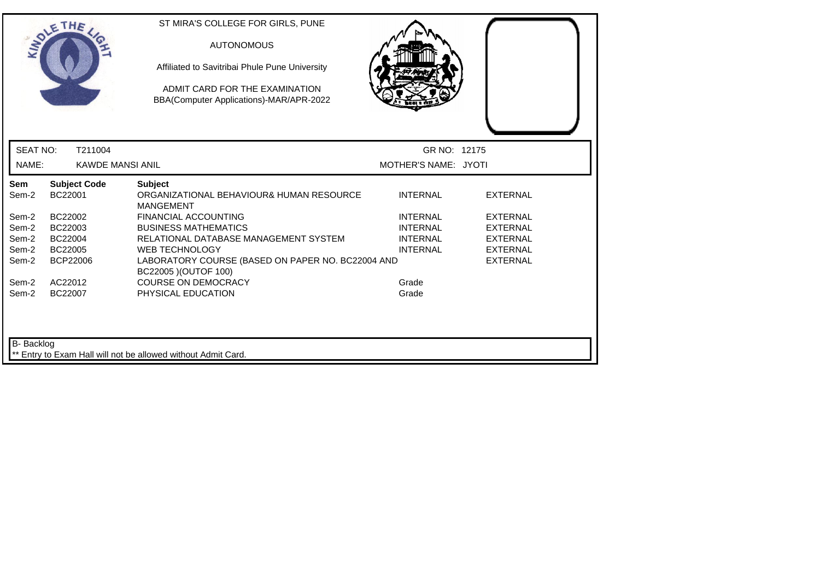|                 | THE                            | ST MIRA'S COLLEGE FOR GIRLS, PUNE<br><b>AUTONOMOUS</b><br>Affiliated to Savitribai Phule Pune University<br>ADMIT CARD FOR THE EXAMINATION<br>BBA(Computer Applications)-MAR/APR-2022 |                      |                 |
|-----------------|--------------------------------|---------------------------------------------------------------------------------------------------------------------------------------------------------------------------------------|----------------------|-----------------|
| <b>SEAT NO:</b> | T211004                        |                                                                                                                                                                                       | GR NO: 12175         |                 |
| NAME:           | <b>KAWDE MANSI ANIL</b>        |                                                                                                                                                                                       | MOTHER'S NAME: JYOTI |                 |
| Sem<br>Sem-2    | <b>Subject Code</b><br>BC22001 | <b>Subject</b><br>ORGANIZATIONAL BEHAVIOUR& HUMAN RESOURCE<br><b>MANGEMENT</b>                                                                                                        | <b>INTERNAL</b>      | <b>EXTERNAL</b> |
| Sem-2           | BC22002                        | <b>FINANCIAL ACCOUNTING</b>                                                                                                                                                           | <b>INTERNAL</b>      | <b>EXTERNAL</b> |
| Sem-2           | BC22003                        | <b>BUSINESS MATHEMATICS</b>                                                                                                                                                           | <b>INTERNAL</b>      | <b>EXTERNAL</b> |
| Sem-2           | BC22004                        | RELATIONAL DATABASE MANAGEMENT SYSTEM                                                                                                                                                 | <b>INTERNAL</b>      | <b>EXTERNAL</b> |
| Sem-2           | BC22005                        | <b>WEB TECHNOLOGY</b>                                                                                                                                                                 | <b>INTERNAL</b>      | <b>EXTERNAL</b> |
| Sem-2           | <b>BCP22006</b>                | LABORATORY COURSE (BASED ON PAPER NO. BC22004 AND<br>BC22005 ) (OUTOF 100)                                                                                                            |                      | <b>EXTERNAL</b> |
| Sem-2           | AC22012                        | <b>COURSE ON DEMOCRACY</b>                                                                                                                                                            | Grade                |                 |
| Sem-2           | BC22007                        | PHYSICAL EDUCATION                                                                                                                                                                    | Grade                |                 |
| B- Backlog      |                                | Entry to Exam Hall will not be allowed without Admit Card.                                                                                                                            |                      |                 |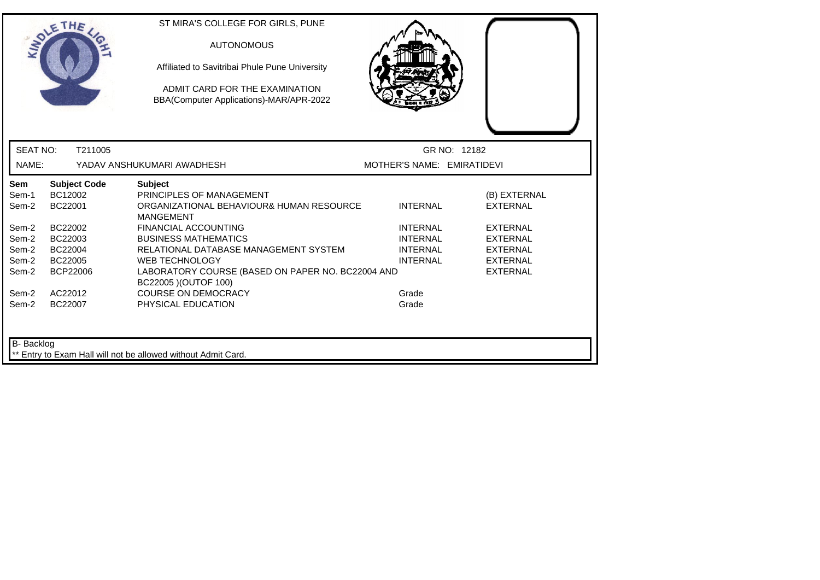|                                  | THE                                       | ST MIRA'S COLLEGE FOR GIRLS, PUNE<br><b>AUTONOMOUS</b><br>Affiliated to Savitribai Phule Pune University<br>ADMIT CARD FOR THE EXAMINATION<br>BBA(Computer Applications)-MAR/APR-2022 |                                                                          |                                                                          |
|----------------------------------|-------------------------------------------|---------------------------------------------------------------------------------------------------------------------------------------------------------------------------------------|--------------------------------------------------------------------------|--------------------------------------------------------------------------|
| <b>SEAT NO:</b>                  | T211005                                   |                                                                                                                                                                                       | GR NO: 12182                                                             |                                                                          |
| NAME:                            |                                           | YADAV ANSHUKUMARI AWADHESH                                                                                                                                                            | MOTHER'S NAME: EMIRATIDEVI                                               |                                                                          |
| Sem<br>Sem-1<br>Sem-2            | <b>Subject Code</b><br>BC12002<br>BC22001 | <b>Subject</b><br>PRINCIPLES OF MANAGEMENT<br>ORGANIZATIONAL BEHAVIOUR& HUMAN RESOURCE<br><b>MANGEMENT</b>                                                                            | <b>INTERNAL</b>                                                          | (B) EXTERNAL<br><b>EXTERNAL</b>                                          |
| Sem-2<br>Sem-2<br>Sem-2<br>Sem-2 | BC22002<br>BC22003<br>BC22004<br>BC22005  | <b>FINANCIAL ACCOUNTING</b><br><b>BUSINESS MATHEMATICS</b><br>RELATIONAL DATABASE MANAGEMENT SYSTEM<br><b>WEB TECHNOLOGY</b>                                                          | <b>INTERNAL</b><br><b>INTERNAL</b><br><b>INTERNAL</b><br><b>INTERNAL</b> | <b>EXTERNAL</b><br><b>EXTERNAL</b><br><b>EXTERNAL</b><br><b>EXTERNAL</b> |
| Sem-2<br>Sem-2<br>Sem-2          | BCP22006<br>AC22012<br>BC22007            | LABORATORY COURSE (BASED ON PAPER NO. BC22004 AND<br>BC22005 ) (OUTOF 100)<br><b>COURSE ON DEMOCRACY</b><br>PHYSICAL EDUCATION                                                        | Grade<br>Grade                                                           | <b>EXTERNAL</b>                                                          |
| B- Backlog                       |                                           | ** Entry to Exam Hall will not be allowed without Admit Card.                                                                                                                         |                                                                          |                                                                          |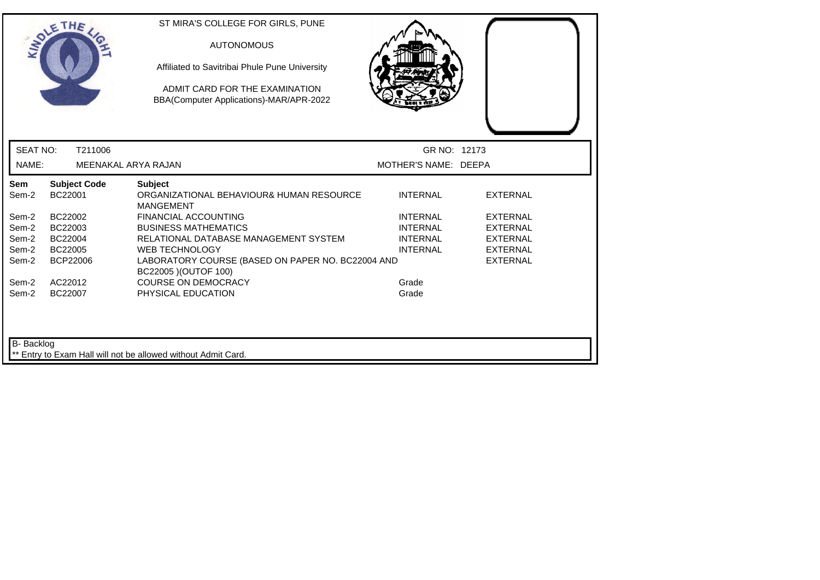|                   | OLETHE                         | ST MIRA'S COLLEGE FOR GIRLS, PUNE<br><b>AUTONOMOUS</b><br>Affiliated to Savitribai Phule Pune University<br>ADMIT CARD FOR THE EXAMINATION<br>BBA(Computer Applications)-MAR/APR-2022 |                      |                 |  |
|-------------------|--------------------------------|---------------------------------------------------------------------------------------------------------------------------------------------------------------------------------------|----------------------|-----------------|--|
| <b>SEAT NO:</b>   | T211006                        |                                                                                                                                                                                       | GR NO: 12173         |                 |  |
| NAME:             | MEENAKAL ARYA RAJAN            |                                                                                                                                                                                       | MOTHER'S NAME: DEEPA |                 |  |
| Sem<br>Sem-2      | <b>Subject Code</b><br>BC22001 | <b>Subject</b><br>ORGANIZATIONAL BEHAVIOUR& HUMAN RESOURCE<br><b>MANGEMENT</b>                                                                                                        | <b>INTERNAL</b>      | <b>EXTERNAL</b> |  |
| Sem-2             | BC22002                        | <b>FINANCIAL ACCOUNTING</b>                                                                                                                                                           | <b>INTERNAL</b>      | <b>EXTERNAL</b> |  |
| Sem-2             | BC22003                        | <b>BUSINESS MATHEMATICS</b>                                                                                                                                                           | <b>INTERNAL</b>      | EXTERNAL        |  |
| Sem-2             | BC22004                        | RELATIONAL DATABASE MANAGEMENT SYSTEM                                                                                                                                                 | <b>INTERNAL</b>      | <b>EXTERNAL</b> |  |
| Sem-2             | BC22005                        | <b>WEB TECHNOLOGY</b>                                                                                                                                                                 | <b>INTERNAL</b>      | <b>EXTERNAL</b> |  |
| Sem-2             | <b>BCP22006</b>                | LABORATORY COURSE (BASED ON PAPER NO. BC22004 AND<br>BC22005 ) (OUTOF 100)                                                                                                            |                      | <b>EXTERNAL</b> |  |
| Sem-2             | AC22012                        | <b>COURSE ON DEMOCRACY</b>                                                                                                                                                            | Grade                |                 |  |
| Sem-2             | BC22007                        | PHYSICAL EDUCATION                                                                                                                                                                    | Grade                |                 |  |
| <b>B-</b> Backlog |                                | ** Entry to Exam Hall will not be allowed without Admit Card.                                                                                                                         |                      |                 |  |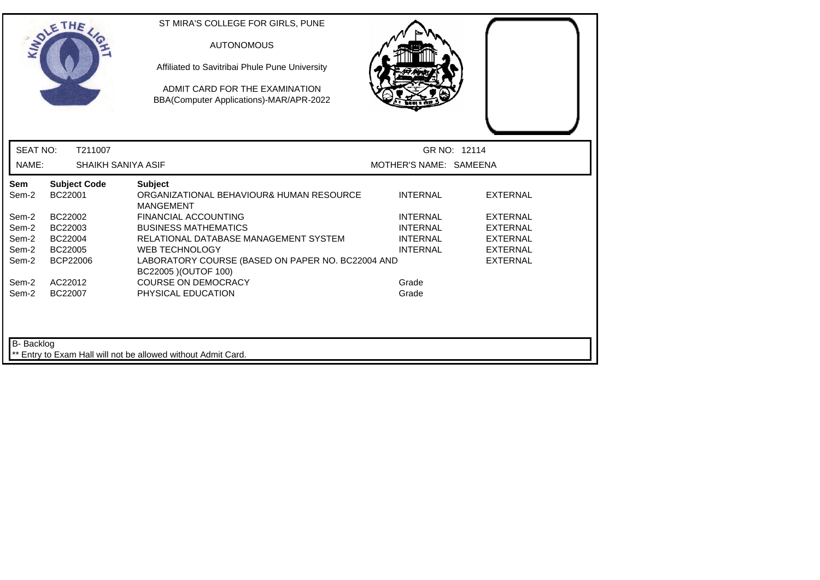|                 | <b>SOLETHE</b>                 | ST MIRA'S COLLEGE FOR GIRLS, PUNE<br><b>AUTONOMOUS</b><br>Affiliated to Savitribai Phule Pune University<br>ADMIT CARD FOR THE EXAMINATION<br>BBA(Computer Applications)-MAR/APR-2022 |                        |                 |
|-----------------|--------------------------------|---------------------------------------------------------------------------------------------------------------------------------------------------------------------------------------|------------------------|-----------------|
| <b>SEAT NO:</b> | T211007                        |                                                                                                                                                                                       |                        | GR NO: 12114    |
| NAME:           | SHAIKH SANIYA ASIF             |                                                                                                                                                                                       | MOTHER'S NAME: SAMEENA |                 |
| Sem<br>Sem-2    | <b>Subject Code</b><br>BC22001 | <b>Subject</b><br>ORGANIZATIONAL BEHAVIOUR& HUMAN RESOURCE<br><b>MANGEMENT</b>                                                                                                        | <b>INTERNAL</b>        | <b>EXTERNAL</b> |
| Sem-2           | BC22002                        | <b>FINANCIAL ACCOUNTING</b>                                                                                                                                                           | <b>INTERNAL</b>        | <b>EXTERNAL</b> |
| Sem-2           | BC22003                        | <b>BUSINESS MATHEMATICS</b>                                                                                                                                                           | <b>INTERNAL</b>        | <b>EXTERNAL</b> |
| Sem-2           | BC22004                        | RELATIONAL DATABASE MANAGEMENT SYSTEM                                                                                                                                                 | <b>INTERNAL</b>        | <b>EXTERNAL</b> |
| Sem-2           | BC22005                        | <b>WEB TECHNOLOGY</b>                                                                                                                                                                 | <b>INTERNAL</b>        | <b>EXTERNAL</b> |
| Sem-2           | BCP22006                       | LABORATORY COURSE (BASED ON PAPER NO. BC22004 AND<br>BC22005 ) (OUTOF 100)                                                                                                            |                        | <b>EXTERNAL</b> |
| Sem-2           | AC22012                        | <b>COURSE ON DEMOCRACY</b>                                                                                                                                                            | Grade                  |                 |
| Sem-2           | BC22007                        | PHYSICAL EDUCATION                                                                                                                                                                    | Grade                  |                 |
| B- Backlog      |                                | Entry to Exam Hall will not be allowed without Admit Card.                                                                                                                            |                        |                 |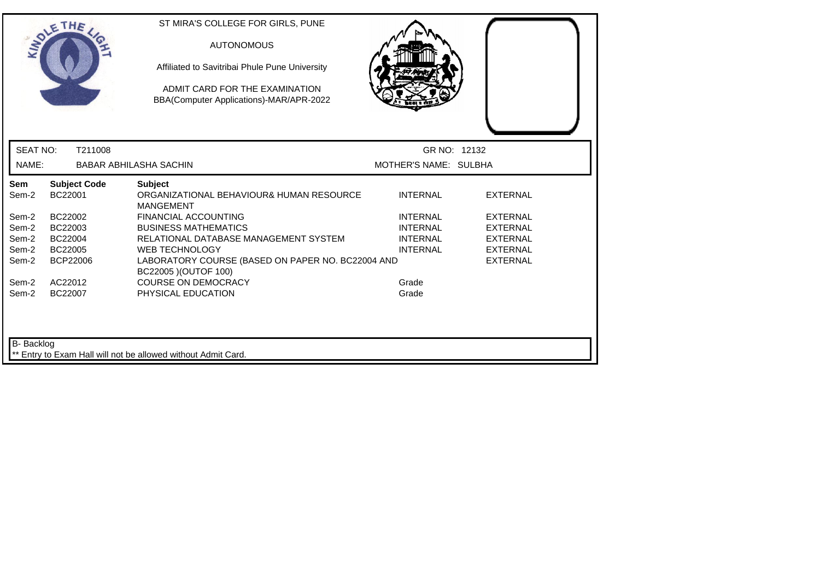|                   | <b>SOLETHE</b>                 | ST MIRA'S COLLEGE FOR GIRLS, PUNE<br><b>AUTONOMOUS</b><br>Affiliated to Savitribai Phule Pune University<br>ADMIT CARD FOR THE EXAMINATION<br>BBA(Computer Applications)-MAR/APR-2022 |                       |                 |  |
|-------------------|--------------------------------|---------------------------------------------------------------------------------------------------------------------------------------------------------------------------------------|-----------------------|-----------------|--|
| <b>SEAT NO:</b>   | T211008                        |                                                                                                                                                                                       | GR NO: 12132          |                 |  |
| NAME:             |                                | <b>BABAR ABHILASHA SACHIN</b>                                                                                                                                                         | MOTHER'S NAME: SULBHA |                 |  |
| Sem<br>Sem-2      | <b>Subject Code</b><br>BC22001 | <b>Subject</b><br>ORGANIZATIONAL BEHAVIOUR& HUMAN RESOURCE<br><b>MANGEMENT</b>                                                                                                        | <b>INTERNAL</b>       | <b>EXTERNAL</b> |  |
| Sem-2             | BC22002                        | <b>FINANCIAL ACCOUNTING</b>                                                                                                                                                           | <b>INTERNAL</b>       | <b>EXTERNAL</b> |  |
| Sem-2             | BC22003                        | <b>BUSINESS MATHEMATICS</b>                                                                                                                                                           | <b>INTERNAL</b>       | <b>EXTERNAL</b> |  |
| Sem-2             | BC22004                        | RELATIONAL DATABASE MANAGEMENT SYSTEM                                                                                                                                                 | <b>INTERNAL</b>       | <b>EXTERNAL</b> |  |
| Sem-2             | BC22005                        | <b>WEB TECHNOLOGY</b>                                                                                                                                                                 | <b>INTERNAL</b>       | <b>EXTERNAL</b> |  |
| Sem-2             | <b>BCP22006</b>                | LABORATORY COURSE (BASED ON PAPER NO. BC22004 AND<br>BC22005 ) (OUTOF 100)                                                                                                            |                       | <b>EXTERNAL</b> |  |
| Sem-2             | AC22012                        | <b>COURSE ON DEMOCRACY</b>                                                                                                                                                            | Grade                 |                 |  |
| Sem-2             | BC22007                        | PHYSICAL EDUCATION                                                                                                                                                                    | Grade                 |                 |  |
| <b>B-</b> Backlog |                                | ** Entry to Exam Hall will not be allowed without Admit Card.                                                                                                                         |                       |                 |  |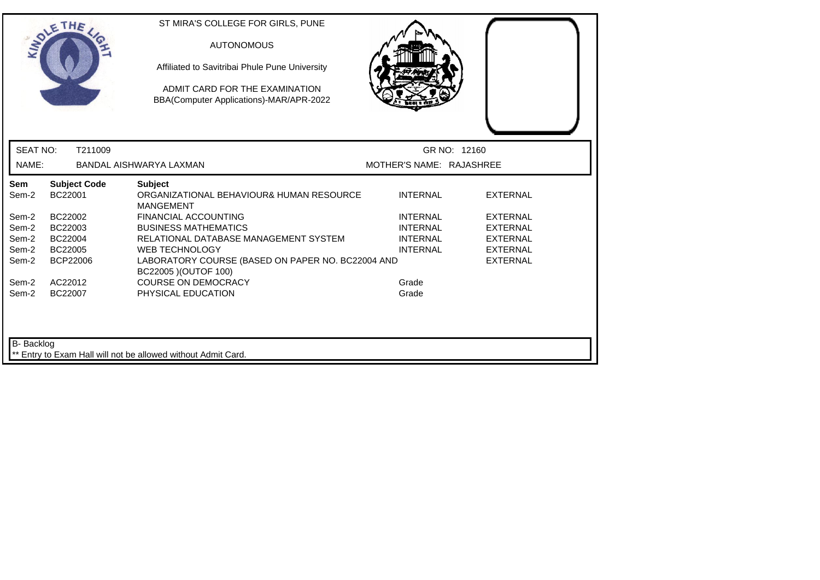|                 | SOLETHE                        | ST MIRA'S COLLEGE FOR GIRLS, PUNE<br><b>AUTONOMOUS</b><br>Affiliated to Savitribai Phule Pune University<br>ADMIT CARD FOR THE EXAMINATION<br>BBA(Computer Applications)-MAR/APR-2022 |                          |                                    |
|-----------------|--------------------------------|---------------------------------------------------------------------------------------------------------------------------------------------------------------------------------------|--------------------------|------------------------------------|
| <b>SEAT NO:</b> | T211009                        |                                                                                                                                                                                       |                          | GR NO: 12160                       |
| NAME:           |                                | BANDAL AISHWARYA LAXMAN                                                                                                                                                               | MOTHER'S NAME: RAJASHREE |                                    |
| Sem<br>Sem-2    | <b>Subject Code</b><br>BC22001 | <b>Subject</b><br>ORGANIZATIONAL BEHAVIOUR& HUMAN RESOURCE<br><b>MANGEMENT</b>                                                                                                        | <b>INTERNAL</b>          | <b>EXTERNAL</b>                    |
| Sem-2           | BC22002                        | <b>FINANCIAL ACCOUNTING</b>                                                                                                                                                           | <b>INTERNAL</b>          | <b>EXTERNAL</b>                    |
| Sem-2           | BC22003                        | <b>BUSINESS MATHEMATICS</b>                                                                                                                                                           | <b>INTERNAL</b>          | <b>EXTERNAL</b>                    |
| Sem-2           | BC22004                        | RELATIONAL DATABASE MANAGEMENT SYSTEM                                                                                                                                                 | <b>INTERNAL</b>          | <b>EXTERNAL</b>                    |
| Sem-2<br>Sem-2  | BC22005<br>BCP22006            | <b>WEB TECHNOLOGY</b><br>LABORATORY COURSE (BASED ON PAPER NO. BC22004 AND<br>BC22005 ) (OUTOF 100)                                                                                   | <b>INTERNAL</b>          | <b>EXTERNAL</b><br><b>EXTERNAL</b> |
| Sem-2           | AC22012                        | <b>COURSE ON DEMOCRACY</b>                                                                                                                                                            | Grade                    |                                    |
| Sem-2           | BC22007                        | PHYSICAL EDUCATION                                                                                                                                                                    | Grade                    |                                    |
| B- Backlog      |                                | Entry to Exam Hall will not be allowed without Admit Card.                                                                                                                            |                          |                                    |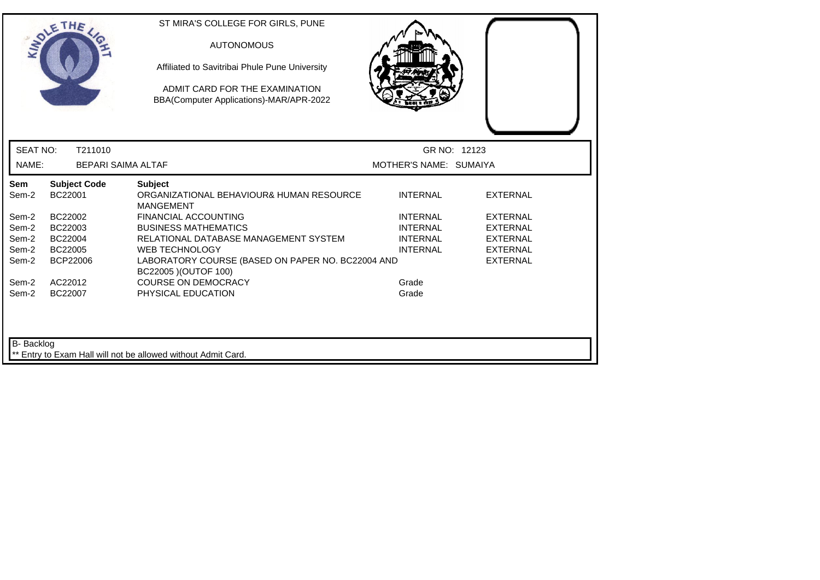|                 | THE                            | ST MIRA'S COLLEGE FOR GIRLS, PUNE<br><b>AUTONOMOUS</b><br>Affiliated to Savitribai Phule Pune University<br>ADMIT CARD FOR THE EXAMINATION<br>BBA(Computer Applications)-MAR/APR-2022 |                        |                 |
|-----------------|--------------------------------|---------------------------------------------------------------------------------------------------------------------------------------------------------------------------------------|------------------------|-----------------|
| <b>SEAT NO:</b> | T211010                        |                                                                                                                                                                                       | GR NO: 12123           |                 |
| NAME:           | <b>BEPARI SAIMA ALTAF</b>      |                                                                                                                                                                                       | MOTHER'S NAME: SUMAIYA |                 |
| Sem<br>Sem-2    | <b>Subject Code</b><br>BC22001 | <b>Subject</b><br>ORGANIZATIONAL BEHAVIOUR& HUMAN RESOURCE<br><b>MANGEMENT</b>                                                                                                        | <b>INTERNAL</b>        | <b>EXTERNAL</b> |
| Sem-2           | BC22002                        | <b>FINANCIAL ACCOUNTING</b>                                                                                                                                                           | <b>INTERNAL</b>        | <b>EXTERNAL</b> |
| Sem-2           | BC22003                        | <b>BUSINESS MATHEMATICS</b>                                                                                                                                                           | <b>INTERNAL</b>        | <b>EXTERNAL</b> |
| Sem-2           | BC22004                        | RELATIONAL DATABASE MANAGEMENT SYSTEM                                                                                                                                                 | <b>INTERNAL</b>        | <b>EXTERNAL</b> |
| Sem-2           | BC22005                        | <b>WEB TECHNOLOGY</b>                                                                                                                                                                 | <b>INTERNAL</b>        | <b>EXTERNAL</b> |
| Sem-2           | <b>BCP22006</b>                | LABORATORY COURSE (BASED ON PAPER NO. BC22004 AND<br>BC22005 ) (OUTOF 100)                                                                                                            |                        | <b>EXTERNAL</b> |
| Sem-2           | AC22012                        | <b>COURSE ON DEMOCRACY</b>                                                                                                                                                            | Grade                  |                 |
| Sem-2           | BC22007                        | PHYSICAL EDUCATION                                                                                                                                                                    | Grade                  |                 |
| B- Backlog      |                                | Entry to Exam Hall will not be allowed without Admit Card.                                                                                                                            |                        |                 |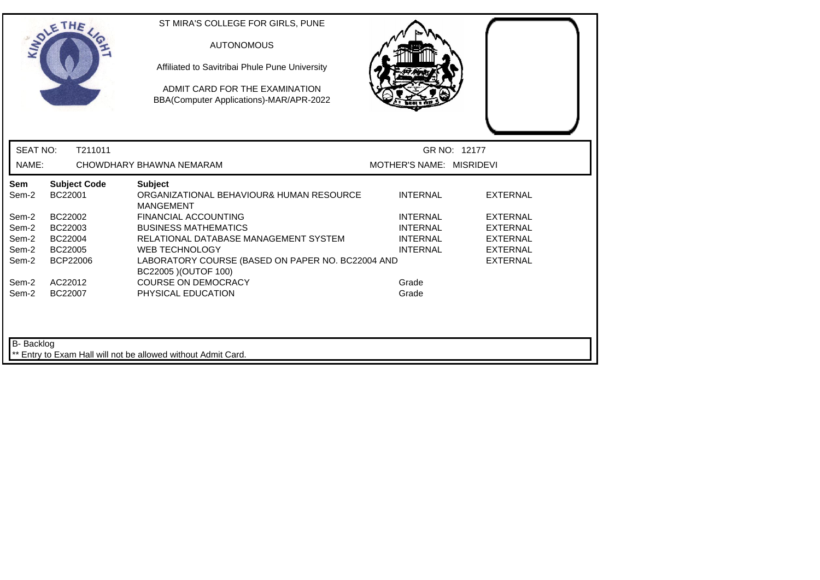|                   | SOLETHE                        | ST MIRA'S COLLEGE FOR GIRLS, PUNE<br><b>AUTONOMOUS</b><br>Affiliated to Savitribai Phule Pune University<br>ADMIT CARD FOR THE EXAMINATION<br>BBA(Computer Applications)-MAR/APR-2022 |                          |                 |
|-------------------|--------------------------------|---------------------------------------------------------------------------------------------------------------------------------------------------------------------------------------|--------------------------|-----------------|
| <b>SEAT NO:</b>   | T211011                        |                                                                                                                                                                                       | GR NO: 12177             |                 |
| NAME:             |                                | CHOWDHARY BHAWNA NEMARAM                                                                                                                                                              | MOTHER'S NAME: MISRIDEVI |                 |
| Sem<br>Sem-2      | <b>Subject Code</b><br>BC22001 | <b>Subject</b><br>ORGANIZATIONAL BEHAVIOUR& HUMAN RESOURCE<br><b>MANGEMENT</b>                                                                                                        | <b>INTERNAL</b>          | <b>EXTERNAL</b> |
| Sem-2             | BC22002                        | <b>FINANCIAL ACCOUNTING</b>                                                                                                                                                           | <b>INTERNAL</b>          | <b>EXTERNAL</b> |
| Sem-2             | BC22003                        | <b>BUSINESS MATHEMATICS</b>                                                                                                                                                           | <b>INTERNAL</b>          | <b>EXTERNAL</b> |
| Sem-2             | BC22004                        | RELATIONAL DATABASE MANAGEMENT SYSTEM                                                                                                                                                 | <b>INTERNAL</b>          | <b>EXTERNAL</b> |
| Sem-2             | BC22005                        | <b>WEB TECHNOLOGY</b>                                                                                                                                                                 | <b>INTERNAL</b>          | <b>EXTERNAL</b> |
| Sem-2             | BCP22006                       | LABORATORY COURSE (BASED ON PAPER NO. BC22004 AND<br>BC22005 ) (OUTOF 100)                                                                                                            |                          | <b>EXTERNAL</b> |
| Sem-2             | AC22012                        | <b>COURSE ON DEMOCRACY</b>                                                                                                                                                            | Grade                    |                 |
| Sem-2             | BC22007                        | PHYSICAL EDUCATION                                                                                                                                                                    | Grade                    |                 |
| <b>B-</b> Backlog |                                | ** Entry to Exam Hall will not be allowed without Admit Card.                                                                                                                         |                          |                 |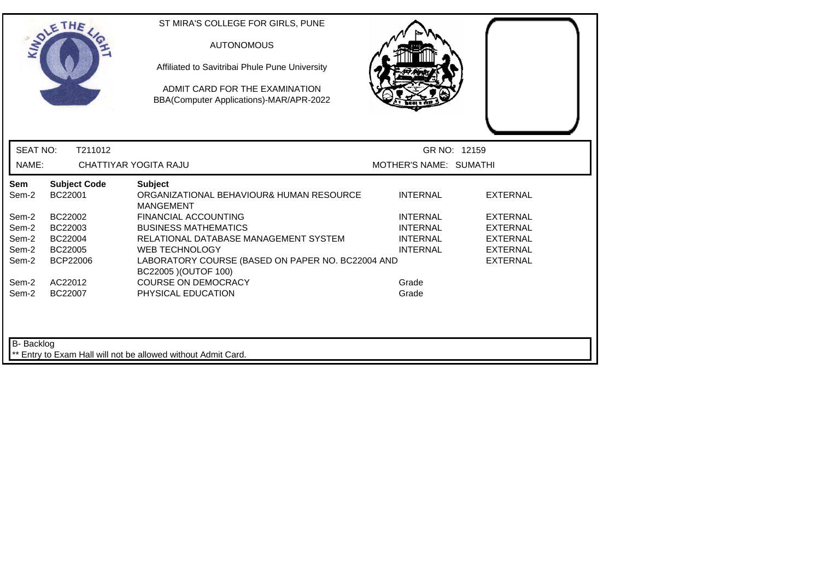|                   | <b>SOLETHE</b>                 | ST MIRA'S COLLEGE FOR GIRLS, PUNE<br><b>AUTONOMOUS</b><br>Affiliated to Savitribai Phule Pune University<br>ADMIT CARD FOR THE EXAMINATION<br>BBA(Computer Applications)-MAR/APR-2022 |                                    |                                    |
|-------------------|--------------------------------|---------------------------------------------------------------------------------------------------------------------------------------------------------------------------------------|------------------------------------|------------------------------------|
| <b>SEAT NO:</b>   | T211012                        |                                                                                                                                                                                       | GR NO: 12159                       |                                    |
| NAME:             |                                | CHATTIYAR YOGITA RAJU                                                                                                                                                                 | MOTHER'S NAME: SUMATHI             |                                    |
| Sem<br>Sem-2      | <b>Subject Code</b><br>BC22001 | <b>Subject</b><br>ORGANIZATIONAL BEHAVIOUR& HUMAN RESOURCE<br><b>MANGEMENT</b>                                                                                                        | <b>INTERNAL</b>                    | <b>EXTERNAL</b>                    |
| Sem-2<br>Sem-2    | BC22002<br>BC22003             | <b>FINANCIAL ACCOUNTING</b><br><b>BUSINESS MATHEMATICS</b>                                                                                                                            | <b>INTERNAL</b><br><b>INTERNAL</b> | <b>EXTERNAL</b><br><b>EXTERNAL</b> |
| Sem-2<br>Sem-2    | BC22004<br>BC22005             | RELATIONAL DATABASE MANAGEMENT SYSTEM<br><b>WEB TECHNOLOGY</b>                                                                                                                        | <b>INTERNAL</b><br><b>INTERNAL</b> | <b>EXTERNAL</b><br><b>EXTERNAL</b> |
| Sem-2             | <b>BCP22006</b>                | LABORATORY COURSE (BASED ON PAPER NO. BC22004 AND<br>BC22005 ) (OUTOF 100)                                                                                                            |                                    | <b>EXTERNAL</b>                    |
| Sem-2<br>Sem-2    | AC22012<br>BC22007             | <b>COURSE ON DEMOCRACY</b><br>PHYSICAL EDUCATION                                                                                                                                      | Grade<br>Grade                     |                                    |
| <b>B-</b> Backlog |                                | ** Entry to Exam Hall will not be allowed without Admit Card.                                                                                                                         |                                    |                                    |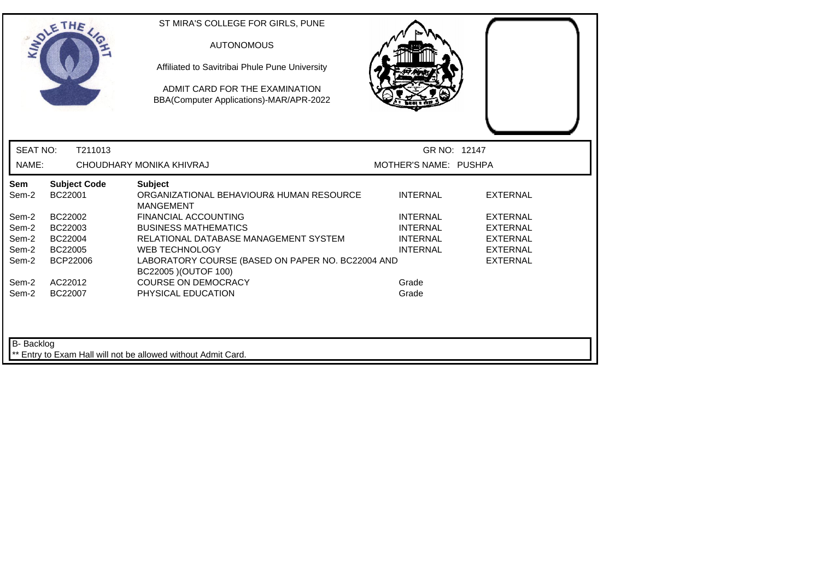|                 | SOLETHE .                      | ST MIRA'S COLLEGE FOR GIRLS, PUNE<br><b>AUTONOMOUS</b><br>Affiliated to Savitribai Phule Pune University<br>ADMIT CARD FOR THE EXAMINATION<br>BBA(Computer Applications)-MAR/APR-2022 |                       |                 |
|-----------------|--------------------------------|---------------------------------------------------------------------------------------------------------------------------------------------------------------------------------------|-----------------------|-----------------|
| <b>SEAT NO:</b> | T211013                        |                                                                                                                                                                                       | GR NO: 12147          |                 |
| NAME:           |                                | CHOUDHARY MONIKA KHIVRAJ                                                                                                                                                              | MOTHER'S NAME: PUSHPA |                 |
| Sem<br>Sem-2    | <b>Subject Code</b><br>BC22001 | <b>Subject</b><br>ORGANIZATIONAL BEHAVIOUR& HUMAN RESOURCE<br><b>MANGEMENT</b>                                                                                                        | <b>INTERNAL</b>       | <b>EXTERNAL</b> |
| Sem-2           | BC22002                        | <b>FINANCIAL ACCOUNTING</b>                                                                                                                                                           | <b>INTERNAL</b>       | <b>EXTERNAL</b> |
| Sem-2           | BC22003                        | <b>BUSINESS MATHEMATICS</b>                                                                                                                                                           | <b>INTERNAL</b>       | <b>EXTERNAL</b> |
| Sem-2           | BC22004                        | RELATIONAL DATABASE MANAGEMENT SYSTEM                                                                                                                                                 | <b>INTERNAL</b>       | <b>EXTERNAL</b> |
| Sem-2           | BC22005                        | WEB TECHNOLOGY                                                                                                                                                                        | <b>INTERNAL</b>       | <b>EXTERNAL</b> |
| Sem-2           | <b>BCP22006</b>                | LABORATORY COURSE (BASED ON PAPER NO. BC22004 AND<br>BC22005 ) (OUTOF 100)                                                                                                            |                       | <b>EXTERNAL</b> |
| Sem-2           | AC22012                        | <b>COURSE ON DEMOCRACY</b>                                                                                                                                                            | Grade                 |                 |
| Sem-2           | BC22007                        | PHYSICAL EDUCATION                                                                                                                                                                    | Grade                 |                 |
| B- Backlog      |                                | ** Entry to Exam Hall will not be allowed without Admit Card.                                                                                                                         |                       |                 |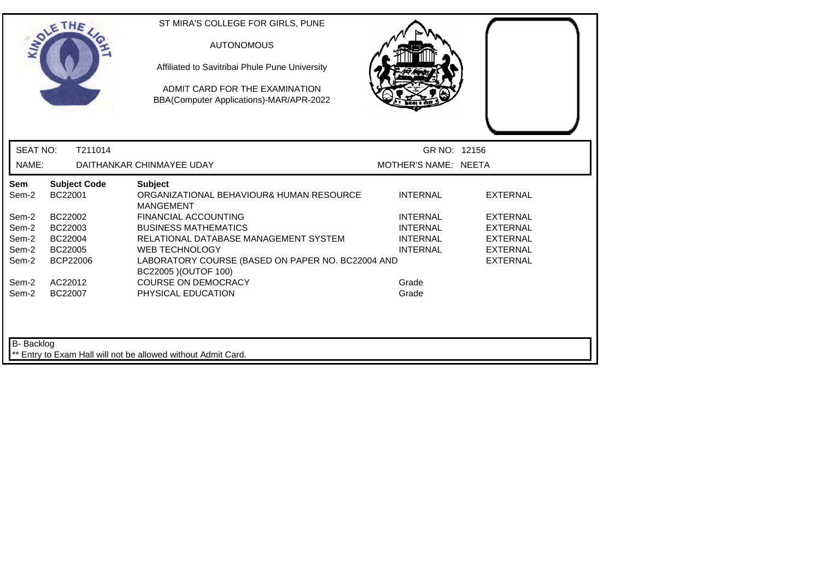|                 | SOLETHE .                      | ST MIRA'S COLLEGE FOR GIRLS, PUNE<br><b>AUTONOMOUS</b><br>Affiliated to Savitribai Phule Pune University<br>ADMIT CARD FOR THE EXAMINATION<br>BBA(Computer Applications)-MAR/APR-2022 |                                    |                                    |  |
|-----------------|--------------------------------|---------------------------------------------------------------------------------------------------------------------------------------------------------------------------------------|------------------------------------|------------------------------------|--|
| <b>SEAT NO:</b> | T211014                        |                                                                                                                                                                                       | GR NO: 12156                       |                                    |  |
| NAME:           |                                | DAITHANKAR CHINMAYEE UDAY                                                                                                                                                             | MOTHER'S NAME: NEETA               |                                    |  |
| Sem<br>Sem-2    | <b>Subject Code</b><br>BC22001 | <b>Subject</b><br>ORGANIZATIONAL BEHAVIOUR& HUMAN RESOURCE<br><b>MANGEMENT</b>                                                                                                        | <b>INTERNAL</b>                    | <b>EXTERNAL</b>                    |  |
| Sem-2<br>Sem-2  | BC22002<br>BC22003             | <b>FINANCIAL ACCOUNTING</b><br><b>BUSINESS MATHEMATICS</b>                                                                                                                            | <b>INTERNAL</b><br><b>INTERNAL</b> | <b>EXTERNAL</b><br>EXTERNAL        |  |
| Sem-2<br>Sem-2  | BC22004<br>BC22005             | RELATIONAL DATABASE MANAGEMENT SYSTEM<br><b>WEB TECHNOLOGY</b>                                                                                                                        | <b>INTERNAL</b><br><b>INTERNAL</b> | <b>EXTERNAL</b><br><b>EXTERNAL</b> |  |
| Sem-2           | <b>BCP22006</b>                | LABORATORY COURSE (BASED ON PAPER NO. BC22004 AND<br>BC22005 ) (OUTOF 100)                                                                                                            |                                    | <b>EXTERNAL</b>                    |  |
| Sem-2<br>Sem-2  | AC22012<br>BC22007             | <b>COURSE ON DEMOCRACY</b><br>PHYSICAL EDUCATION                                                                                                                                      | Grade<br>Grade                     |                                    |  |
| B- Backlog      |                                | Entry to Exam Hall will not be allowed without Admit Card.                                                                                                                            |                                    |                                    |  |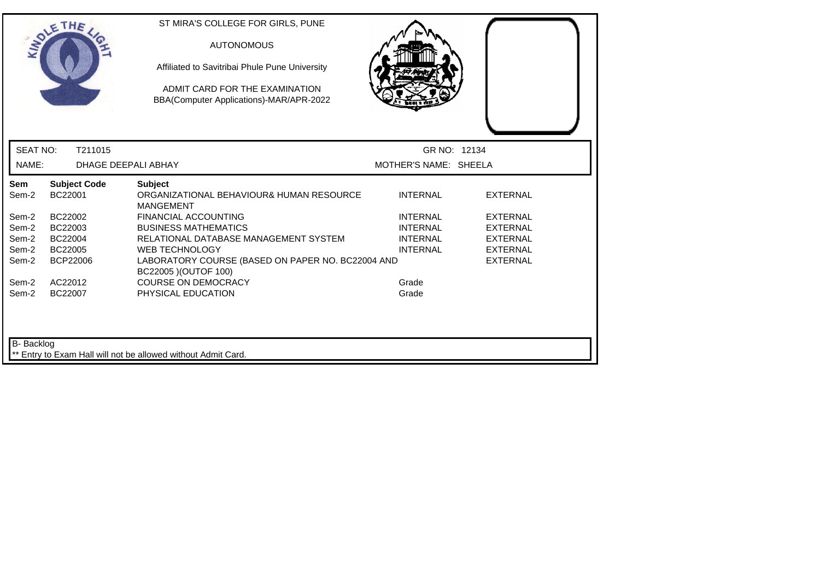|                 | <b>SOLETHE</b>                 | ST MIRA'S COLLEGE FOR GIRLS, PUNE<br><b>AUTONOMOUS</b><br>Affiliated to Savitribai Phule Pune University<br>ADMIT CARD FOR THE EXAMINATION<br>BBA(Computer Applications)-MAR/APR-2022 |                       |                 |  |
|-----------------|--------------------------------|---------------------------------------------------------------------------------------------------------------------------------------------------------------------------------------|-----------------------|-----------------|--|
| <b>SEAT NO:</b> | T211015                        |                                                                                                                                                                                       | GR NO: 12134          |                 |  |
| NAME:           | DHAGE DEEPALI ABHAY            |                                                                                                                                                                                       | MOTHER'S NAME: SHEELA |                 |  |
| Sem<br>Sem-2    | <b>Subject Code</b><br>BC22001 | <b>Subject</b><br>ORGANIZATIONAL BEHAVIOUR& HUMAN RESOURCE<br><b>MANGEMENT</b>                                                                                                        | <b>INTERNAL</b>       | <b>EXTERNAL</b> |  |
| Sem-2           | BC22002                        | <b>FINANCIAL ACCOUNTING</b>                                                                                                                                                           | <b>INTERNAL</b>       | <b>EXTERNAL</b> |  |
| Sem-2           | BC22003                        | <b>BUSINESS MATHEMATICS</b>                                                                                                                                                           | <b>INTERNAL</b>       | <b>EXTERNAL</b> |  |
| Sem-2           | BC22004                        | RELATIONAL DATABASE MANAGEMENT SYSTEM                                                                                                                                                 | <b>INTERNAL</b>       | <b>EXTERNAL</b> |  |
| Sem-2           | BC22005                        | <b>WEB TECHNOLOGY</b>                                                                                                                                                                 | <b>INTERNAL</b>       | <b>EXTERNAL</b> |  |
| Sem-2           | <b>BCP22006</b>                | LABORATORY COURSE (BASED ON PAPER NO. BC22004 AND<br>BC22005 ) (OUTOF 100)                                                                                                            |                       | <b>EXTERNAL</b> |  |
| Sem-2           | AC22012                        | <b>COURSE ON DEMOCRACY</b>                                                                                                                                                            | Grade                 |                 |  |
| Sem-2           | BC22007                        | PHYSICAL EDUCATION                                                                                                                                                                    | Grade                 |                 |  |
| B- Backlog      |                                | Entry to Exam Hall will not be allowed without Admit Card.                                                                                                                            |                       |                 |  |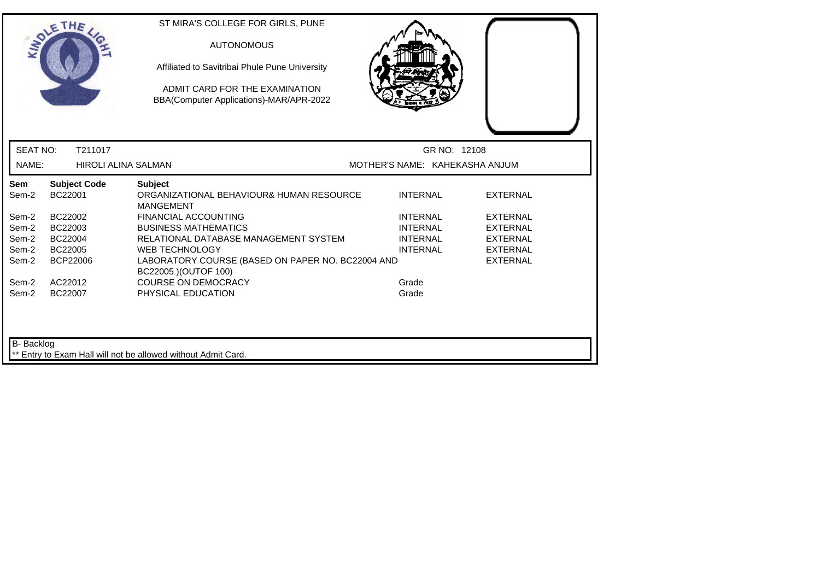|                   | SOLETHE .                      | ST MIRA'S COLLEGE FOR GIRLS, PUNE<br><b>AUTONOMOUS</b><br>Affiliated to Savitribai Phule Pune University<br>ADMIT CARD FOR THE EXAMINATION<br>BBA(Computer Applications)-MAR/APR-2022 |                                    |                                    |
|-------------------|--------------------------------|---------------------------------------------------------------------------------------------------------------------------------------------------------------------------------------|------------------------------------|------------------------------------|
| <b>SEAT NO:</b>   | T211017                        |                                                                                                                                                                                       | GR NO: 12108                       |                                    |
| NAME:             | <b>HIROLI ALINA SALMAN</b>     |                                                                                                                                                                                       | MOTHER'S NAME: KAHEKASHA ANJUM     |                                    |
| Sem<br>Sem-2      | <b>Subject Code</b><br>BC22001 | <b>Subject</b><br>ORGANIZATIONAL BEHAVIOUR& HUMAN RESOURCE<br><b>MANGEMENT</b>                                                                                                        | <b>INTERNAL</b>                    | <b>EXTERNAL</b>                    |
| Sem-2<br>Sem-2    | BC22002<br>BC22003             | <b>FINANCIAL ACCOUNTING</b><br><b>BUSINESS MATHEMATICS</b>                                                                                                                            | <b>INTERNAL</b><br><b>INTERNAL</b> | <b>EXTERNAL</b><br><b>EXTERNAL</b> |
| Sem-2<br>Sem-2    | BC22004<br>BC22005             | RELATIONAL DATABASE MANAGEMENT SYSTEM<br><b>WEB TECHNOLOGY</b>                                                                                                                        | <b>INTERNAL</b><br><b>INTERNAL</b> | <b>EXTERNAL</b><br><b>EXTERNAL</b> |
| Sem-2             | BCP22006                       | LABORATORY COURSE (BASED ON PAPER NO. BC22004 AND<br>BC22005 ) (OUTOF 100)                                                                                                            |                                    | <b>EXTERNAL</b>                    |
| Sem-2<br>Sem-2    | AC22012<br>BC22007             | <b>COURSE ON DEMOCRACY</b><br>PHYSICAL EDUCATION                                                                                                                                      | Grade<br>Grade                     |                                    |
| <b>B-</b> Backlog |                                | ** Entry to Exam Hall will not be allowed without Admit Card.                                                                                                                         |                                    |                                    |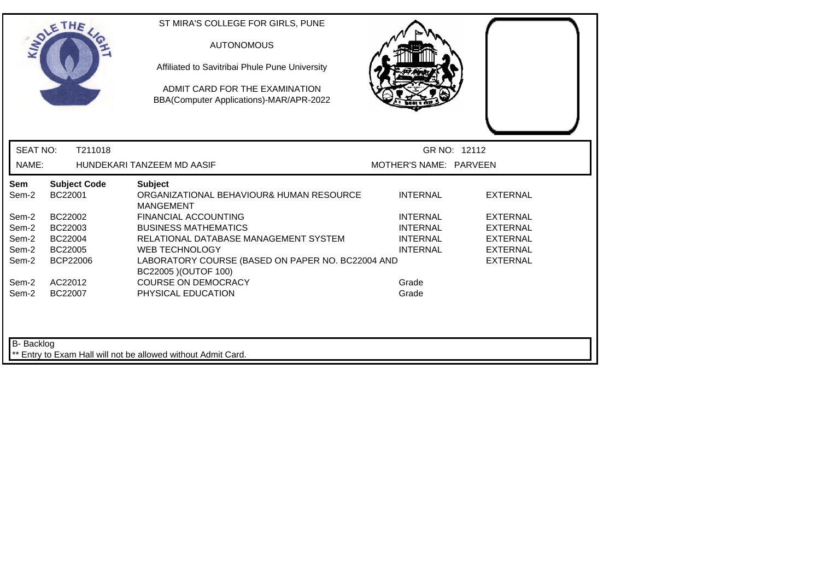|                   | OLETHE                         | ST MIRA'S COLLEGE FOR GIRLS, PUNE<br><b>AUTONOMOUS</b><br>Affiliated to Savitribai Phule Pune University<br>ADMIT CARD FOR THE EXAMINATION<br>BBA(Computer Applications)-MAR/APR-2022 |                        |                 |
|-------------------|--------------------------------|---------------------------------------------------------------------------------------------------------------------------------------------------------------------------------------|------------------------|-----------------|
| <b>SEAT NO:</b>   | T211018                        |                                                                                                                                                                                       | GR NO: 12112           |                 |
| NAME:             |                                | HUNDEKARI TANZEEM MD AASIF                                                                                                                                                            | MOTHER'S NAME: PARVEEN |                 |
| Sem<br>Sem-2      | <b>Subject Code</b><br>BC22001 | <b>Subject</b><br>ORGANIZATIONAL BEHAVIOUR& HUMAN RESOURCE<br><b>MANGEMENT</b>                                                                                                        | <b>INTERNAL</b>        | <b>EXTERNAL</b> |
| Sem-2             | BC22002                        | <b>FINANCIAL ACCOUNTING</b>                                                                                                                                                           | <b>INTERNAL</b>        | <b>EXTERNAL</b> |
| Sem-2             | BC22003                        | <b>BUSINESS MATHEMATICS</b>                                                                                                                                                           | <b>INTERNAL</b>        | <b>EXTERNAL</b> |
| Sem-2             | BC22004                        | RELATIONAL DATABASE MANAGEMENT SYSTEM                                                                                                                                                 | <b>INTERNAL</b>        | <b>EXTERNAL</b> |
| Sem-2             | BC22005                        | <b>WEB TECHNOLOGY</b>                                                                                                                                                                 | <b>INTERNAL</b>        | <b>EXTERNAL</b> |
| Sem-2             | BCP22006                       | LABORATORY COURSE (BASED ON PAPER NO. BC22004 AND<br>BC22005 ) (OUTOF 100)                                                                                                            |                        | <b>EXTERNAL</b> |
| Sem-2             | AC22012                        | <b>COURSE ON DEMOCRACY</b>                                                                                                                                                            | Grade                  |                 |
| Sem-2             | BC22007                        | PHYSICAL EDUCATION                                                                                                                                                                    | Grade                  |                 |
| <b>B-</b> Backlog |                                | ** Entry to Exam Hall will not be allowed without Admit Card.                                                                                                                         |                        |                 |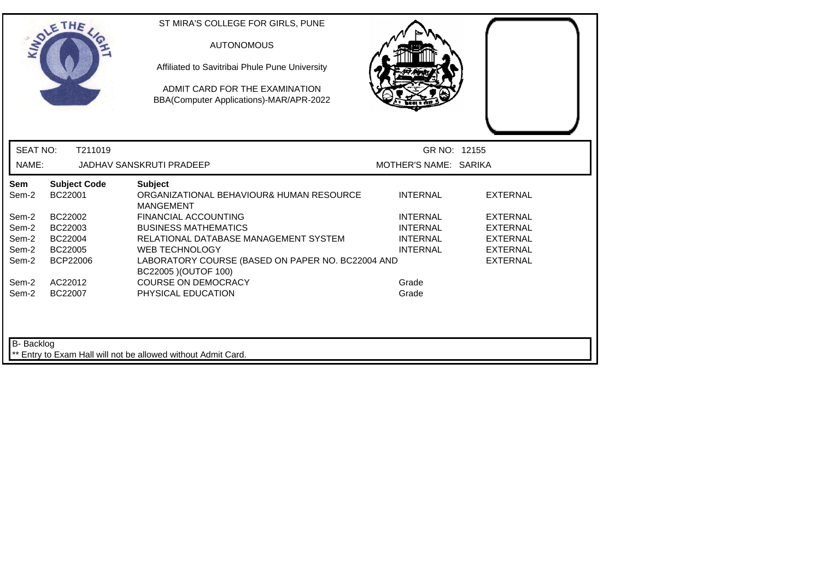|                   | SOLETHE .                      | ST MIRA'S COLLEGE FOR GIRLS, PUNE<br><b>AUTONOMOUS</b><br>Affiliated to Savitribai Phule Pune University<br>ADMIT CARD FOR THE EXAMINATION<br>BBA(Computer Applications)-MAR/APR-2022 |                       |                 |  |
|-------------------|--------------------------------|---------------------------------------------------------------------------------------------------------------------------------------------------------------------------------------|-----------------------|-----------------|--|
| <b>SEAT NO:</b>   | T211019                        |                                                                                                                                                                                       | GR NO: 12155          |                 |  |
| NAME:             |                                | JADHAV SANSKRUTI PRADEEP                                                                                                                                                              | MOTHER'S NAME: SARIKA |                 |  |
| Sem<br>Sem-2      | <b>Subject Code</b><br>BC22001 | <b>Subject</b><br>ORGANIZATIONAL BEHAVIOUR& HUMAN RESOURCE<br><b>MANGEMENT</b>                                                                                                        | <b>INTERNAL</b>       | <b>EXTERNAL</b> |  |
| Sem-2             | BC22002                        | FINANCIAL ACCOUNTING                                                                                                                                                                  | <b>INTERNAL</b>       | <b>EXTERNAL</b> |  |
| Sem-2             | BC22003                        | <b>BUSINESS MATHEMATICS</b>                                                                                                                                                           | <b>INTERNAL</b>       | <b>EXTERNAL</b> |  |
| Sem-2             | BC22004                        | RELATIONAL DATABASE MANAGEMENT SYSTEM                                                                                                                                                 | <b>INTERNAL</b>       | <b>EXTERNAL</b> |  |
| Sem-2             | BC22005                        | <b>WEB TECHNOLOGY</b>                                                                                                                                                                 | <b>INTERNAL</b>       | <b>EXTERNAL</b> |  |
| Sem-2             | BCP22006                       | LABORATORY COURSE (BASED ON PAPER NO. BC22004 AND<br>BC22005 ) (OUTOF 100)                                                                                                            |                       | <b>EXTERNAL</b> |  |
| Sem-2             | AC22012                        | <b>COURSE ON DEMOCRACY</b>                                                                                                                                                            | Grade                 |                 |  |
| Sem-2             | BC22007                        | PHYSICAL EDUCATION                                                                                                                                                                    | Grade                 |                 |  |
| <b>B-</b> Backlog |                                | ** Entry to Exam Hall will not be allowed without Admit Card.                                                                                                                         |                       |                 |  |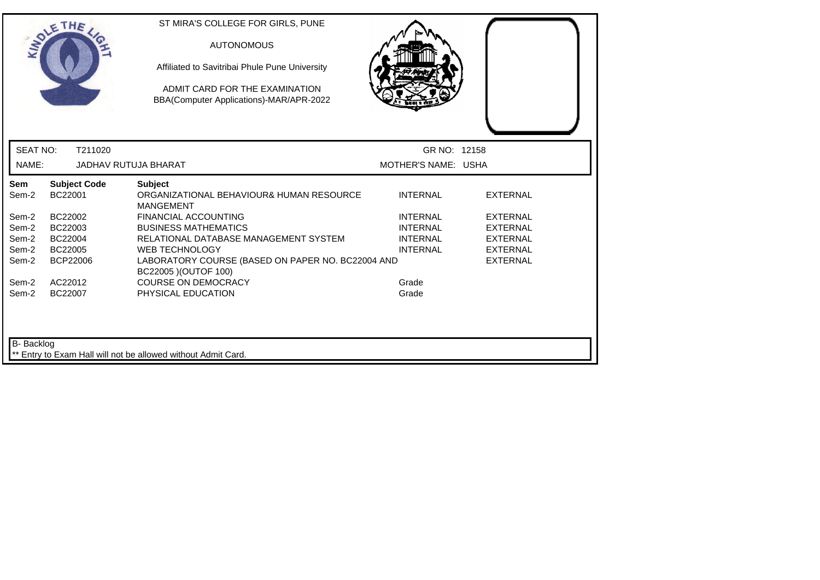|                   | ETHE                           | ST MIRA'S COLLEGE FOR GIRLS, PUNE<br><b>AUTONOMOUS</b><br>Affiliated to Savitribai Phule Pune University<br>ADMIT CARD FOR THE EXAMINATION<br>BBA(Computer Applications)-MAR/APR-2022 |                     |                 |
|-------------------|--------------------------------|---------------------------------------------------------------------------------------------------------------------------------------------------------------------------------------|---------------------|-----------------|
| <b>SEAT NO:</b>   | T211020                        |                                                                                                                                                                                       | GR NO: 12158        |                 |
| NAME:             |                                | <b>JADHAV RUTUJA BHARAT</b>                                                                                                                                                           | MOTHER'S NAME: USHA |                 |
| Sem<br>Sem-2      | <b>Subject Code</b><br>BC22001 | <b>Subject</b><br>ORGANIZATIONAL BEHAVIOUR& HUMAN RESOURCE<br><b>MANGEMENT</b>                                                                                                        | <b>INTERNAL</b>     | <b>EXTERNAL</b> |
| Sem-2             | BC22002                        | <b>FINANCIAL ACCOUNTING</b>                                                                                                                                                           | <b>INTERNAL</b>     | <b>EXTERNAL</b> |
| Sem-2             | BC22003                        | <b>BUSINESS MATHEMATICS</b>                                                                                                                                                           | <b>INTERNAL</b>     | EXTERNAL        |
| Sem-2             | BC22004                        | RELATIONAL DATABASE MANAGEMENT SYSTEM                                                                                                                                                 | <b>INTERNAL</b>     | <b>EXTERNAL</b> |
| Sem-2             | BC22005                        | <b>WEB TECHNOLOGY</b>                                                                                                                                                                 | <b>INTERNAL</b>     | <b>EXTERNAL</b> |
| Sem-2             | <b>BCP22006</b>                | LABORATORY COURSE (BASED ON PAPER NO. BC22004 AND<br>BC22005 ) (OUTOF 100)                                                                                                            |                     | <b>EXTERNAL</b> |
| Sem-2             | AC22012                        | <b>COURSE ON DEMOCRACY</b>                                                                                                                                                            | Grade               |                 |
| Sem-2             | BC22007                        | PHYSICAL EDUCATION                                                                                                                                                                    | Grade               |                 |
| <b>B-</b> Backlog |                                | ** Entry to Exam Hall will not be allowed without Admit Card.                                                                                                                         |                     |                 |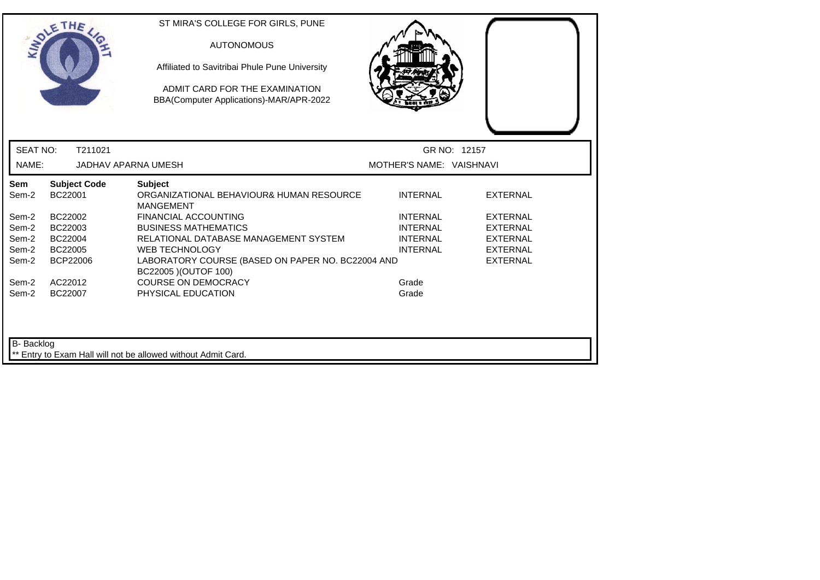|                 |                                | Affiliated to Savitribai Phule Pune University<br>ADMIT CARD FOR THE EXAMINATION<br>BBA(Computer Applications)-MAR/APR-2022 |                          |                 |
|-----------------|--------------------------------|-----------------------------------------------------------------------------------------------------------------------------|--------------------------|-----------------|
| <b>SEAT NO:</b> | T211021                        |                                                                                                                             |                          | GR NO: 12157    |
| NAME:           | <b>JADHAV APARNA UMESH</b>     |                                                                                                                             | MOTHER'S NAME: VAISHNAVI |                 |
| Sem<br>Sem-2    | <b>Subject Code</b><br>BC22001 | <b>Subject</b><br>ORGANIZATIONAL BEHAVIOUR& HUMAN RESOURCE<br><b>MANGEMENT</b>                                              | <b>INTERNAL</b>          | <b>EXTERNAL</b> |
| Sem-2           | BC22002                        | <b>FINANCIAL ACCOUNTING</b>                                                                                                 | <b>INTERNAL</b>          | <b>EXTERNAL</b> |
| Sem-2           | BC22003                        | <b>BUSINESS MATHEMATICS</b>                                                                                                 | <b>INTERNAL</b>          | <b>EXTERNAL</b> |
| Sem-2           | BC22004                        | RELATIONAL DATABASE MANAGEMENT SYSTEM                                                                                       | <b>INTERNAL</b>          | <b>EXTERNAL</b> |
| Sem-2           | BC22005                        | <b>WEB TECHNOLOGY</b>                                                                                                       | <b>INTERNAL</b>          | <b>EXTERNAL</b> |
| Sem-2           | <b>BCP22006</b>                | LABORATORY COURSE (BASED ON PAPER NO. BC22004 AND<br>BC22005 ) (OUTOF 100)                                                  |                          | <b>EXTERNAL</b> |
| Sem-2           | AC22012                        | <b>COURSE ON DEMOCRACY</b>                                                                                                  | Grade                    |                 |
| Sem-2           | BC22007                        | PHYSICAL EDUCATION                                                                                                          | Grade                    |                 |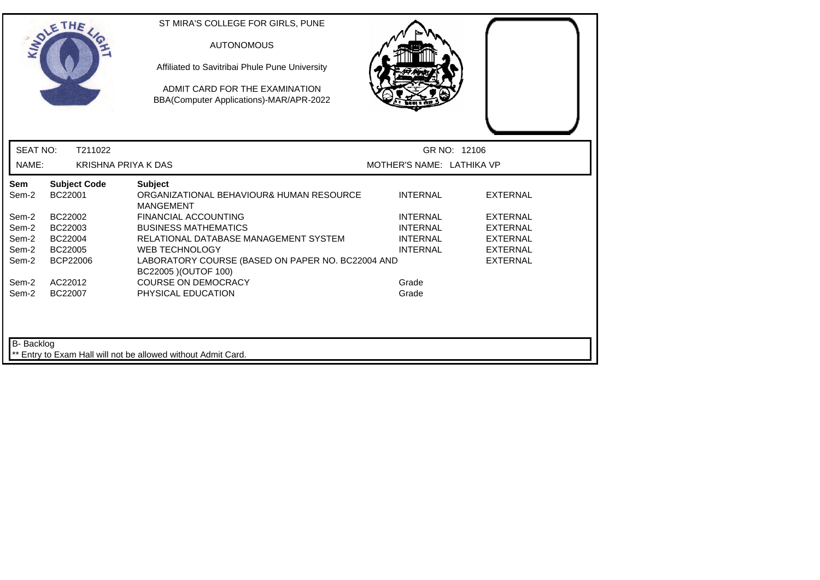|                 | <b>SOLETHE</b>                 | ST MIRA'S COLLEGE FOR GIRLS, PUNE<br><b>AUTONOMOUS</b><br>Affiliated to Savitribai Phule Pune University<br>ADMIT CARD FOR THE EXAMINATION<br>BBA(Computer Applications)-MAR/APR-2022 |                           |                 |
|-----------------|--------------------------------|---------------------------------------------------------------------------------------------------------------------------------------------------------------------------------------|---------------------------|-----------------|
| <b>SEAT NO:</b> | T211022                        |                                                                                                                                                                                       | GR NO: 12106              |                 |
| NAME:           | <b>KRISHNA PRIYA K DAS</b>     |                                                                                                                                                                                       | MOTHER'S NAME: LATHIKA VP |                 |
| Sem<br>Sem-2    | <b>Subject Code</b><br>BC22001 | <b>Subject</b><br>ORGANIZATIONAL BEHAVIOUR& HUMAN RESOURCE<br><b>MANGEMENT</b>                                                                                                        | <b>INTERNAL</b>           | <b>EXTERNAL</b> |
| Sem-2           | BC22002                        | <b>FINANCIAL ACCOUNTING</b>                                                                                                                                                           | <b>INTERNAL</b>           | <b>EXTERNAL</b> |
| Sem-2           | BC22003                        | <b>BUSINESS MATHEMATICS</b>                                                                                                                                                           | <b>INTERNAL</b>           | <b>EXTERNAL</b> |
| Sem-2           | BC22004                        | RELATIONAL DATABASE MANAGEMENT SYSTEM                                                                                                                                                 | <b>INTERNAL</b>           | <b>EXTERNAL</b> |
| Sem-2           | BC22005                        | <b>WEB TECHNOLOGY</b>                                                                                                                                                                 | <b>INTERNAL</b>           | <b>EXTERNAL</b> |
| Sem-2           | BCP22006                       | LABORATORY COURSE (BASED ON PAPER NO. BC22004 AND<br>BC22005 ) (OUTOF 100)                                                                                                            |                           | <b>EXTERNAL</b> |
| Sem-2           | AC22012                        | <b>COURSE ON DEMOCRACY</b>                                                                                                                                                            | Grade                     |                 |
| Sem-2           | BC22007                        | PHYSICAL EDUCATION                                                                                                                                                                    | Grade                     |                 |
| B- Backlog      |                                | Entry to Exam Hall will not be allowed without Admit Card.                                                                                                                            |                           |                 |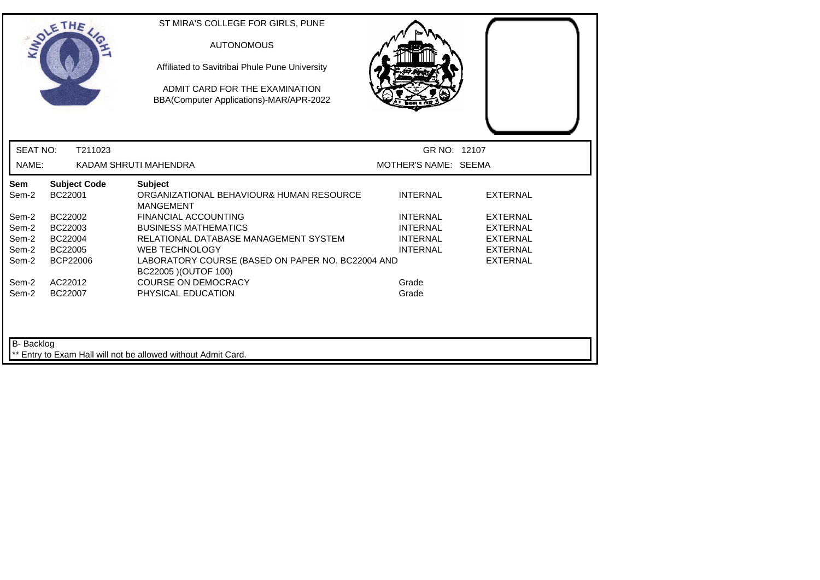|                     | THE                            | ST MIRA'S COLLEGE FOR GIRLS, PUNE<br><b>AUTONOMOUS</b><br>Affiliated to Savitribai Phule Pune University<br>ADMIT CARD FOR THE EXAMINATION<br>BBA(Computer Applications)-MAR/APR-2022 |                                    |                                    |  |
|---------------------|--------------------------------|---------------------------------------------------------------------------------------------------------------------------------------------------------------------------------------|------------------------------------|------------------------------------|--|
| <b>SEAT NO:</b>     | T211023                        |                                                                                                                                                                                       | GR NO: 12107                       |                                    |  |
| NAME:               |                                | KADAM SHRUTI MAHENDRA                                                                                                                                                                 | MOTHER'S NAME: SEEMA               |                                    |  |
| <b>Sem</b><br>Sem-2 | <b>Subject Code</b><br>BC22001 | <b>Subject</b><br>ORGANIZATIONAL BEHAVIOUR& HUMAN RESOURCE<br><b>MANGEMENT</b>                                                                                                        | <b>INTERNAL</b>                    | <b>EXTERNAL</b>                    |  |
| Sem-2               | BC22002                        | <b>FINANCIAL ACCOUNTING</b>                                                                                                                                                           | <b>INTERNAL</b>                    | <b>EXTERNAL</b>                    |  |
| Sem-2<br>Sem-2      | BC22003<br>BC22004             | <b>BUSINESS MATHEMATICS</b><br>RELATIONAL DATABASE MANAGEMENT SYSTEM                                                                                                                  | <b>INTERNAL</b><br><b>INTERNAL</b> | <b>EXTERNAL</b><br><b>EXTERNAL</b> |  |
| Sem-2               | BC22005                        | <b>WEB TECHNOLOGY</b>                                                                                                                                                                 | <b>INTERNAL</b>                    | <b>EXTERNAL</b>                    |  |
| Sem-2               | BCP22006                       | LABORATORY COURSE (BASED ON PAPER NO. BC22004 AND<br>BC22005 ) (OUTOF 100)                                                                                                            |                                    | <b>EXTERNAL</b>                    |  |
| Sem-2               | AC22012                        | <b>COURSE ON DEMOCRACY</b>                                                                                                                                                            | Grade                              |                                    |  |
| Sem-2               | BC22007                        | PHYSICAL EDUCATION                                                                                                                                                                    | Grade                              |                                    |  |
| <b>B-</b> Backlog   |                                | ** Entry to Exam Hall will not be allowed without Admit Card.                                                                                                                         |                                    |                                    |  |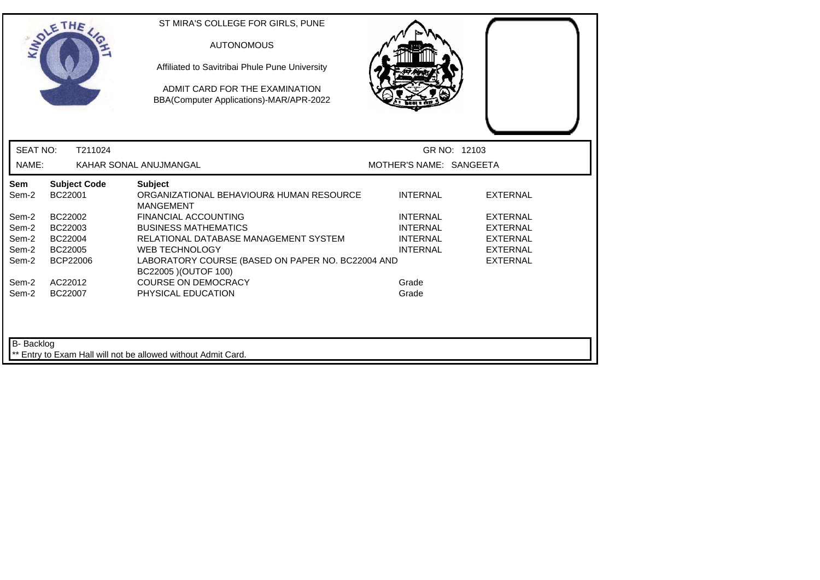|                   | SOLETHE .                      | ST MIRA'S COLLEGE FOR GIRLS, PUNE<br><b>AUTONOMOUS</b><br>Affiliated to Savitribai Phule Pune University<br>ADMIT CARD FOR THE EXAMINATION<br>BBA(Computer Applications)-MAR/APR-2022 |                         |                 |
|-------------------|--------------------------------|---------------------------------------------------------------------------------------------------------------------------------------------------------------------------------------|-------------------------|-----------------|
| <b>SEAT NO:</b>   | T211024                        |                                                                                                                                                                                       |                         | GR NO: 12103    |
| NAME:             |                                | KAHAR SONAL ANUJMANGAL                                                                                                                                                                | MOTHER'S NAME: SANGEETA |                 |
| Sem<br>Sem-2      | <b>Subject Code</b><br>BC22001 | <b>Subject</b><br>ORGANIZATIONAL BEHAVIOUR& HUMAN RESOURCE<br><b>MANGEMENT</b>                                                                                                        | <b>INTERNAL</b>         | <b>EXTERNAL</b> |
| Sem-2             | BC22002                        | <b>FINANCIAL ACCOUNTING</b>                                                                                                                                                           | <b>INTERNAL</b>         | <b>EXTERNAL</b> |
| Sem-2             | BC22003                        | <b>BUSINESS MATHEMATICS</b>                                                                                                                                                           | <b>INTERNAL</b>         | <b>EXTERNAL</b> |
| Sem-2             | BC22004                        | RELATIONAL DATABASE MANAGEMENT SYSTEM                                                                                                                                                 | <b>INTERNAL</b>         | <b>EXTERNAL</b> |
| Sem-2             | BC22005                        | <b>WEB TECHNOLOGY</b>                                                                                                                                                                 | <b>INTERNAL</b>         | <b>EXTERNAL</b> |
| Sem-2             | <b>BCP22006</b>                | LABORATORY COURSE (BASED ON PAPER NO. BC22004 AND<br>BC22005 ) (OUTOF 100)                                                                                                            |                         | <b>EXTERNAL</b> |
| Sem-2             | AC22012                        | <b>COURSE ON DEMOCRACY</b>                                                                                                                                                            | Grade                   |                 |
| Sem-2             | BC22007                        | PHYSICAL EDUCATION                                                                                                                                                                    | Grade                   |                 |
| <b>B-</b> Backlog |                                | ** Entry to Exam Hall will not be allowed without Admit Card.                                                                                                                         |                         |                 |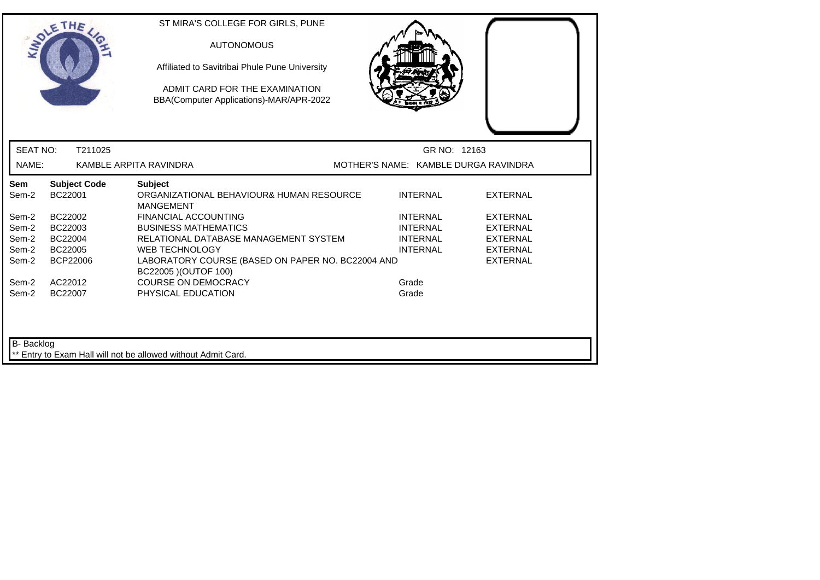|                         | SOLETHE .                      | ST MIRA'S COLLEGE FOR GIRLS, PUNE<br><b>AUTONOMOUS</b><br>Affiliated to Savitribai Phule Pune University<br>ADMIT CARD FOR THE EXAMINATION<br>BBA(Computer Applications)-MAR/APR-2022 |                |                                      |                                                       |
|-------------------------|--------------------------------|---------------------------------------------------------------------------------------------------------------------------------------------------------------------------------------|----------------|--------------------------------------|-------------------------------------------------------|
| <b>SEAT NO:</b>         | T211025                        |                                                                                                                                                                                       |                | GR NO: 12163                         |                                                       |
| NAME:                   |                                | KAMBLE ARPITA RAVINDRA                                                                                                                                                                |                | MOTHER'S NAME: KAMBLE DURGA RAVINDRA |                                                       |
| <b>Sem</b><br>Sem-2     | <b>Subject Code</b><br>BC22001 | <b>Subject</b><br>ORGANIZATIONAL BEHAVIOUR& HUMAN RESOURCE<br><b>MANGEMENT</b>                                                                                                        |                | <b>INTERNAL</b>                      | <b>EXTERNAL</b>                                       |
| Sem-2<br>Sem-2          | BC22002<br>BC22003             | FINANCIAL ACCOUNTING<br><b>BUSINESS MATHEMATICS</b>                                                                                                                                   |                | <b>INTERNAL</b><br><b>INTERNAL</b>   | <b>EXTERNAL</b><br><b>EXTERNAL</b>                    |
| Sem-2<br>Sem-2<br>Sem-2 | BC22004<br>BC22005<br>BCP22006 | RELATIONAL DATABASE MANAGEMENT SYSTEM<br><b>WEB TECHNOLOGY</b><br>LABORATORY COURSE (BASED ON PAPER NO. BC22004 AND                                                                   |                | <b>INTERNAL</b><br><b>INTERNAL</b>   | <b>EXTERNAL</b><br><b>EXTERNAL</b><br><b>EXTERNAL</b> |
| Sem-2<br>Sem-2          | AC22012<br>BC22007             | BC22005 ) (OUTOF 100)<br><b>COURSE ON DEMOCRACY</b><br>PHYSICAL EDUCATION                                                                                                             | Grade<br>Grade |                                      |                                                       |
| <b>B-</b> Backlog       |                                | ** Entry to Exam Hall will not be allowed without Admit Card.                                                                                                                         |                |                                      |                                                       |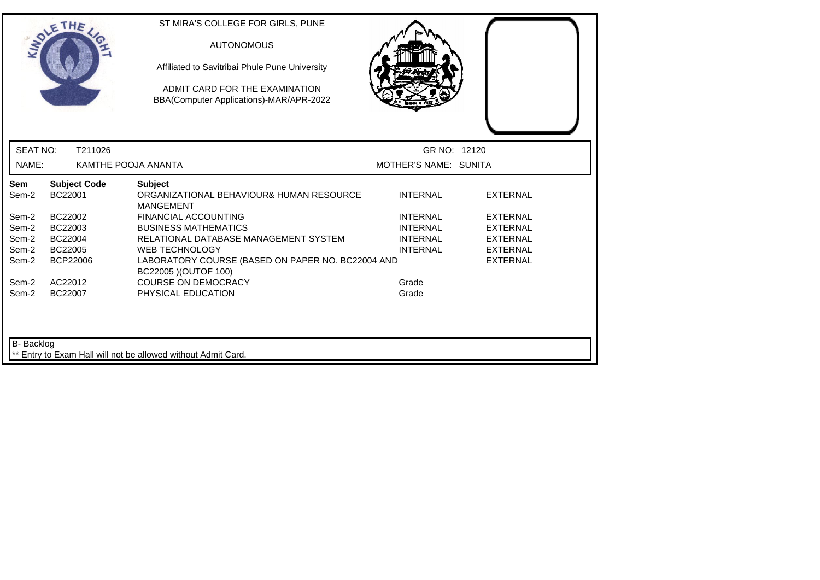|                   | DLETHE                         | ST MIRA'S COLLEGE FOR GIRLS, PUNE<br><b>AUTONOMOUS</b><br>Affiliated to Savitribai Phule Pune University<br>ADMIT CARD FOR THE EXAMINATION<br>BBA(Computer Applications)-MAR/APR-2022 |                       |                 |  |
|-------------------|--------------------------------|---------------------------------------------------------------------------------------------------------------------------------------------------------------------------------------|-----------------------|-----------------|--|
| <b>SEAT NO:</b>   | T211026                        |                                                                                                                                                                                       | GR NO: 12120          |                 |  |
| NAME:             |                                | KAMTHE POOJA ANANTA                                                                                                                                                                   | MOTHER'S NAME: SUNITA |                 |  |
| Sem<br>Sem-2      | <b>Subject Code</b><br>BC22001 | <b>Subject</b><br>ORGANIZATIONAL BEHAVIOUR& HUMAN RESOURCE<br><b>MANGEMENT</b>                                                                                                        | <b>INTERNAL</b>       | <b>EXTERNAL</b> |  |
| Sem-2             | BC22002                        | <b>FINANCIAL ACCOUNTING</b>                                                                                                                                                           | <b>INTERNAL</b>       | <b>EXTERNAL</b> |  |
| Sem-2             | BC22003                        | <b>BUSINESS MATHEMATICS</b>                                                                                                                                                           | <b>INTERNAL</b>       | <b>EXTERNAL</b> |  |
| Sem-2             | BC22004                        | RELATIONAL DATABASE MANAGEMENT SYSTEM                                                                                                                                                 | <b>INTERNAL</b>       | <b>EXTERNAL</b> |  |
| Sem-2             | BC22005                        | <b>WEB TECHNOLOGY</b>                                                                                                                                                                 | <b>INTERNAL</b>       | <b>EXTERNAL</b> |  |
| Sem-2             | <b>BCP22006</b>                | LABORATORY COURSE (BASED ON PAPER NO. BC22004 AND<br>BC22005 ) (OUTOF 100)                                                                                                            |                       | <b>EXTERNAL</b> |  |
| Sem-2             | AC22012                        | <b>COURSE ON DEMOCRACY</b>                                                                                                                                                            | Grade                 |                 |  |
| Sem-2             | BC22007                        | PHYSICAL EDUCATION                                                                                                                                                                    | Grade                 |                 |  |
| <b>B-</b> Backlog |                                | ** Entry to Exam Hall will not be allowed without Admit Card.                                                                                                                         |                       |                 |  |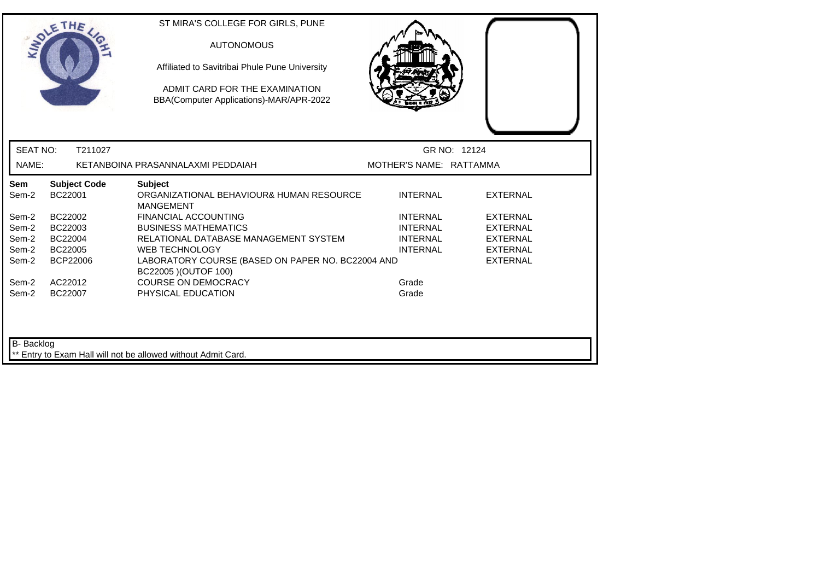|                   | SOLETHE .                      | ST MIRA'S COLLEGE FOR GIRLS, PUNE<br><b>AUTONOMOUS</b><br>Affiliated to Savitribai Phule Pune University<br>ADMIT CARD FOR THE EXAMINATION<br>BBA(Computer Applications)-MAR/APR-2022 |                         |                 |  |
|-------------------|--------------------------------|---------------------------------------------------------------------------------------------------------------------------------------------------------------------------------------|-------------------------|-----------------|--|
| <b>SEAT NO:</b>   | T211027                        |                                                                                                                                                                                       | GR NO: 12124            |                 |  |
| NAME:             |                                | KETANBOINA PRASANNALAXMI PEDDAIAH                                                                                                                                                     | MOTHER'S NAME: RATTAMMA |                 |  |
| Sem<br>Sem-2      | <b>Subject Code</b><br>BC22001 | <b>Subject</b><br>ORGANIZATIONAL BEHAVIOUR& HUMAN RESOURCE<br><b>MANGEMENT</b>                                                                                                        | <b>INTERNAL</b>         | <b>EXTERNAL</b> |  |
| Sem-2             | BC22002                        | <b>FINANCIAL ACCOUNTING</b>                                                                                                                                                           | <b>INTERNAL</b>         | <b>EXTERNAL</b> |  |
| Sem-2             | BC22003                        | <b>BUSINESS MATHEMATICS</b>                                                                                                                                                           | <b>INTERNAL</b>         | <b>EXTERNAL</b> |  |
| Sem-2             | BC22004                        | RELATIONAL DATABASE MANAGEMENT SYSTEM                                                                                                                                                 | <b>INTERNAL</b>         | <b>EXTERNAL</b> |  |
| Sem-2             | BC22005                        | <b>WEB TECHNOLOGY</b>                                                                                                                                                                 | <b>INTERNAL</b>         | <b>EXTERNAL</b> |  |
| Sem-2             | BCP22006                       | LABORATORY COURSE (BASED ON PAPER NO. BC22004 AND<br>BC22005 ) (OUTOF 100)                                                                                                            |                         | <b>EXTERNAL</b> |  |
| Sem-2             | AC22012                        | <b>COURSE ON DEMOCRACY</b>                                                                                                                                                            | Grade                   |                 |  |
| Sem-2             | BC22007                        | PHYSICAL EDUCATION                                                                                                                                                                    | Grade                   |                 |  |
| <b>B-</b> Backlog |                                | ** Entry to Exam Hall will not be allowed without Admit Card.                                                                                                                         |                         |                 |  |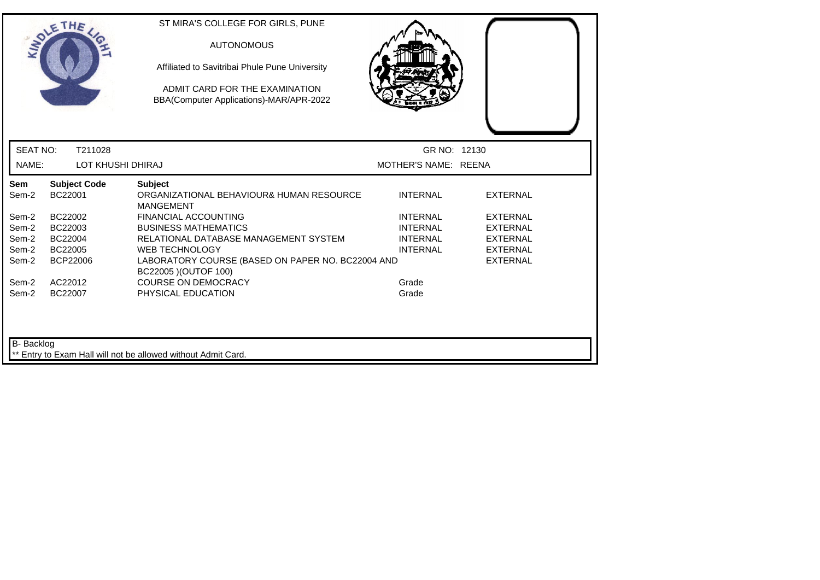|                   | ETHE                           | ST MIRA'S COLLEGE FOR GIRLS, PUNE<br><b>AUTONOMOUS</b><br>Affiliated to Savitribai Phule Pune University<br>ADMIT CARD FOR THE EXAMINATION<br>BBA(Computer Applications)-MAR/APR-2022 |                      |                 |  |
|-------------------|--------------------------------|---------------------------------------------------------------------------------------------------------------------------------------------------------------------------------------|----------------------|-----------------|--|
| <b>SEAT NO:</b>   | T211028                        |                                                                                                                                                                                       | GR NO: 12130         |                 |  |
| NAME:             | <b>LOT KHUSHI DHIRAJ</b>       |                                                                                                                                                                                       | MOTHER'S NAME: REENA |                 |  |
| Sem<br>Sem-2      | <b>Subject Code</b><br>BC22001 | <b>Subject</b><br>ORGANIZATIONAL BEHAVIOUR& HUMAN RESOURCE<br><b>MANGEMENT</b>                                                                                                        | <b>INTERNAL</b>      | <b>EXTERNAL</b> |  |
| Sem-2             | BC22002                        | <b>FINANCIAL ACCOUNTING</b>                                                                                                                                                           | <b>INTERNAL</b>      | <b>EXTERNAL</b> |  |
| Sem-2             | BC22003                        | <b>BUSINESS MATHEMATICS</b>                                                                                                                                                           | <b>INTERNAL</b>      | EXTERNAL        |  |
| Sem-2             | BC22004                        | RELATIONAL DATABASE MANAGEMENT SYSTEM                                                                                                                                                 | <b>INTERNAL</b>      | <b>EXTERNAL</b> |  |
| Sem-2             | BC22005                        | <b>WEB TECHNOLOGY</b>                                                                                                                                                                 | <b>INTERNAL</b>      | <b>EXTERNAL</b> |  |
| Sem-2             | <b>BCP22006</b>                | LABORATORY COURSE (BASED ON PAPER NO. BC22004 AND<br>BC22005 ) (OUTOF 100)                                                                                                            |                      | <b>EXTERNAL</b> |  |
| Sem-2             | AC22012                        | <b>COURSE ON DEMOCRACY</b>                                                                                                                                                            | Grade                |                 |  |
| Sem-2             | BC22007                        | PHYSICAL EDUCATION                                                                                                                                                                    | Grade                |                 |  |
| <b>B-</b> Backlog |                                | ** Entry to Exam Hall will not be allowed without Admit Card.                                                                                                                         |                      |                 |  |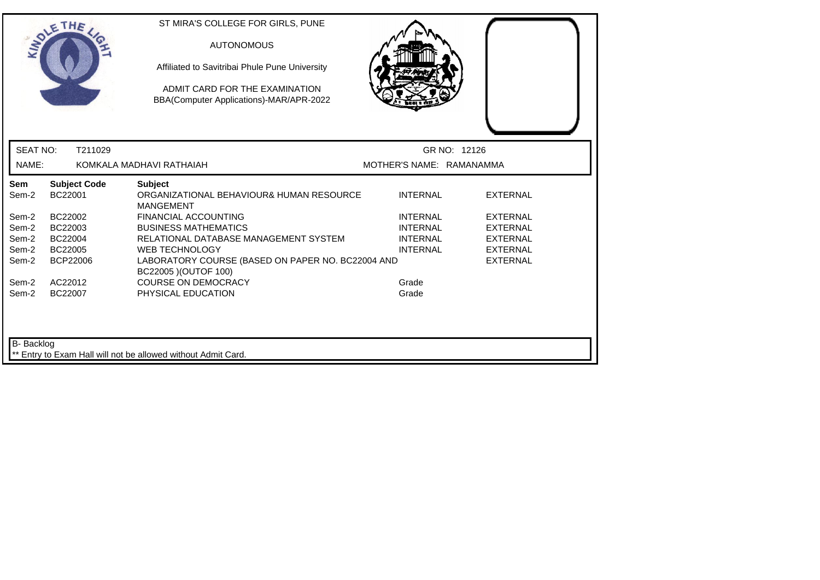|                   | SOLETHE .                      | ST MIRA'S COLLEGE FOR GIRLS, PUNE<br><b>AUTONOMOUS</b><br>Affiliated to Savitribai Phule Pune University<br>ADMIT CARD FOR THE EXAMINATION<br>BBA(Computer Applications)-MAR/APR-2022 |                          |                 |  |
|-------------------|--------------------------------|---------------------------------------------------------------------------------------------------------------------------------------------------------------------------------------|--------------------------|-----------------|--|
| <b>SEAT NO:</b>   | T211029                        |                                                                                                                                                                                       |                          | GR NO: 12126    |  |
| NAME:             |                                | KOMKALA MADHAVI RATHAIAH                                                                                                                                                              | MOTHER'S NAME: RAMANAMMA |                 |  |
| Sem<br>Sem-2      | <b>Subject Code</b><br>BC22001 | <b>Subject</b><br>ORGANIZATIONAL BEHAVIOUR& HUMAN RESOURCE<br><b>MANGEMENT</b>                                                                                                        | <b>INTERNAL</b>          | <b>EXTERNAL</b> |  |
| Sem-2             | BC22002                        | <b>FINANCIAL ACCOUNTING</b>                                                                                                                                                           | <b>INTERNAL</b>          | <b>EXTERNAL</b> |  |
| Sem-2             | BC22003                        | <b>BUSINESS MATHEMATICS</b>                                                                                                                                                           | <b>INTERNAL</b>          | <b>EXTERNAL</b> |  |
| Sem-2             | BC22004                        | RELATIONAL DATABASE MANAGEMENT SYSTEM                                                                                                                                                 | <b>INTERNAL</b>          | <b>EXTERNAL</b> |  |
| Sem-2             | BC22005                        | <b>WEB TECHNOLOGY</b>                                                                                                                                                                 | <b>INTERNAL</b>          | <b>EXTERNAL</b> |  |
| Sem-2             | <b>BCP22006</b>                | LABORATORY COURSE (BASED ON PAPER NO. BC22004 AND<br>BC22005 ) (OUTOF 100)                                                                                                            |                          | <b>EXTERNAL</b> |  |
| Sem-2             | AC22012                        | <b>COURSE ON DEMOCRACY</b>                                                                                                                                                            | Grade                    |                 |  |
| Sem-2             | BC22007                        | PHYSICAL EDUCATION                                                                                                                                                                    | Grade                    |                 |  |
| <b>B-</b> Backlog |                                | Entry to Exam Hall will not be allowed without Admit Card.                                                                                                                            |                          |                 |  |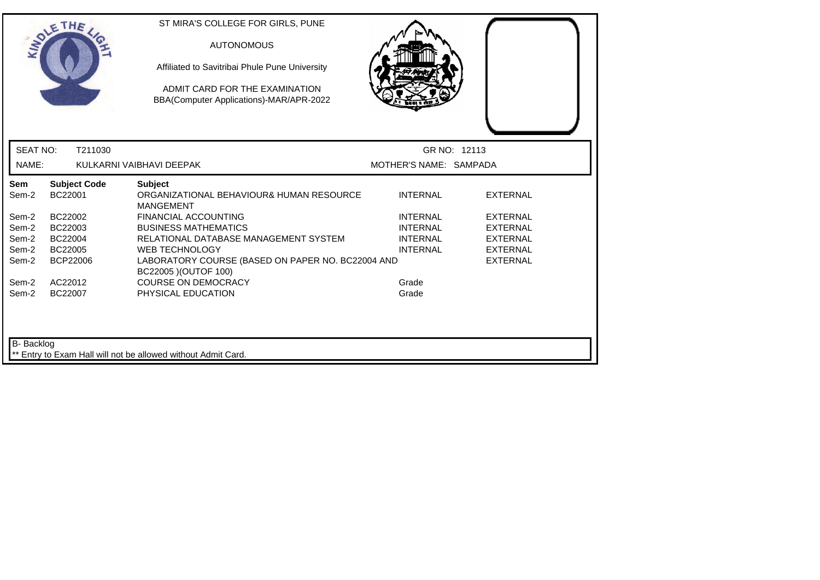| GR NO: 12113<br>MOTHER'S NAME: SAMPADA |
|----------------------------------------|
|                                        |
|                                        |
| <b>EXTERNAL</b>                        |
| <b>EXTERNAL</b>                        |
| <b>EXTERNAL</b>                        |
| <b>EXTERNAL</b>                        |
| <b>EXTERNAL</b>                        |
| <b>EXTERNAL</b>                        |
|                                        |
|                                        |
|                                        |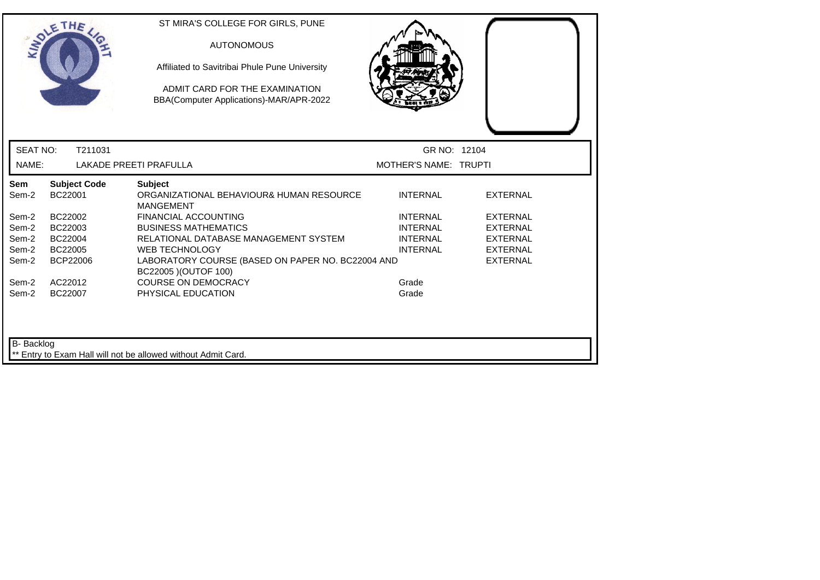|                   | THE                            | ST MIRA'S COLLEGE FOR GIRLS, PUNE<br><b>AUTONOMOUS</b><br>Affiliated to Savitribai Phule Pune University<br>ADMIT CARD FOR THE EXAMINATION<br>BBA(Computer Applications)-MAR/APR-2022 |                       |                 |
|-------------------|--------------------------------|---------------------------------------------------------------------------------------------------------------------------------------------------------------------------------------|-----------------------|-----------------|
| <b>SEAT NO:</b>   | T211031                        |                                                                                                                                                                                       | GR NO: 12104          |                 |
| NAME:             |                                | <b>LAKADE PREETI PRAFULLA</b>                                                                                                                                                         | MOTHER'S NAME: TRUPTI |                 |
| Sem<br>Sem-2      | <b>Subject Code</b><br>BC22001 | <b>Subject</b><br>ORGANIZATIONAL BEHAVIOUR& HUMAN RESOURCE<br><b>MANGEMENT</b>                                                                                                        | <b>INTERNAL</b>       | <b>EXTERNAL</b> |
| Sem-2             | BC22002                        | FINANCIAL ACCOUNTING                                                                                                                                                                  | <b>INTERNAL</b>       | <b>EXTERNAL</b> |
| Sem-2             | BC22003                        | <b>BUSINESS MATHEMATICS</b>                                                                                                                                                           | <b>INTERNAL</b>       | <b>EXTERNAL</b> |
| Sem-2             | BC22004                        | RELATIONAL DATABASE MANAGEMENT SYSTEM                                                                                                                                                 | <b>INTERNAL</b>       | <b>EXTERNAL</b> |
| Sem-2             | BC22005                        | <b>WEB TECHNOLOGY</b>                                                                                                                                                                 | <b>INTERNAL</b>       | <b>EXTERNAL</b> |
| Sem-2             | <b>BCP22006</b>                | LABORATORY COURSE (BASED ON PAPER NO. BC22004 AND<br>BC22005 ) (OUTOF 100)                                                                                                            |                       | <b>EXTERNAL</b> |
| Sem-2             | AC22012                        | <b>COURSE ON DEMOCRACY</b>                                                                                                                                                            | Grade                 |                 |
| Sem-2             | BC22007                        | PHYSICAL EDUCATION                                                                                                                                                                    | Grade                 |                 |
| <b>B-</b> Backlog |                                | ** Entry to Exam Hall will not be allowed without Admit Card.                                                                                                                         |                       |                 |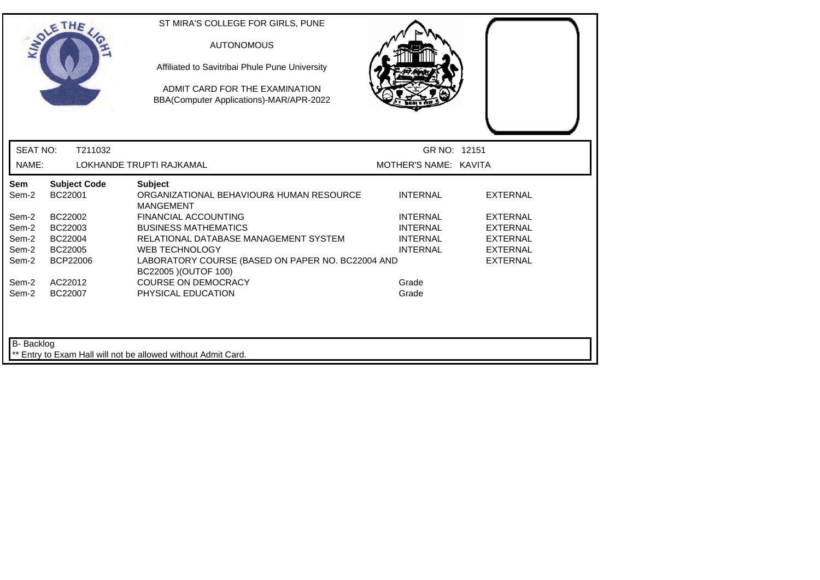|                   | SOLETHE .                      | ST MIRA'S COLLEGE FOR GIRLS, PUNE<br><b>AUTONOMOUS</b><br>Affiliated to Savitribai Phule Pune University<br>ADMIT CARD FOR THE EXAMINATION<br>BBA(Computer Applications)-MAR/APR-2022 |                       |                 |  |
|-------------------|--------------------------------|---------------------------------------------------------------------------------------------------------------------------------------------------------------------------------------|-----------------------|-----------------|--|
| <b>SEAT NO:</b>   | T211032                        |                                                                                                                                                                                       | GR NO: 12151          |                 |  |
| NAME:             |                                | LOKHANDE TRUPTI RAJKAMAL                                                                                                                                                              | MOTHER'S NAME: KAVITA |                 |  |
| Sem<br>Sem-2      | <b>Subject Code</b><br>BC22001 | <b>Subject</b><br>ORGANIZATIONAL BEHAVIOUR& HUMAN RESOURCE<br><b>MANGEMENT</b>                                                                                                        | <b>INTERNAL</b>       | <b>EXTERNAL</b> |  |
| Sem-2             | BC22002                        | <b>FINANCIAL ACCOUNTING</b>                                                                                                                                                           | <b>INTERNAL</b>       | <b>EXTERNAL</b> |  |
| Sem-2             | BC22003                        | <b>BUSINESS MATHEMATICS</b>                                                                                                                                                           | <b>INTERNAL</b>       | <b>EXTERNAL</b> |  |
| Sem-2             | BC22004                        | RELATIONAL DATABASE MANAGEMENT SYSTEM                                                                                                                                                 | <b>INTERNAL</b>       | <b>EXTERNAL</b> |  |
| Sem-2             | BC22005                        | <b>WEB TECHNOLOGY</b>                                                                                                                                                                 | <b>INTERNAL</b>       | <b>EXTERNAL</b> |  |
| Sem-2             | <b>BCP22006</b>                | LABORATORY COURSE (BASED ON PAPER NO. BC22004 AND<br>BC22005 ) (OUTOF 100)                                                                                                            |                       | <b>EXTERNAL</b> |  |
| Sem-2             | AC22012                        | <b>COURSE ON DEMOCRACY</b>                                                                                                                                                            | Grade                 |                 |  |
| Sem-2             | BC22007                        | PHYSICAL EDUCATION                                                                                                                                                                    | Grade                 |                 |  |
| <b>B-</b> Backlog |                                | ** Entry to Exam Hall will not be allowed without Admit Card.                                                                                                                         |                       |                 |  |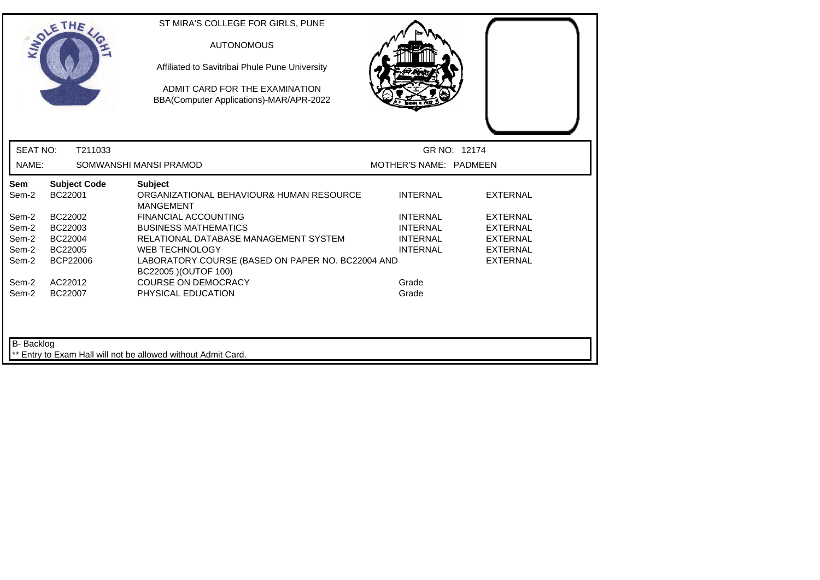|                   | SOLETHE                        | ST MIRA'S COLLEGE FOR GIRLS, PUNE<br><b>AUTONOMOUS</b><br>Affiliated to Savitribai Phule Pune University<br>ADMIT CARD FOR THE EXAMINATION<br>BBA(Computer Applications)-MAR/APR-2022 |                        |                 |
|-------------------|--------------------------------|---------------------------------------------------------------------------------------------------------------------------------------------------------------------------------------|------------------------|-----------------|
| <b>SEAT NO:</b>   | T211033                        |                                                                                                                                                                                       | GR NO: 12174           |                 |
| NAME:             |                                | SOMWANSHI MANSI PRAMOD                                                                                                                                                                | MOTHER'S NAME: PADMEEN |                 |
| Sem<br>Sem-2      | <b>Subject Code</b><br>BC22001 | <b>Subject</b><br>ORGANIZATIONAL BEHAVIOUR& HUMAN RESOURCE<br><b>MANGEMENT</b>                                                                                                        | <b>INTERNAL</b>        | <b>EXTERNAL</b> |
| Sem-2             | BC22002                        | <b>FINANCIAL ACCOUNTING</b>                                                                                                                                                           | <b>INTERNAL</b>        | <b>EXTERNAL</b> |
| Sem-2             | BC22003                        | <b>BUSINESS MATHEMATICS</b>                                                                                                                                                           | <b>INTERNAL</b>        | <b>EXTERNAL</b> |
| Sem-2             | BC22004                        | RELATIONAL DATABASE MANAGEMENT SYSTEM                                                                                                                                                 | <b>INTERNAL</b>        | <b>EXTERNAL</b> |
| Sem-2             | BC22005                        | <b>WEB TECHNOLOGY</b>                                                                                                                                                                 | <b>INTERNAL</b>        | <b>EXTERNAL</b> |
| Sem-2             | BCP22006                       | LABORATORY COURSE (BASED ON PAPER NO. BC22004 AND<br>BC22005 ) (OUTOF 100)                                                                                                            |                        | <b>EXTERNAL</b> |
| Sem-2             | AC22012                        | <b>COURSE ON DEMOCRACY</b>                                                                                                                                                            | Grade                  |                 |
| Sem-2             | BC22007                        | PHYSICAL EDUCATION                                                                                                                                                                    | Grade                  |                 |
| <b>B-</b> Backlog |                                | Entry to Exam Hall will not be allowed without Admit Card.                                                                                                                            |                        |                 |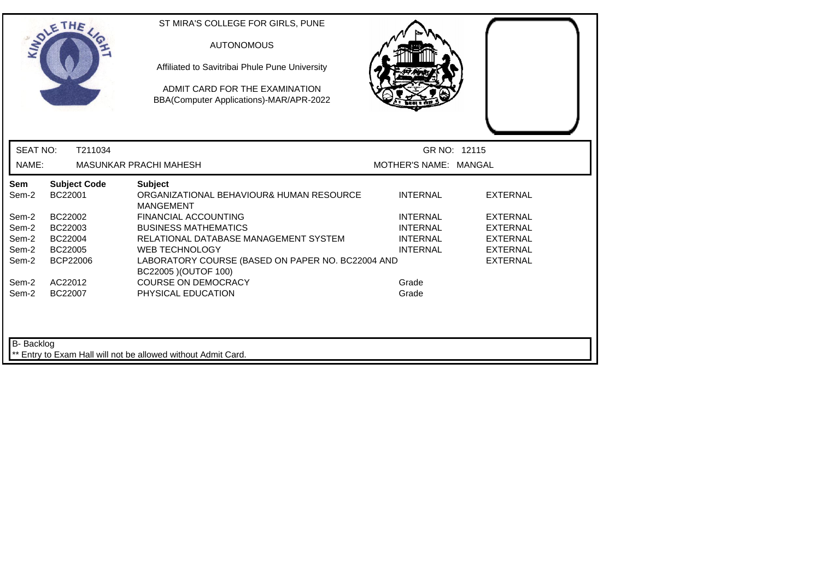|                   | SOLETHE                        | ST MIRA'S COLLEGE FOR GIRLS, PUNE<br><b>AUTONOMOUS</b><br>Affiliated to Savitribai Phule Pune University<br>ADMIT CARD FOR THE EXAMINATION<br>BBA(Computer Applications)-MAR/APR-2022 |                       |                 |
|-------------------|--------------------------------|---------------------------------------------------------------------------------------------------------------------------------------------------------------------------------------|-----------------------|-----------------|
| <b>SEAT NO:</b>   | T211034                        |                                                                                                                                                                                       | GR NO: 12115          |                 |
| NAME:             |                                | <b>MASUNKAR PRACHI MAHESH</b>                                                                                                                                                         | MOTHER'S NAME: MANGAL |                 |
| Sem<br>Sem-2      | <b>Subject Code</b><br>BC22001 | <b>Subject</b><br>ORGANIZATIONAL BEHAVIOUR& HUMAN RESOURCE<br><b>MANGEMENT</b>                                                                                                        | <b>INTERNAL</b>       | <b>EXTERNAL</b> |
| Sem-2             | BC22002                        | <b>FINANCIAL ACCOUNTING</b>                                                                                                                                                           | <b>INTERNAL</b>       | <b>EXTERNAL</b> |
| Sem-2             | BC22003                        | <b>BUSINESS MATHEMATICS</b>                                                                                                                                                           | <b>INTERNAL</b>       | <b>EXTERNAL</b> |
| Sem-2             | BC22004                        | RELATIONAL DATABASE MANAGEMENT SYSTEM                                                                                                                                                 | <b>INTERNAL</b>       | <b>EXTERNAL</b> |
| Sem-2             | BC22005                        | <b>WEB TECHNOLOGY</b>                                                                                                                                                                 | <b>INTERNAL</b>       | <b>EXTERNAL</b> |
| Sem-2             | BCP22006                       | LABORATORY COURSE (BASED ON PAPER NO. BC22004 AND<br>BC22005 ) (OUTOF 100)                                                                                                            |                       | <b>EXTERNAL</b> |
| Sem-2             | AC22012                        | <b>COURSE ON DEMOCRACY</b>                                                                                                                                                            | Grade                 |                 |
| Sem-2             | BC22007                        | PHYSICAL EDUCATION                                                                                                                                                                    | Grade                 |                 |
| <b>B-</b> Backlog |                                | Entry to Exam Hall will not be allowed without Admit Card.                                                                                                                            |                       |                 |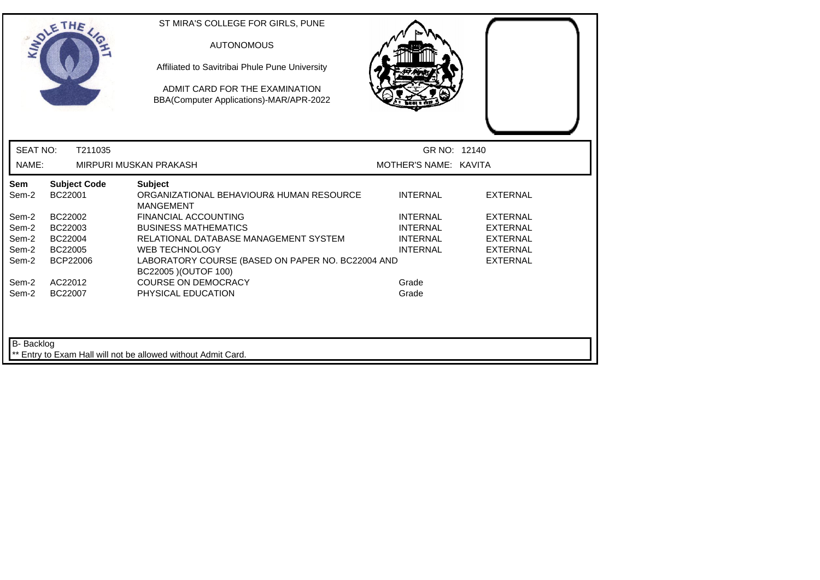|                                     | SOLETHE                        | ST MIRA'S COLLEGE FOR GIRLS, PUNE<br><b>AUTONOMOUS</b><br>Affiliated to Savitribai Phule Pune University<br>ADMIT CARD FOR THE EXAMINATION<br>BBA(Computer Applications)-MAR/APR-2022 |                       |                 |
|-------------------------------------|--------------------------------|---------------------------------------------------------------------------------------------------------------------------------------------------------------------------------------|-----------------------|-----------------|
| <b>SEAT NO:</b>                     | T211035                        |                                                                                                                                                                                       | GR NO: 12140          |                 |
| NAME:                               |                                | MIRPURI MUSKAN PRAKASH                                                                                                                                                                | MOTHER'S NAME: KAVITA |                 |
| Sem<br>Sem-2                        | <b>Subject Code</b><br>BC22001 | <b>Subject</b><br>ORGANIZATIONAL BEHAVIOUR& HUMAN RESOURCE<br><b>MANGEMENT</b>                                                                                                        | <b>INTERNAL</b>       | <b>EXTERNAL</b> |
| Sem-2                               | BC22002                        | <b>FINANCIAL ACCOUNTING</b>                                                                                                                                                           | <b>INTERNAL</b>       | <b>EXTERNAL</b> |
| Sem-2                               | BC22003                        | <b>BUSINESS MATHEMATICS</b>                                                                                                                                                           | <b>INTERNAL</b>       | <b>EXTERNAL</b> |
| Sem-2                               | BC22004                        | RELATIONAL DATABASE MANAGEMENT SYSTEM                                                                                                                                                 | <b>INTERNAL</b>       | <b>EXTERNAL</b> |
| Sem-2                               | BC22005                        | <b>WEB TECHNOLOGY</b>                                                                                                                                                                 | <b>INTERNAL</b>       | <b>EXTERNAL</b> |
| Sem-2                               | <b>BCP22006</b>                | LABORATORY COURSE (BASED ON PAPER NO. BC22004 AND<br>BC22005 ) (OUTOF 100)                                                                                                            |                       | <b>EXTERNAL</b> |
|                                     | AC22012                        | <b>COURSE ON DEMOCRACY</b>                                                                                                                                                            | Grade                 |                 |
|                                     | BC22007                        | PHYSICAL EDUCATION                                                                                                                                                                    | Grade                 |                 |
| Sem-2<br>Sem-2<br><b>B-</b> Backlog |                                | Entry to Exam Hall will not be allowed without Admit Card.                                                                                                                            |                       |                 |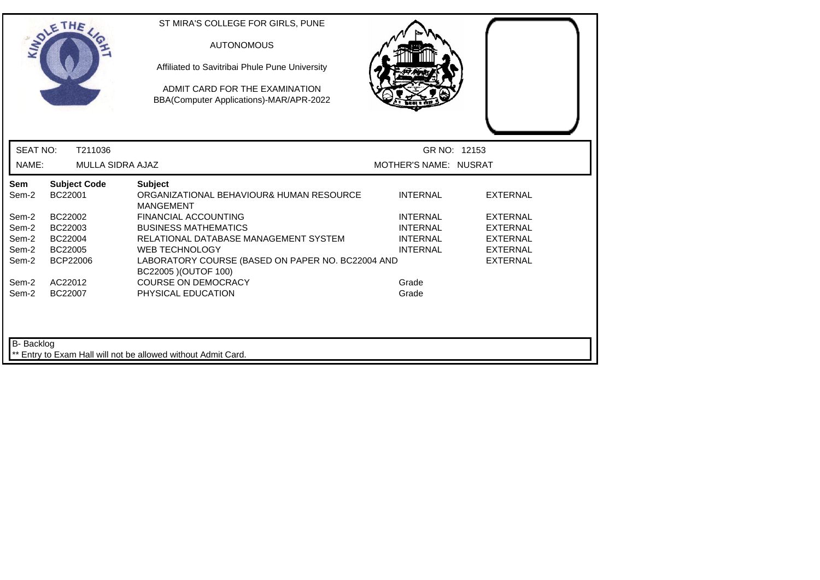|                 | OLETHE                         | ST MIRA'S COLLEGE FOR GIRLS, PUNE<br><b>AUTONOMOUS</b><br>Affiliated to Savitribai Phule Pune University<br>ADMIT CARD FOR THE EXAMINATION<br>BBA(Computer Applications)-MAR/APR-2022 |                       |                 |
|-----------------|--------------------------------|---------------------------------------------------------------------------------------------------------------------------------------------------------------------------------------|-----------------------|-----------------|
| <b>SEAT NO:</b> | T211036                        |                                                                                                                                                                                       | GR NO: 12153          |                 |
| NAME:           | <b>MULLA SIDRA AJAZ</b>        |                                                                                                                                                                                       | MOTHER'S NAME: NUSRAT |                 |
| Sem<br>Sem-2    | <b>Subject Code</b><br>BC22001 | <b>Subject</b><br>ORGANIZATIONAL BEHAVIOUR& HUMAN RESOURCE<br><b>MANGEMENT</b>                                                                                                        | <b>INTERNAL</b>       | <b>EXTERNAL</b> |
| Sem-2           | BC22002                        | <b>FINANCIAL ACCOUNTING</b>                                                                                                                                                           | <b>INTERNAL</b>       | <b>EXTERNAL</b> |
| Sem-2           | BC22003                        | <b>BUSINESS MATHEMATICS</b>                                                                                                                                                           | <b>INTERNAL</b>       | <b>EXTERNAL</b> |
| Sem-2           | BC22004                        | RELATIONAL DATABASE MANAGEMENT SYSTEM                                                                                                                                                 | <b>INTERNAL</b>       | <b>EXTERNAL</b> |
| Sem-2           | BC22005                        | <b>WEB TECHNOLOGY</b>                                                                                                                                                                 | <b>INTERNAL</b>       | <b>EXTERNAL</b> |
| Sem-2           | <b>BCP22006</b>                | LABORATORY COURSE (BASED ON PAPER NO. BC22004 AND<br>BC22005 ) (OUTOF 100)                                                                                                            |                       | <b>EXTERNAL</b> |
| Sem-2           | AC22012                        | <b>COURSE ON DEMOCRACY</b>                                                                                                                                                            | Grade                 |                 |
| Sem-2           | BC22007                        | PHYSICAL EDUCATION                                                                                                                                                                    | Grade                 |                 |
| B- Backlog      |                                | Entry to Exam Hall will not be allowed without Admit Card.                                                                                                                            |                       |                 |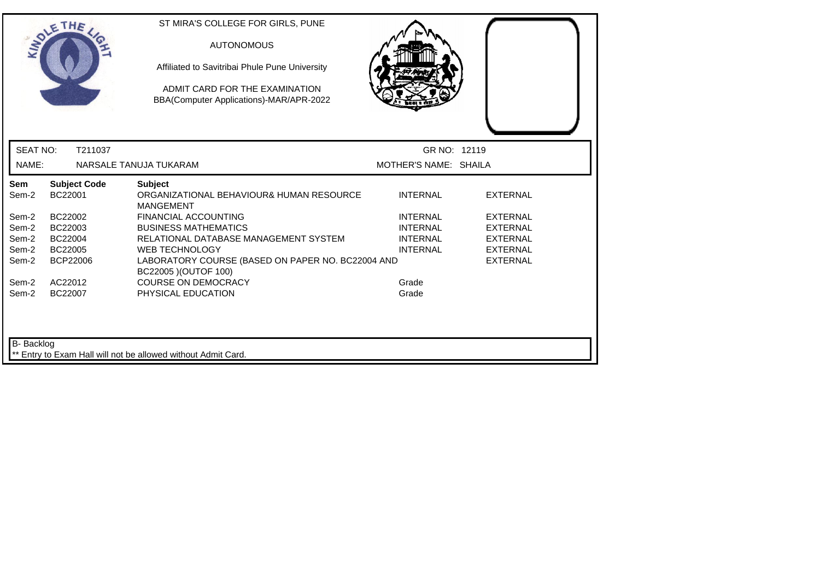|                   | <b>SOLETHE</b>                 | ST MIRA'S COLLEGE FOR GIRLS, PUNE<br><b>AUTONOMOUS</b><br>Affiliated to Savitribai Phule Pune University<br>ADMIT CARD FOR THE EXAMINATION<br>BBA(Computer Applications)-MAR/APR-2022 |                       |                 |
|-------------------|--------------------------------|---------------------------------------------------------------------------------------------------------------------------------------------------------------------------------------|-----------------------|-----------------|
| <b>SEAT NO:</b>   | T211037                        |                                                                                                                                                                                       | GR NO: 12119          |                 |
| NAME:             |                                | NARSALE TANUJA TUKARAM                                                                                                                                                                | MOTHER'S NAME: SHAILA |                 |
| Sem<br>Sem-2      | <b>Subject Code</b><br>BC22001 | <b>Subject</b><br>ORGANIZATIONAL BEHAVIOUR& HUMAN RESOURCE<br><b>MANGEMENT</b>                                                                                                        | <b>INTERNAL</b>       | <b>EXTERNAL</b> |
| Sem-2             | BC22002                        | <b>FINANCIAL ACCOUNTING</b>                                                                                                                                                           | <b>INTERNAL</b>       | <b>EXTERNAL</b> |
| Sem-2             | BC22003                        | <b>BUSINESS MATHEMATICS</b>                                                                                                                                                           | <b>INTERNAL</b>       | <b>EXTERNAL</b> |
| Sem-2             | BC22004                        | RELATIONAL DATABASE MANAGEMENT SYSTEM                                                                                                                                                 | <b>INTERNAL</b>       | <b>EXTERNAL</b> |
| Sem-2             | BC22005                        | <b>WEB TECHNOLOGY</b>                                                                                                                                                                 | <b>INTERNAL</b>       | <b>EXTERNAL</b> |
| Sem-2             | <b>BCP22006</b>                | LABORATORY COURSE (BASED ON PAPER NO. BC22004 AND<br>BC22005 ) (OUTOF 100)                                                                                                            |                       | <b>EXTERNAL</b> |
| Sem-2             | AC22012                        | <b>COURSE ON DEMOCRACY</b>                                                                                                                                                            | Grade                 |                 |
| Sem-2             | BC22007                        | PHYSICAL EDUCATION                                                                                                                                                                    | Grade                 |                 |
| <b>B-</b> Backlog |                                | ** Entry to Exam Hall will not be allowed without Admit Card.                                                                                                                         |                       |                 |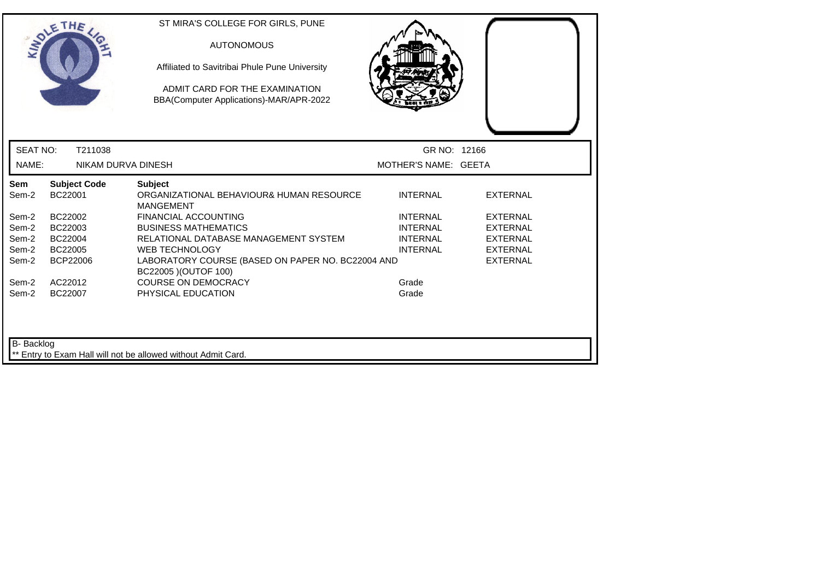|                   | OLETHE                         | ST MIRA'S COLLEGE FOR GIRLS, PUNE<br><b>AUTONOMOUS</b><br>Affiliated to Savitribai Phule Pune University<br>ADMIT CARD FOR THE EXAMINATION<br>BBA(Computer Applications)-MAR/APR-2022 |                      |                 |  |
|-------------------|--------------------------------|---------------------------------------------------------------------------------------------------------------------------------------------------------------------------------------|----------------------|-----------------|--|
| <b>SEAT NO:</b>   | T211038                        |                                                                                                                                                                                       | GR NO: 12166         |                 |  |
| NAME:             | NIKAM DURVA DINESH             |                                                                                                                                                                                       | MOTHER'S NAME: GEETA |                 |  |
| Sem<br>Sem-2      | <b>Subject Code</b><br>BC22001 | <b>Subject</b><br>ORGANIZATIONAL BEHAVIOUR& HUMAN RESOURCE<br><b>MANGEMENT</b>                                                                                                        | <b>INTERNAL</b>      | <b>EXTERNAL</b> |  |
| Sem-2             | BC22002                        | <b>FINANCIAL ACCOUNTING</b>                                                                                                                                                           | <b>INTERNAL</b>      | <b>EXTERNAL</b> |  |
| Sem-2             | BC22003                        | <b>BUSINESS MATHEMATICS</b>                                                                                                                                                           | <b>INTERNAL</b>      | EXTERNAL        |  |
| Sem-2             | BC22004                        | RELATIONAL DATABASE MANAGEMENT SYSTEM                                                                                                                                                 | <b>INTERNAL</b>      | <b>EXTERNAL</b> |  |
| Sem-2             | BC22005                        | <b>WEB TECHNOLOGY</b>                                                                                                                                                                 | <b>INTERNAL</b>      | <b>EXTERNAL</b> |  |
| Sem-2             | <b>BCP22006</b>                | LABORATORY COURSE (BASED ON PAPER NO. BC22004 AND<br>BC22005 ) (OUTOF 100)                                                                                                            |                      | <b>EXTERNAL</b> |  |
| Sem-2             | AC22012                        | <b>COURSE ON DEMOCRACY</b>                                                                                                                                                            | Grade                |                 |  |
| Sem-2             | BC22007                        | PHYSICAL EDUCATION                                                                                                                                                                    | Grade                |                 |  |
| <b>B-</b> Backlog |                                | ** Entry to Exam Hall will not be allowed without Admit Card.                                                                                                                         |                      |                 |  |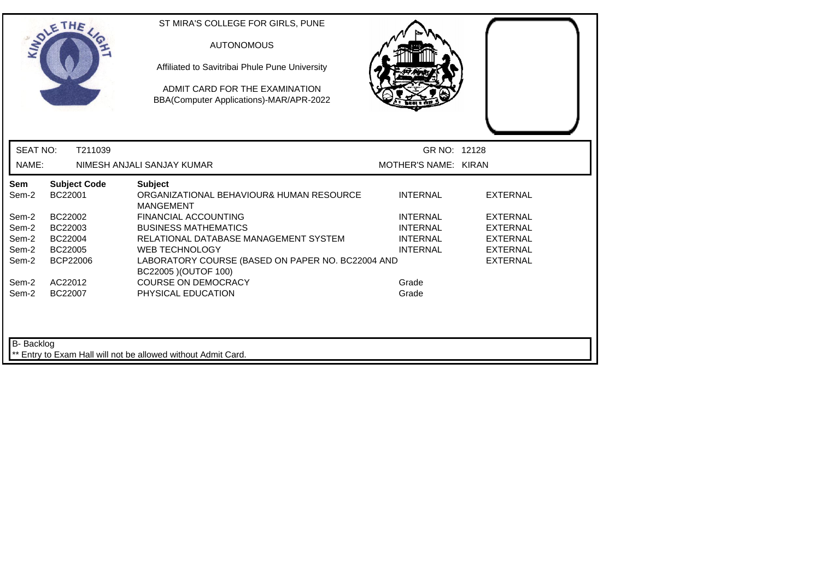|                   | SOLETHE                        | ST MIRA'S COLLEGE FOR GIRLS, PUNE<br><b>AUTONOMOUS</b><br>Affiliated to Savitribai Phule Pune University<br>ADMIT CARD FOR THE EXAMINATION<br>BBA(Computer Applications)-MAR/APR-2022 |                      |                 |  |
|-------------------|--------------------------------|---------------------------------------------------------------------------------------------------------------------------------------------------------------------------------------|----------------------|-----------------|--|
| <b>SEAT NO:</b>   | T211039                        |                                                                                                                                                                                       | GR NO: 12128         |                 |  |
| NAME:             |                                | NIMESH ANJALI SANJAY KUMAR                                                                                                                                                            | MOTHER'S NAME: KIRAN |                 |  |
| Sem<br>Sem-2      | <b>Subject Code</b><br>BC22001 | <b>Subject</b><br>ORGANIZATIONAL BEHAVIOUR& HUMAN RESOURCE<br><b>MANGEMENT</b>                                                                                                        | <b>INTERNAL</b>      | <b>EXTERNAL</b> |  |
| Sem-2             | BC22002                        | <b>FINANCIAL ACCOUNTING</b>                                                                                                                                                           | <b>INTERNAL</b>      | <b>EXTERNAL</b> |  |
| Sem-2             | BC22003                        | <b>BUSINESS MATHEMATICS</b>                                                                                                                                                           | <b>INTERNAL</b>      | <b>EXTERNAL</b> |  |
| Sem-2             | BC22004                        | RELATIONAL DATABASE MANAGEMENT SYSTEM                                                                                                                                                 | <b>INTERNAL</b>      | <b>EXTERNAL</b> |  |
| Sem-2             | BC22005                        | <b>WEB TECHNOLOGY</b>                                                                                                                                                                 | <b>INTERNAL</b>      | <b>EXTERNAL</b> |  |
| Sem-2             | <b>BCP22006</b>                | LABORATORY COURSE (BASED ON PAPER NO. BC22004 AND<br>BC22005 ) (OUTOF 100)                                                                                                            |                      | <b>EXTERNAL</b> |  |
| Sem-2             | AC22012                        | <b>COURSE ON DEMOCRACY</b>                                                                                                                                                            | Grade                |                 |  |
| Sem-2             | BC22007                        | PHYSICAL EDUCATION                                                                                                                                                                    | Grade                |                 |  |
| <b>B-</b> Backlog |                                | ** Entry to Exam Hall will not be allowed without Admit Card.                                                                                                                         |                      |                 |  |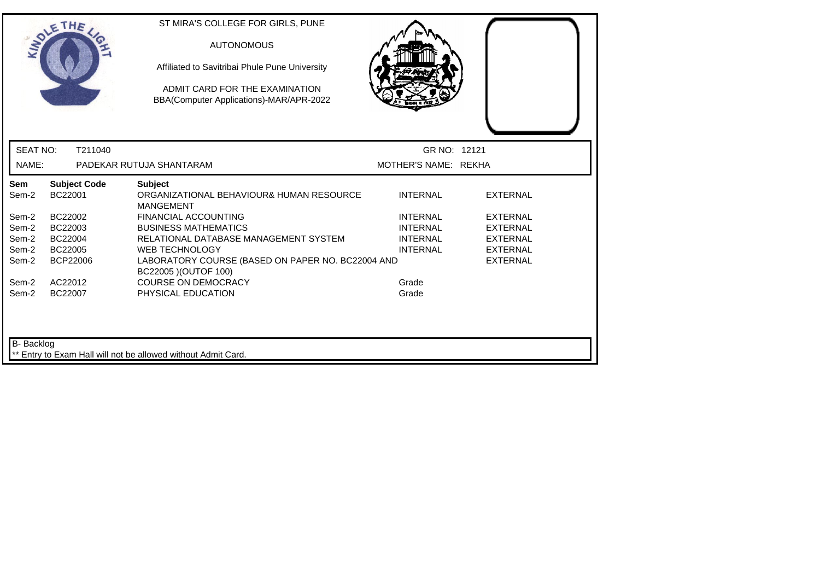|                 | SOLETHE .                      | ST MIRA'S COLLEGE FOR GIRLS, PUNE<br><b>AUTONOMOUS</b><br>Affiliated to Savitribai Phule Pune University<br>ADMIT CARD FOR THE EXAMINATION<br>BBA(Computer Applications)-MAR/APR-2022 |                      |                 |  |
|-----------------|--------------------------------|---------------------------------------------------------------------------------------------------------------------------------------------------------------------------------------|----------------------|-----------------|--|
| <b>SEAT NO:</b> | T211040                        |                                                                                                                                                                                       | GR NO: 12121         |                 |  |
| NAME:           |                                | PADEKAR RUTUJA SHANTARAM                                                                                                                                                              | MOTHER'S NAME: REKHA |                 |  |
| Sem<br>Sem-2    | <b>Subject Code</b><br>BC22001 | <b>Subject</b><br>ORGANIZATIONAL BEHAVIOUR& HUMAN RESOURCE<br><b>MANGEMENT</b>                                                                                                        | <b>INTERNAL</b>      | <b>EXTERNAL</b> |  |
| Sem-2           | BC22002                        | <b>FINANCIAL ACCOUNTING</b>                                                                                                                                                           | <b>INTERNAL</b>      | <b>EXTERNAL</b> |  |
| Sem-2           | BC22003                        | <b>BUSINESS MATHEMATICS</b>                                                                                                                                                           | <b>INTERNAL</b>      | <b>EXTERNAL</b> |  |
| Sem-2           | BC22004                        | RELATIONAL DATABASE MANAGEMENT SYSTEM                                                                                                                                                 | <b>INTERNAL</b>      | <b>EXTERNAL</b> |  |
| Sem-2           | BC22005                        | <b>WEB TECHNOLOGY</b>                                                                                                                                                                 | <b>INTERNAL</b>      | <b>EXTERNAL</b> |  |
| Sem-2           | <b>BCP22006</b>                | LABORATORY COURSE (BASED ON PAPER NO. BC22004 AND<br>BC22005 ) (OUTOF 100)                                                                                                            |                      | <b>EXTERNAL</b> |  |
| Sem-2           | AC22012                        | <b>COURSE ON DEMOCRACY</b>                                                                                                                                                            | Grade                |                 |  |
| Sem-2           | BC22007                        | PHYSICAL EDUCATION                                                                                                                                                                    | Grade                |                 |  |
| B- Backlog      |                                | Entry to Exam Hall will not be allowed without Admit Card.                                                                                                                            |                      |                 |  |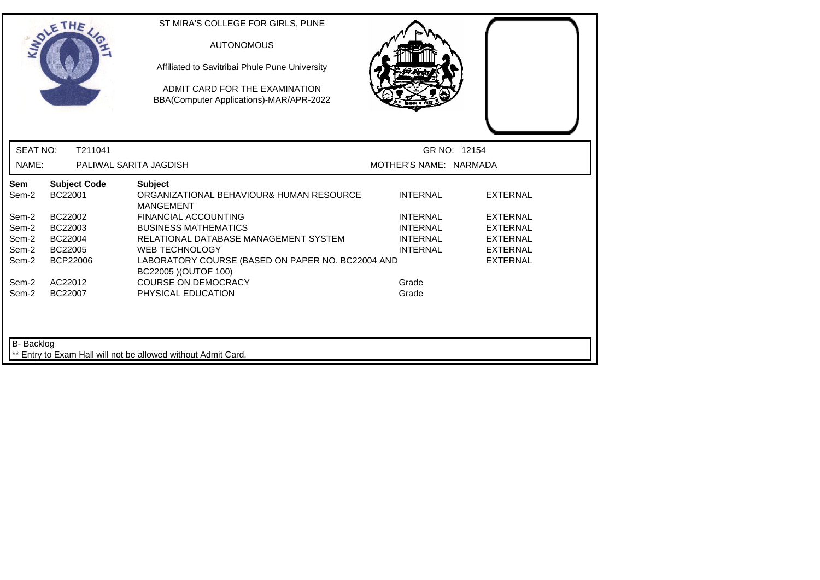|                 | <b>SOLETHE</b>                 | ST MIRA'S COLLEGE FOR GIRLS, PUNE<br><b>AUTONOMOUS</b><br>Affiliated to Savitribai Phule Pune University<br>ADMIT CARD FOR THE EXAMINATION<br>BBA(Computer Applications)-MAR/APR-2022 |                        |                 |
|-----------------|--------------------------------|---------------------------------------------------------------------------------------------------------------------------------------------------------------------------------------|------------------------|-----------------|
| <b>SEAT NO:</b> | T211041                        |                                                                                                                                                                                       |                        | GR NO: 12154    |
| NAME:           |                                | PALIWAL SARITA JAGDISH                                                                                                                                                                | MOTHER'S NAME: NARMADA |                 |
| Sem<br>Sem-2    | <b>Subject Code</b><br>BC22001 | <b>Subject</b><br>ORGANIZATIONAL BEHAVIOUR& HUMAN RESOURCE<br><b>MANGEMENT</b>                                                                                                        | <b>INTERNAL</b>        | <b>EXTERNAL</b> |
| Sem-2           | BC22002                        | <b>FINANCIAL ACCOUNTING</b>                                                                                                                                                           | <b>INTERNAL</b>        | <b>EXTERNAL</b> |
| Sem-2           | BC22003                        | <b>BUSINESS MATHEMATICS</b>                                                                                                                                                           | <b>INTERNAL</b>        | EXTERNAL        |
| Sem-2           | BC22004                        | RELATIONAL DATABASE MANAGEMENT SYSTEM                                                                                                                                                 | <b>INTERNAL</b>        | <b>EXTERNAL</b> |
| Sem-2           | BC22005                        | <b>WEB TECHNOLOGY</b>                                                                                                                                                                 | <b>INTERNAL</b>        | <b>EXTERNAL</b> |
| Sem-2           | <b>BCP22006</b>                | LABORATORY COURSE (BASED ON PAPER NO. BC22004 AND<br>BC22005 ) (OUTOF 100)                                                                                                            |                        | <b>EXTERNAL</b> |
| Sem-2           | AC22012                        | <b>COURSE ON DEMOCRACY</b>                                                                                                                                                            | Grade                  |                 |
| Sem-2           | BC22007                        | PHYSICAL EDUCATION                                                                                                                                                                    | Grade                  |                 |
| B- Backlog      |                                | ** Entry to Exam Hall will not be allowed without Admit Card.                                                                                                                         |                        |                 |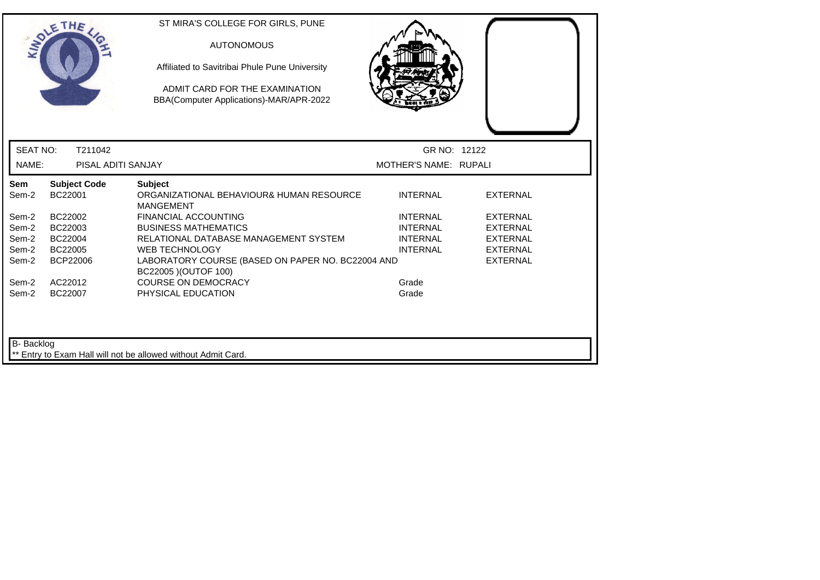|                   | OLETHE                         | ST MIRA'S COLLEGE FOR GIRLS, PUNE<br><b>AUTONOMOUS</b><br>Affiliated to Savitribai Phule Pune University<br>ADMIT CARD FOR THE EXAMINATION<br>BBA(Computer Applications)-MAR/APR-2022 |                       |                 |
|-------------------|--------------------------------|---------------------------------------------------------------------------------------------------------------------------------------------------------------------------------------|-----------------------|-----------------|
| <b>SEAT NO:</b>   | T211042                        |                                                                                                                                                                                       | GR NO: 12122          |                 |
| NAME:             | PISAL ADITI SANJAY             |                                                                                                                                                                                       | MOTHER'S NAME: RUPALI |                 |
| Sem<br>Sem-2      | <b>Subject Code</b><br>BC22001 | <b>Subject</b><br>ORGANIZATIONAL BEHAVIOUR& HUMAN RESOURCE<br><b>MANGEMENT</b>                                                                                                        | <b>INTERNAL</b>       | <b>EXTERNAL</b> |
| Sem-2             | BC22002                        | <b>FINANCIAL ACCOUNTING</b>                                                                                                                                                           | <b>INTERNAL</b>       | <b>EXTERNAL</b> |
| Sem-2             | BC22003                        | <b>BUSINESS MATHEMATICS</b>                                                                                                                                                           | <b>INTERNAL</b>       | <b>EXTERNAL</b> |
| Sem-2             | BC22004                        | RELATIONAL DATABASE MANAGEMENT SYSTEM                                                                                                                                                 | <b>INTERNAL</b>       | <b>EXTERNAL</b> |
| Sem-2             | BC22005                        | <b>WEB TECHNOLOGY</b>                                                                                                                                                                 | <b>INTERNAL</b>       | <b>EXTERNAL</b> |
| Sem-2             | <b>BCP22006</b>                | LABORATORY COURSE (BASED ON PAPER NO. BC22004 AND<br>BC22005 ) (OUTOF 100)                                                                                                            |                       | <b>EXTERNAL</b> |
| Sem-2             | AC22012                        | <b>COURSE ON DEMOCRACY</b>                                                                                                                                                            | Grade                 |                 |
| Sem-2             | BC22007                        | PHYSICAL EDUCATION                                                                                                                                                                    | Grade                 |                 |
| <b>B-</b> Backlog |                                | ** Entry to Exam Hall will not be allowed without Admit Card.                                                                                                                         |                       |                 |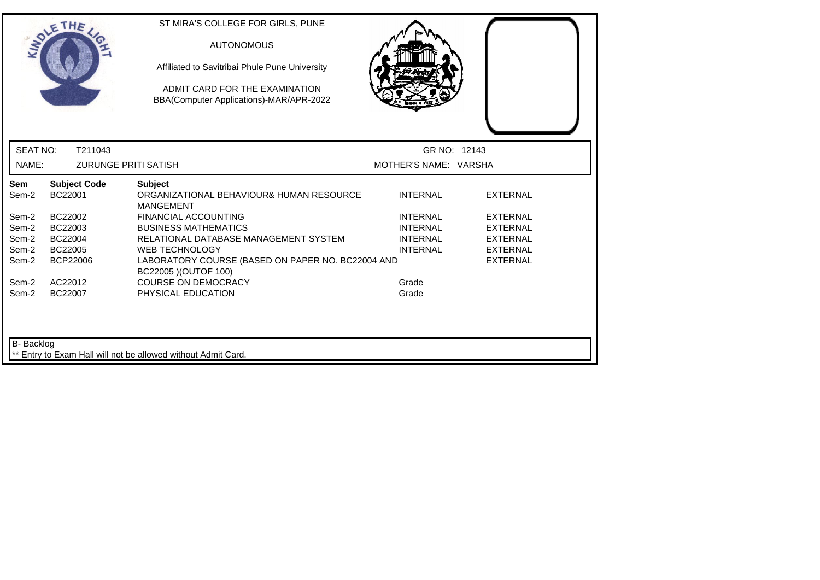|                   | <b>SOLETHE</b>                 | ST MIRA'S COLLEGE FOR GIRLS, PUNE<br><b>AUTONOMOUS</b><br>Affiliated to Savitribai Phule Pune University<br>ADMIT CARD FOR THE EXAMINATION<br>BBA(Computer Applications)-MAR/APR-2022 |                       |                 |
|-------------------|--------------------------------|---------------------------------------------------------------------------------------------------------------------------------------------------------------------------------------|-----------------------|-----------------|
| <b>SEAT NO:</b>   | T211043                        |                                                                                                                                                                                       | GR NO: 12143          |                 |
| NAME:             | <b>ZURUNGE PRITI SATISH</b>    |                                                                                                                                                                                       | MOTHER'S NAME: VARSHA |                 |
| Sem<br>Sem-2      | <b>Subject Code</b><br>BC22001 | <b>Subject</b><br>ORGANIZATIONAL BEHAVIOUR& HUMAN RESOURCE<br><b>MANGEMENT</b>                                                                                                        | <b>INTERNAL</b>       | <b>EXTERNAL</b> |
| Sem-2             | BC22002                        | <b>FINANCIAL ACCOUNTING</b>                                                                                                                                                           | <b>INTERNAL</b>       | <b>EXTERNAL</b> |
| Sem-2             | BC22003                        | <b>BUSINESS MATHEMATICS</b>                                                                                                                                                           | <b>INTERNAL</b>       | <b>EXTERNAL</b> |
| Sem-2             | BC22004                        | RELATIONAL DATABASE MANAGEMENT SYSTEM                                                                                                                                                 | <b>INTERNAL</b>       | <b>EXTERNAL</b> |
| Sem-2             | BC22005                        | <b>WEB TECHNOLOGY</b>                                                                                                                                                                 | <b>INTERNAL</b>       | <b>EXTERNAL</b> |
| Sem-2             | <b>BCP22006</b>                | LABORATORY COURSE (BASED ON PAPER NO. BC22004 AND<br>BC22005 ) (OUTOF 100)                                                                                                            |                       | <b>EXTERNAL</b> |
| Sem-2             | AC22012                        | <b>COURSE ON DEMOCRACY</b>                                                                                                                                                            | Grade                 |                 |
| Sem-2             | BC22007                        | PHYSICAL EDUCATION                                                                                                                                                                    | Grade                 |                 |
| <b>B-</b> Backlog |                                | ** Entry to Exam Hall will not be allowed without Admit Card.                                                                                                                         |                       |                 |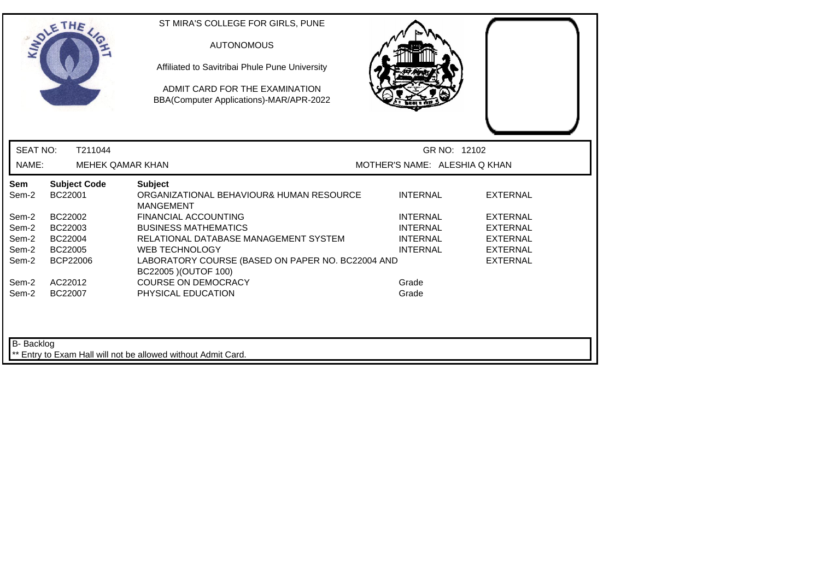| GR NO: 12102<br>MOTHER'S NAME: ALESHIA Q KHAN |
|-----------------------------------------------|
|                                               |
|                                               |
| <b>INTERNAL</b><br><b>EXTERNAL</b>            |
| <b>INTERNAL</b><br><b>EXTERNAL</b>            |
| <b>INTERNAL</b><br><b>EXTERNAL</b>            |
| <b>INTERNAL</b><br><b>EXTERNAL</b>            |
| <b>INTERNAL</b><br><b>EXTERNAL</b>            |
| <b>EXTERNAL</b>                               |
| Grade                                         |
| Grade                                         |
|                                               |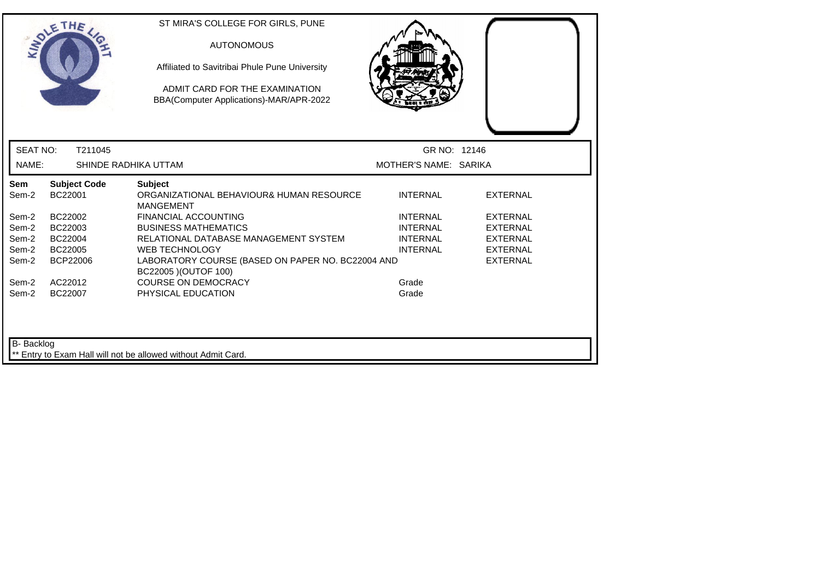|                   | OLETHE                         | ST MIRA'S COLLEGE FOR GIRLS, PUNE<br><b>AUTONOMOUS</b><br>Affiliated to Savitribai Phule Pune University<br>ADMIT CARD FOR THE EXAMINATION<br>BBA(Computer Applications)-MAR/APR-2022 |                                    |                             |  |
|-------------------|--------------------------------|---------------------------------------------------------------------------------------------------------------------------------------------------------------------------------------|------------------------------------|-----------------------------|--|
| <b>SEAT NO:</b>   | T211045                        |                                                                                                                                                                                       | GR NO: 12146                       |                             |  |
| NAME:             |                                | SHINDE RADHIKA UTTAM                                                                                                                                                                  | MOTHER'S NAME: SARIKA              |                             |  |
| Sem<br>Sem-2      | <b>Subject Code</b><br>BC22001 | <b>Subject</b><br>ORGANIZATIONAL BEHAVIOUR& HUMAN RESOURCE<br><b>MANGEMENT</b>                                                                                                        | <b>INTERNAL</b>                    | <b>EXTERNAL</b>             |  |
| Sem-2             | BC22002                        | <b>FINANCIAL ACCOUNTING</b>                                                                                                                                                           | <b>INTERNAL</b>                    | <b>EXTERNAL</b>             |  |
| Sem-2<br>Sem-2    | BC22003<br>BC22004             | <b>BUSINESS MATHEMATICS</b><br>RELATIONAL DATABASE MANAGEMENT SYSTEM                                                                                                                  | <b>INTERNAL</b><br><b>INTERNAL</b> | EXTERNAL<br><b>EXTERNAL</b> |  |
| Sem-2             | BC22005                        | <b>WEB TECHNOLOGY</b>                                                                                                                                                                 | <b>INTERNAL</b>                    | <b>EXTERNAL</b>             |  |
| Sem-2             | <b>BCP22006</b>                | LABORATORY COURSE (BASED ON PAPER NO. BC22004 AND<br>BC22005 ) (OUTOF 100)                                                                                                            |                                    | <b>EXTERNAL</b>             |  |
| Sem-2             | AC22012                        | <b>COURSE ON DEMOCRACY</b>                                                                                                                                                            | Grade                              |                             |  |
| Sem-2             | BC22007                        | PHYSICAL EDUCATION                                                                                                                                                                    | Grade                              |                             |  |
| <b>B-</b> Backlog |                                | ** Entry to Exam Hall will not be allowed without Admit Card.                                                                                                                         |                                    |                             |  |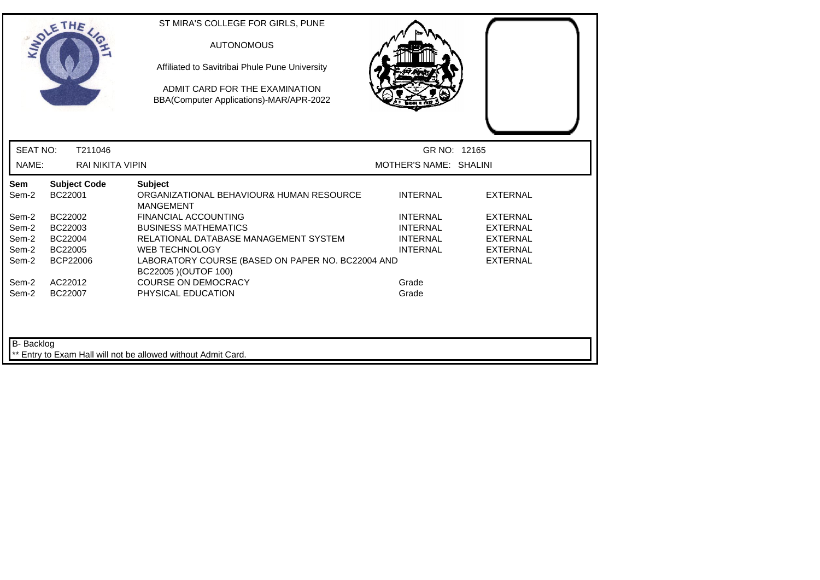|                 | SOLETHE .                      | <b>AUTONOMOUS</b><br>Affiliated to Savitribai Phule Pune University<br>ADMIT CARD FOR THE EXAMINATION<br>BBA(Computer Applications)-MAR/APR-2022 |                        |                 |
|-----------------|--------------------------------|--------------------------------------------------------------------------------------------------------------------------------------------------|------------------------|-----------------|
| <b>SEAT NO:</b> | T211046                        |                                                                                                                                                  | GR NO: 12165           |                 |
| NAME:           | <b>RAI NIKITA VIPIN</b>        |                                                                                                                                                  | MOTHER'S NAME: SHALINI |                 |
| Sem<br>Sem-2    | <b>Subject Code</b><br>BC22001 | <b>Subject</b><br>ORGANIZATIONAL BEHAVIOUR& HUMAN RESOURCE<br><b>MANGEMENT</b>                                                                   | <b>INTERNAL</b>        | <b>EXTERNAL</b> |
| Sem-2           | BC22002                        | <b>FINANCIAL ACCOUNTING</b>                                                                                                                      | <b>INTERNAL</b>        | <b>EXTERNAL</b> |
| Sem-2           | BC22003                        | <b>BUSINESS MATHEMATICS</b>                                                                                                                      | <b>INTERNAL</b>        | <b>EXTERNAL</b> |
| Sem-2           | BC22004                        | RELATIONAL DATABASE MANAGEMENT SYSTEM                                                                                                            | <b>INTERNAL</b>        | <b>EXTERNAL</b> |
| Sem-2           | BC22005                        | <b>WEB TECHNOLOGY</b>                                                                                                                            | <b>INTERNAL</b>        | <b>EXTERNAL</b> |
| Sem-2           | <b>BCP22006</b>                | LABORATORY COURSE (BASED ON PAPER NO. BC22004 AND<br>BC22005 ) (OUTOF 100)                                                                       |                        | <b>EXTERNAL</b> |
| Sem-2           | AC22012                        | <b>COURSE ON DEMOCRACY</b>                                                                                                                       | Grade                  |                 |
| Sem-2           | BC22007                        | PHYSICAL EDUCATION                                                                                                                               | Grade                  |                 |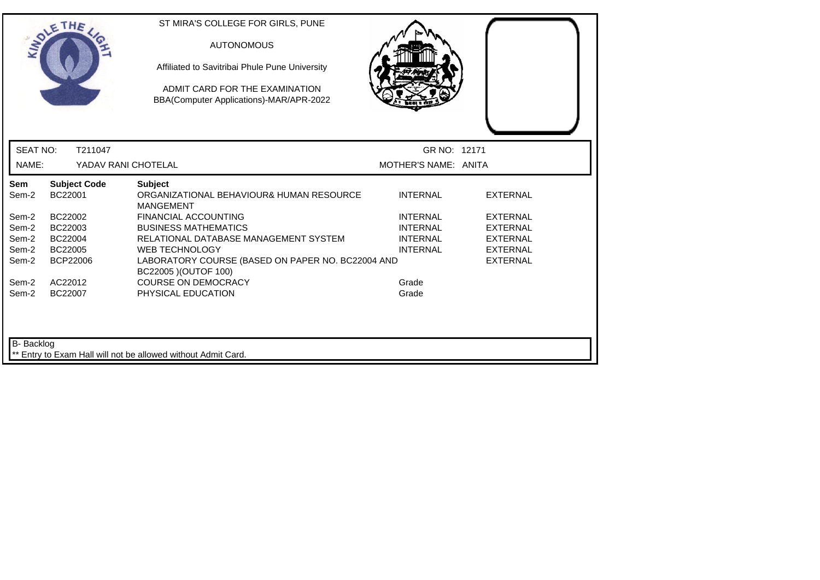|                     | THE                            | ST MIRA'S COLLEGE FOR GIRLS, PUNE<br><b>AUTONOMOUS</b><br>Affiliated to Savitribai Phule Pune University<br>ADMIT CARD FOR THE EXAMINATION<br>BBA(Computer Applications)-MAR/APR-2022 |                      |                 |  |
|---------------------|--------------------------------|---------------------------------------------------------------------------------------------------------------------------------------------------------------------------------------|----------------------|-----------------|--|
| <b>SEAT NO:</b>     | T211047                        |                                                                                                                                                                                       | GR NO: 12171         |                 |  |
| NAME:               | YADAV RANI CHOTELAL            |                                                                                                                                                                                       | MOTHER'S NAME: ANITA |                 |  |
| <b>Sem</b><br>Sem-2 | <b>Subject Code</b><br>BC22001 | <b>Subject</b><br>ORGANIZATIONAL BEHAVIOUR& HUMAN RESOURCE<br><b>MANGEMENT</b>                                                                                                        | <b>INTERNAL</b>      | <b>EXTERNAL</b> |  |
| Sem-2               | BC22002                        | <b>FINANCIAL ACCOUNTING</b>                                                                                                                                                           | <b>INTERNAL</b>      | <b>EXTERNAL</b> |  |
| Sem-2               | BC22003                        | <b>BUSINESS MATHEMATICS</b>                                                                                                                                                           | <b>INTERNAL</b>      | <b>EXTERNAL</b> |  |
| Sem-2               | BC22004                        | RELATIONAL DATABASE MANAGEMENT SYSTEM                                                                                                                                                 | <b>INTERNAL</b>      | <b>EXTERNAL</b> |  |
| Sem-2               | BC22005                        | <b>WEB TECHNOLOGY</b>                                                                                                                                                                 | <b>INTERNAL</b>      | <b>EXTERNAL</b> |  |
| Sem-2               | <b>BCP22006</b>                | LABORATORY COURSE (BASED ON PAPER NO. BC22004 AND<br>BC22005 ) (OUTOF 100)                                                                                                            |                      | <b>EXTERNAL</b> |  |
| Sem-2               | AC22012                        | <b>COURSE ON DEMOCRACY</b>                                                                                                                                                            | Grade                |                 |  |
| Sem-2               | BC22007                        | PHYSICAL EDUCATION                                                                                                                                                                    | Grade                |                 |  |
| B- Backlog          |                                | Entry to Exam Hall will not be allowed without Admit Card.                                                                                                                            |                      |                 |  |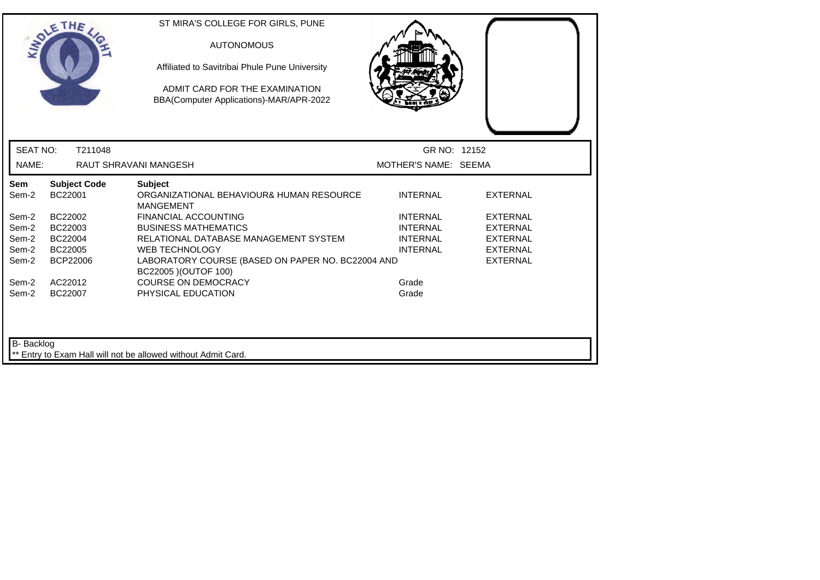|                   | SOLETHE .                      | ST MIRA'S COLLEGE FOR GIRLS, PUNE<br><b>AUTONOMOUS</b><br>Affiliated to Savitribai Phule Pune University<br>ADMIT CARD FOR THE EXAMINATION<br>BBA(Computer Applications)-MAR/APR-2022 |                      |                 |  |
|-------------------|--------------------------------|---------------------------------------------------------------------------------------------------------------------------------------------------------------------------------------|----------------------|-----------------|--|
| <b>SEAT NO:</b>   | T211048                        |                                                                                                                                                                                       | GR NO: 12152         |                 |  |
| NAME:             |                                | <b>RAUT SHRAVANI MANGESH</b>                                                                                                                                                          | MOTHER'S NAME: SEEMA |                 |  |
| Sem<br>Sem-2      | <b>Subject Code</b><br>BC22001 | <b>Subject</b><br>ORGANIZATIONAL BEHAVIOUR& HUMAN RESOURCE<br><b>MANGEMENT</b>                                                                                                        | <b>INTERNAL</b>      | <b>EXTERNAL</b> |  |
| Sem-2             | BC22002                        | <b>FINANCIAL ACCOUNTING</b>                                                                                                                                                           | <b>INTERNAL</b>      | <b>EXTERNAL</b> |  |
| Sem-2             | BC22003                        | <b>BUSINESS MATHEMATICS</b>                                                                                                                                                           | <b>INTERNAL</b>      | <b>EXTERNAL</b> |  |
| Sem-2             | BC22004                        | RELATIONAL DATABASE MANAGEMENT SYSTEM                                                                                                                                                 | <b>INTERNAL</b>      | <b>EXTERNAL</b> |  |
| Sem-2             | BC22005                        | <b>WEB TECHNOLOGY</b>                                                                                                                                                                 | <b>INTERNAL</b>      | <b>EXTERNAL</b> |  |
| Sem-2             | BCP22006                       | LABORATORY COURSE (BASED ON PAPER NO. BC22004 AND<br>BC22005 ) (OUTOF 100)                                                                                                            |                      | <b>EXTERNAL</b> |  |
| Sem-2             | AC22012                        | <b>COURSE ON DEMOCRACY</b>                                                                                                                                                            | Grade                |                 |  |
| Sem-2             | BC22007                        | PHYSICAL EDUCATION                                                                                                                                                                    | Grade                |                 |  |
| <b>B-</b> Backlog |                                | ** Entry to Exam Hall will not be allowed without Admit Card.                                                                                                                         |                      |                 |  |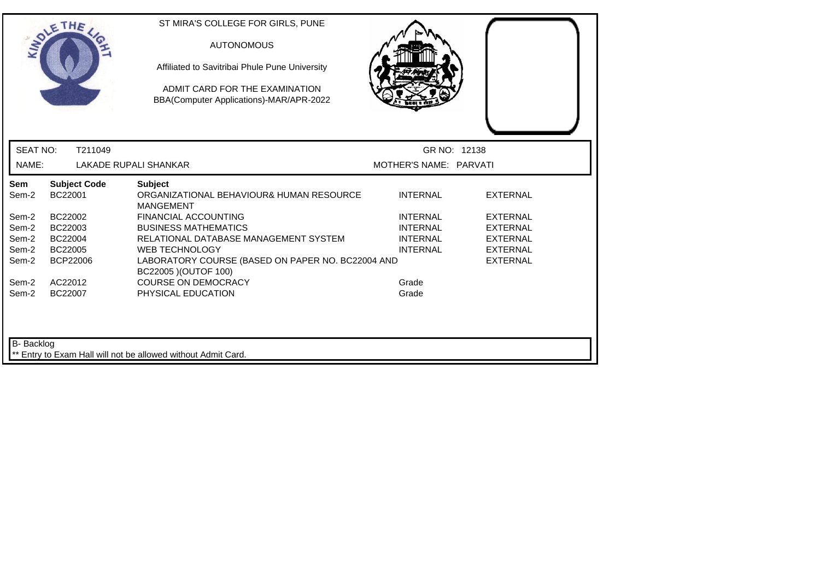|                   | SOLETHE .                      | ST MIRA'S COLLEGE FOR GIRLS, PUNE<br><b>AUTONOMOUS</b><br>Affiliated to Savitribai Phule Pune University<br>ADMIT CARD FOR THE EXAMINATION<br>BBA(Computer Applications)-MAR/APR-2022 |                        |                 |
|-------------------|--------------------------------|---------------------------------------------------------------------------------------------------------------------------------------------------------------------------------------|------------------------|-----------------|
| <b>SEAT NO:</b>   | T211049                        |                                                                                                                                                                                       | GR NO: 12138           |                 |
| NAME:             |                                | LAKADE RUPALI SHANKAR                                                                                                                                                                 | MOTHER'S NAME: PARVATI |                 |
| Sem<br>Sem-2      | <b>Subject Code</b><br>BC22001 | <b>Subject</b><br>ORGANIZATIONAL BEHAVIOUR& HUMAN RESOURCE<br><b>MANGEMENT</b>                                                                                                        | <b>INTERNAL</b>        | <b>EXTERNAL</b> |
| Sem-2             | BC22002                        | <b>FINANCIAL ACCOUNTING</b>                                                                                                                                                           | <b>INTERNAL</b>        | <b>EXTERNAL</b> |
| Sem-2             | BC22003                        | <b>BUSINESS MATHEMATICS</b>                                                                                                                                                           | <b>INTERNAL</b>        | <b>EXTERNAL</b> |
| Sem-2             | BC22004                        | RELATIONAL DATABASE MANAGEMENT SYSTEM                                                                                                                                                 | <b>INTERNAL</b>        | <b>EXTERNAL</b> |
| Sem-2             | BC22005                        | <b>WEB TECHNOLOGY</b>                                                                                                                                                                 | <b>INTERNAL</b>        | <b>EXTERNAL</b> |
| Sem-2             | <b>BCP22006</b>                | LABORATORY COURSE (BASED ON PAPER NO. BC22004 AND<br>BC22005 ) (OUTOF 100)                                                                                                            |                        | <b>EXTERNAL</b> |
| Sem-2             | AC22012                        | <b>COURSE ON DEMOCRACY</b>                                                                                                                                                            | Grade                  |                 |
| Sem-2             | BC22007                        | PHYSICAL EDUCATION                                                                                                                                                                    | Grade                  |                 |
| <b>B-</b> Backlog |                                | ** Entry to Exam Hall will not be allowed without Admit Card.                                                                                                                         |                        |                 |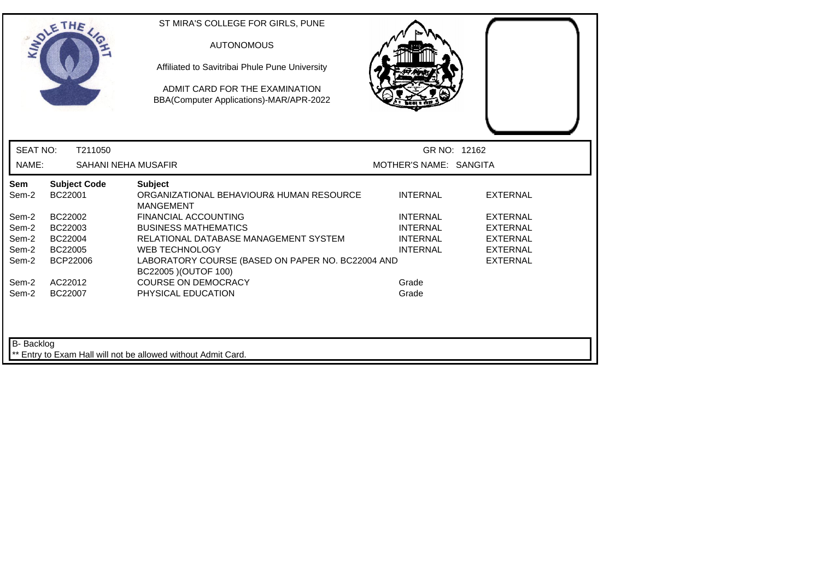|                 | OLETHE                         | ST MIRA'S COLLEGE FOR GIRLS, PUNE<br><b>AUTONOMOUS</b><br>Affiliated to Savitribai Phule Pune University<br>ADMIT CARD FOR THE EXAMINATION<br>BBA(Computer Applications)-MAR/APR-2022 |                        |                 |
|-----------------|--------------------------------|---------------------------------------------------------------------------------------------------------------------------------------------------------------------------------------|------------------------|-----------------|
| <b>SEAT NO:</b> | T211050                        |                                                                                                                                                                                       | GR NO: 12162           |                 |
| NAME:           | SAHANI NEHA MUSAFIR            |                                                                                                                                                                                       | MOTHER'S NAME: SANGITA |                 |
| Sem<br>Sem-2    | <b>Subject Code</b><br>BC22001 | <b>Subject</b><br>ORGANIZATIONAL BEHAVIOUR& HUMAN RESOURCE<br><b>MANGEMENT</b>                                                                                                        | <b>INTERNAL</b>        | <b>EXTERNAL</b> |
| Sem-2           | BC22002                        | <b>FINANCIAL ACCOUNTING</b>                                                                                                                                                           | <b>INTERNAL</b>        | <b>EXTERNAL</b> |
| Sem-2           | BC22003                        | <b>BUSINESS MATHEMATICS</b>                                                                                                                                                           | <b>INTERNAL</b>        | <b>EXTERNAL</b> |
| Sem-2           | BC22004                        | RELATIONAL DATABASE MANAGEMENT SYSTEM                                                                                                                                                 | <b>INTERNAL</b>        | <b>EXTERNAL</b> |
| Sem-2           | BC22005                        | <b>WEB TECHNOLOGY</b>                                                                                                                                                                 | <b>INTERNAL</b>        | <b>EXTERNAL</b> |
| Sem-2           | <b>BCP22006</b>                | LABORATORY COURSE (BASED ON PAPER NO. BC22004 AND<br>BC22005 ) (OUTOF 100)                                                                                                            |                        | <b>EXTERNAL</b> |
| Sem-2           | AC22012                        | <b>COURSE ON DEMOCRACY</b>                                                                                                                                                            | Grade                  |                 |
| Sem-2           | BC22007                        | PHYSICAL EDUCATION                                                                                                                                                                    | Grade                  |                 |
| B- Backlog      |                                | Entry to Exam Hall will not be allowed without Admit Card.                                                                                                                            |                        |                 |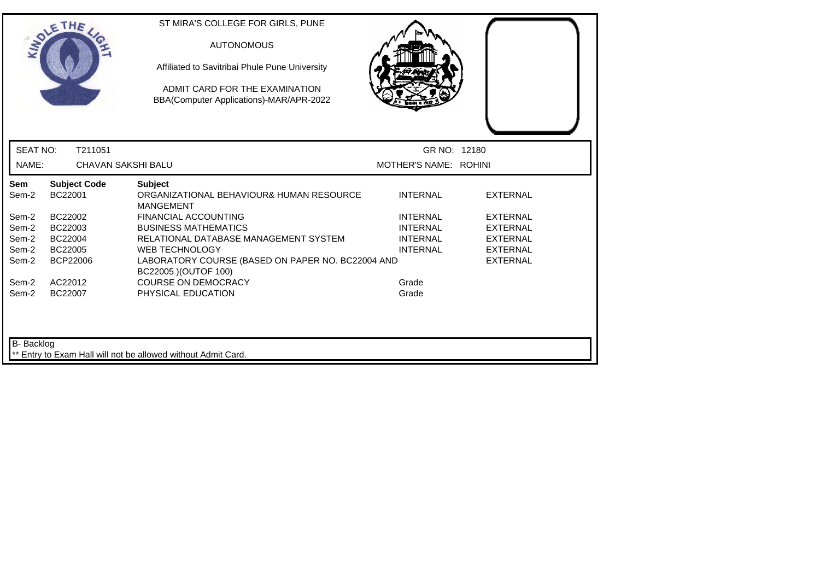|                   | THE                            | ST MIRA'S COLLEGE FOR GIRLS, PUNE<br><b>AUTONOMOUS</b><br>Affiliated to Savitribai Phule Pune University<br>ADMIT CARD FOR THE EXAMINATION<br>BBA(Computer Applications)-MAR/APR-2022 |                       |                 |  |
|-------------------|--------------------------------|---------------------------------------------------------------------------------------------------------------------------------------------------------------------------------------|-----------------------|-----------------|--|
| <b>SEAT NO:</b>   | T211051                        |                                                                                                                                                                                       | GR NO: 12180          |                 |  |
| NAME:             | <b>CHAVAN SAKSHI BALU</b>      |                                                                                                                                                                                       | MOTHER'S NAME: ROHINI |                 |  |
| Sem<br>Sem-2      | <b>Subject Code</b><br>BC22001 | <b>Subject</b><br>ORGANIZATIONAL BEHAVIOUR& HUMAN RESOURCE<br><b>MANGEMENT</b>                                                                                                        | <b>INTERNAL</b>       | <b>EXTERNAL</b> |  |
| Sem-2             | BC22002                        | <b>FINANCIAL ACCOUNTING</b>                                                                                                                                                           | <b>INTERNAL</b>       | <b>EXTERNAL</b> |  |
| Sem-2             | BC22003                        | <b>BUSINESS MATHEMATICS</b>                                                                                                                                                           | <b>INTERNAL</b>       | <b>EXTERNAL</b> |  |
| Sem-2             | BC22004                        | RELATIONAL DATABASE MANAGEMENT SYSTEM                                                                                                                                                 | <b>INTERNAL</b>       | <b>EXTERNAL</b> |  |
| Sem-2             | BC22005                        | <b>WEB TECHNOLOGY</b>                                                                                                                                                                 | <b>INTERNAL</b>       | <b>EXTERNAL</b> |  |
| Sem-2             | BCP22006                       | LABORATORY COURSE (BASED ON PAPER NO. BC22004 AND<br>BC22005 ) (OUTOF 100)                                                                                                            |                       | <b>EXTERNAL</b> |  |
| Sem-2             | AC22012                        | <b>COURSE ON DEMOCRACY</b>                                                                                                                                                            | Grade                 |                 |  |
| Sem-2             | BC22007                        | PHYSICAL EDUCATION                                                                                                                                                                    | Grade                 |                 |  |
| <b>B-</b> Backlog |                                | ** Entry to Exam Hall will not be allowed without Admit Card.                                                                                                                         |                       |                 |  |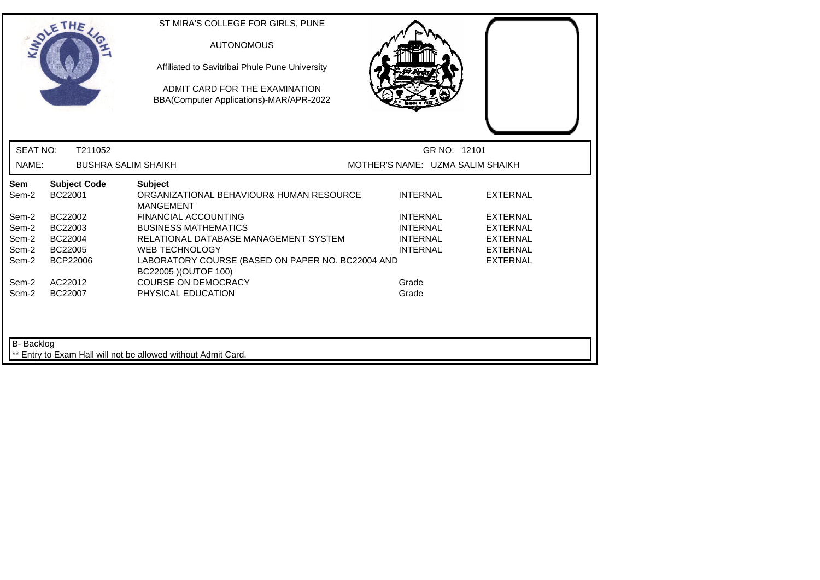|                 | SOLETHE .                      | ST MIRA'S COLLEGE FOR GIRLS, PUNE<br><b>AUTONOMOUS</b><br>Affiliated to Savitribai Phule Pune University<br>ADMIT CARD FOR THE EXAMINATION<br>BBA(Computer Applications)-MAR/APR-2022 |                                    |                                    |
|-----------------|--------------------------------|---------------------------------------------------------------------------------------------------------------------------------------------------------------------------------------|------------------------------------|------------------------------------|
| <b>SEAT NO:</b> | T211052                        |                                                                                                                                                                                       | GR NO: 12101                       |                                    |
| NAME:           | <b>BUSHRA SALIM SHAIKH</b>     |                                                                                                                                                                                       | MOTHER'S NAME: UZMA SALIM SHAIKH   |                                    |
| Sem<br>Sem-2    | <b>Subject Code</b><br>BC22001 | <b>Subject</b><br>ORGANIZATIONAL BEHAVIOUR& HUMAN RESOURCE<br><b>MANGEMENT</b>                                                                                                        | <b>INTERNAL</b>                    | <b>EXTERNAL</b>                    |
| Sem-2<br>Sem-2  | BC22002<br>BC22003             | <b>FINANCIAL ACCOUNTING</b><br><b>BUSINESS MATHEMATICS</b>                                                                                                                            | <b>INTERNAL</b><br><b>INTERNAL</b> | <b>EXTERNAL</b><br><b>EXTERNAL</b> |
| Sem-2<br>Sem-2  | BC22004<br>BC22005             | RELATIONAL DATABASE MANAGEMENT SYSTEM<br><b>WEB TECHNOLOGY</b>                                                                                                                        | <b>INTERNAL</b><br><b>INTERNAL</b> | <b>EXTERNAL</b><br><b>EXTERNAL</b> |
| Sem-2           | BCP22006                       | LABORATORY COURSE (BASED ON PAPER NO. BC22004 AND<br>BC22005 ) (OUTOF 100)                                                                                                            |                                    | <b>EXTERNAL</b>                    |
| Sem-2<br>Sem-2  | AC22012<br>BC22007             | <b>COURSE ON DEMOCRACY</b><br>PHYSICAL EDUCATION                                                                                                                                      | Grade<br>Grade                     |                                    |
| B- Backlog      |                                | ** Entry to Exam Hall will not be allowed without Admit Card.                                                                                                                         |                                    |                                    |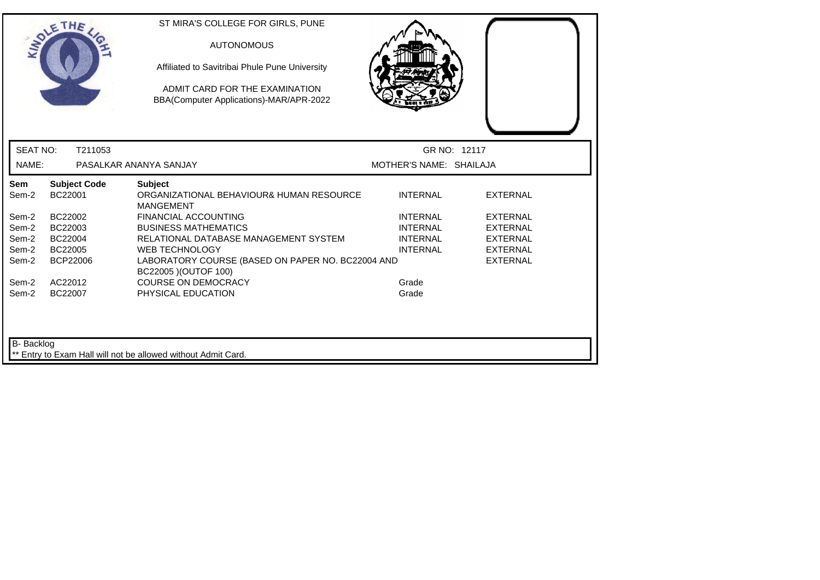|                 | OLETHE                         | ST MIRA'S COLLEGE FOR GIRLS, PUNE<br><b>AUTONOMOUS</b><br>Affiliated to Savitribai Phule Pune University<br>ADMIT CARD FOR THE EXAMINATION<br>BBA(Computer Applications)-MAR/APR-2022 |                         |                 |
|-----------------|--------------------------------|---------------------------------------------------------------------------------------------------------------------------------------------------------------------------------------|-------------------------|-----------------|
| <b>SEAT NO:</b> | T211053                        |                                                                                                                                                                                       |                         | GR NO: 12117    |
| NAME:           |                                | PASALKAR ANANYA SANJAY                                                                                                                                                                | MOTHER'S NAME: SHAILAJA |                 |
| Sem<br>Sem-2    | <b>Subject Code</b><br>BC22001 | <b>Subject</b><br>ORGANIZATIONAL BEHAVIOUR& HUMAN RESOURCE<br><b>MANGEMENT</b>                                                                                                        | <b>INTERNAL</b>         | <b>EXTERNAL</b> |
| Sem-2           | BC22002                        | <b>FINANCIAL ACCOUNTING</b>                                                                                                                                                           | <b>INTERNAL</b>         | <b>EXTERNAL</b> |
| Sem-2           | BC22003                        | <b>BUSINESS MATHEMATICS</b>                                                                                                                                                           | <b>INTERNAL</b>         | <b>EXTERNAL</b> |
| Sem-2           | BC22004                        | RELATIONAL DATABASE MANAGEMENT SYSTEM                                                                                                                                                 | <b>INTERNAL</b>         | <b>EXTERNAL</b> |
| Sem-2           | BC22005                        | <b>WEB TECHNOLOGY</b>                                                                                                                                                                 | <b>INTERNAL</b>         | <b>EXTERNAL</b> |
| Sem-2           | <b>BCP22006</b>                | LABORATORY COURSE (BASED ON PAPER NO. BC22004 AND<br>BC22005 ) (OUTOF 100)                                                                                                            |                         | <b>EXTERNAL</b> |
| Sem-2           | AC22012                        | <b>COURSE ON DEMOCRACY</b>                                                                                                                                                            | Grade                   |                 |
| Sem-2           | BC22007                        | PHYSICAL EDUCATION                                                                                                                                                                    | Grade                   |                 |
| B- Backlog      |                                | Entry to Exam Hall will not be allowed without Admit Card.                                                                                                                            |                         |                 |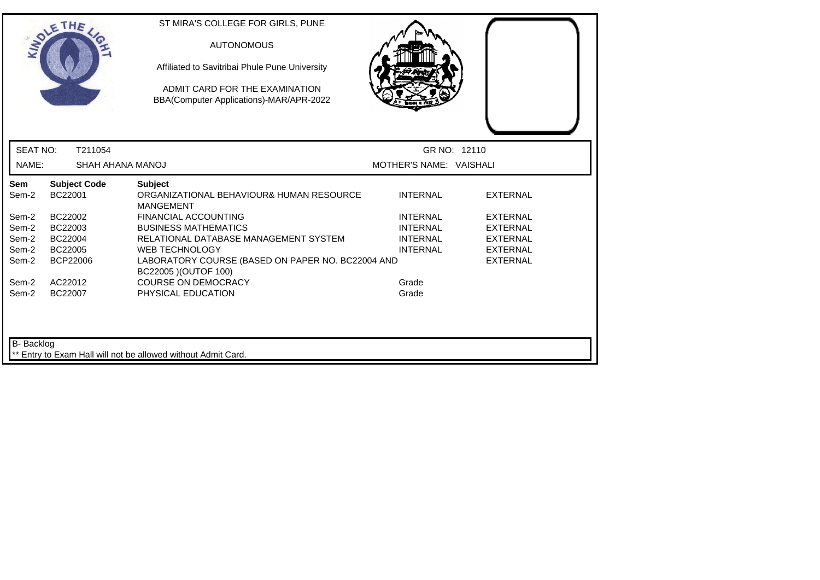|                 | <b>SOLETHE</b>                 | ST MIRA'S COLLEGE FOR GIRLS, PUNE<br><b>AUTONOMOUS</b><br>Affiliated to Savitribai Phule Pune University<br>ADMIT CARD FOR THE EXAMINATION<br>BBA(Computer Applications)-MAR/APR-2022 |                         |                 |
|-----------------|--------------------------------|---------------------------------------------------------------------------------------------------------------------------------------------------------------------------------------|-------------------------|-----------------|
| <b>SEAT NO:</b> | T211054                        |                                                                                                                                                                                       | GR NO: 12110            |                 |
| NAME:           | SHAH AHANA MANOJ               |                                                                                                                                                                                       | MOTHER'S NAME: VAISHALI |                 |
| Sem<br>Sem-2    | <b>Subject Code</b><br>BC22001 | <b>Subject</b><br>ORGANIZATIONAL BEHAVIOUR& HUMAN RESOURCE<br><b>MANGEMENT</b>                                                                                                        | <b>INTERNAL</b>         | <b>EXTERNAL</b> |
| Sem-2           | BC22002                        | <b>FINANCIAL ACCOUNTING</b>                                                                                                                                                           | <b>INTERNAL</b>         | <b>EXTERNAL</b> |
| Sem-2           | BC22003                        | <b>BUSINESS MATHEMATICS</b>                                                                                                                                                           | <b>INTERNAL</b>         | <b>EXTERNAL</b> |
| Sem-2           | BC22004                        | RELATIONAL DATABASE MANAGEMENT SYSTEM                                                                                                                                                 | <b>INTERNAL</b>         | <b>EXTERNAL</b> |
| Sem-2           | BC22005                        | <b>WEB TECHNOLOGY</b>                                                                                                                                                                 | <b>INTERNAL</b>         | <b>EXTERNAL</b> |
| Sem-2           | BCP22006                       | LABORATORY COURSE (BASED ON PAPER NO. BC22004 AND<br>BC22005 ) (OUTOF 100)                                                                                                            |                         | <b>EXTERNAL</b> |
| Sem-2           | AC22012                        | <b>COURSE ON DEMOCRACY</b>                                                                                                                                                            | Grade                   |                 |
| Sem-2           | BC22007                        | PHYSICAL EDUCATION                                                                                                                                                                    | Grade                   |                 |
| B- Backlog      |                                | ** Entry to Exam Hall will not be allowed without Admit Card.                                                                                                                         |                         |                 |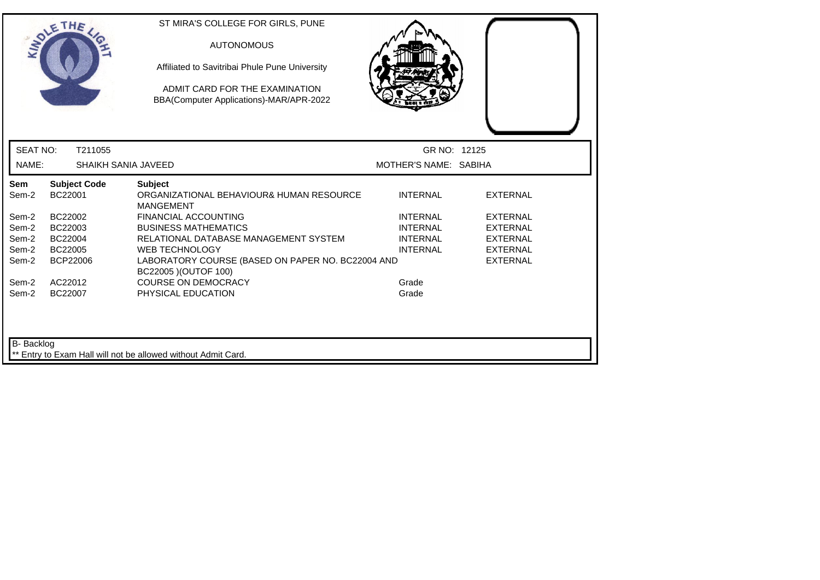|                 | THE                            | ST MIRA'S COLLEGE FOR GIRLS, PUNE<br><b>AUTONOMOUS</b><br>Affiliated to Savitribai Phule Pune University<br>ADMIT CARD FOR THE EXAMINATION<br>BBA(Computer Applications)-MAR/APR-2022 |                       |                 |
|-----------------|--------------------------------|---------------------------------------------------------------------------------------------------------------------------------------------------------------------------------------|-----------------------|-----------------|
| <b>SEAT NO:</b> | T211055                        |                                                                                                                                                                                       | GR NO: 12125          |                 |
| NAME:           | SHAIKH SANIA JAVEED            |                                                                                                                                                                                       | MOTHER'S NAME: SABIHA |                 |
| Sem<br>Sem-2    | <b>Subject Code</b><br>BC22001 | <b>Subject</b><br>ORGANIZATIONAL BEHAVIOUR& HUMAN RESOURCE<br><b>MANGEMENT</b>                                                                                                        | <b>INTERNAL</b>       | <b>EXTERNAL</b> |
| Sem-2           | BC22002                        | <b>FINANCIAL ACCOUNTING</b>                                                                                                                                                           | <b>INTERNAL</b>       | <b>EXTERNAL</b> |
| Sem-2           | BC22003                        | <b>BUSINESS MATHEMATICS</b>                                                                                                                                                           | <b>INTERNAL</b>       | <b>EXTERNAL</b> |
| Sem-2           | BC22004                        | RELATIONAL DATABASE MANAGEMENT SYSTEM                                                                                                                                                 | <b>INTERNAL</b>       | <b>EXTERNAL</b> |
| Sem-2           | BC22005                        | <b>WEB TECHNOLOGY</b>                                                                                                                                                                 | <b>INTERNAL</b>       | <b>EXTERNAL</b> |
| Sem-2           | <b>BCP22006</b>                | LABORATORY COURSE (BASED ON PAPER NO. BC22004 AND<br>BC22005 ) (OUTOF 100)                                                                                                            |                       | <b>EXTERNAL</b> |
| Sem-2           | AC22012                        | <b>COURSE ON DEMOCRACY</b>                                                                                                                                                            | Grade                 |                 |
| Sem-2           | BC22007                        | PHYSICAL EDUCATION                                                                                                                                                                    | Grade                 |                 |
| B- Backlog      |                                | ** Entry to Exam Hall will not be allowed without Admit Card.                                                                                                                         |                       |                 |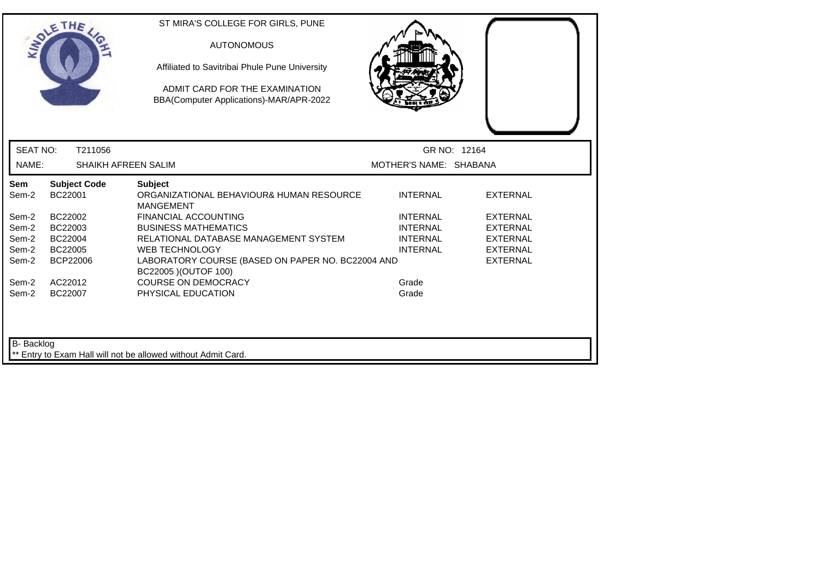|                 | <b>SOLETHE</b>                 | ST MIRA'S COLLEGE FOR GIRLS, PUNE<br><b>AUTONOMOUS</b><br>Affiliated to Savitribai Phule Pune University<br>ADMIT CARD FOR THE EXAMINATION<br>BBA(Computer Applications)-MAR/APR-2022 |                        |                 |
|-----------------|--------------------------------|---------------------------------------------------------------------------------------------------------------------------------------------------------------------------------------|------------------------|-----------------|
| <b>SEAT NO:</b> | T211056                        |                                                                                                                                                                                       |                        | GR NO: 12164    |
| NAME:           | <b>SHAIKH AFREEN SALIM</b>     |                                                                                                                                                                                       | MOTHER'S NAME: SHABANA |                 |
| Sem<br>Sem-2    | <b>Subject Code</b><br>BC22001 | <b>Subject</b><br>ORGANIZATIONAL BEHAVIOUR& HUMAN RESOURCE<br><b>MANGEMENT</b>                                                                                                        | <b>INTERNAL</b>        | <b>EXTERNAL</b> |
| Sem-2           | BC22002                        | <b>FINANCIAL ACCOUNTING</b>                                                                                                                                                           | <b>INTERNAL</b>        | <b>EXTERNAL</b> |
| Sem-2           | BC22003                        | <b>BUSINESS MATHEMATICS</b>                                                                                                                                                           | <b>INTERNAL</b>        | <b>EXTERNAL</b> |
| Sem-2           | BC22004                        | RELATIONAL DATABASE MANAGEMENT SYSTEM                                                                                                                                                 | <b>INTERNAL</b>        | <b>EXTERNAL</b> |
| Sem-2           | BC22005                        | <b>WEB TECHNOLOGY</b>                                                                                                                                                                 | <b>INTERNAL</b>        | <b>EXTERNAL</b> |
| Sem-2           | BCP22006                       | LABORATORY COURSE (BASED ON PAPER NO. BC22004 AND<br>BC22005 ) (OUTOF 100)                                                                                                            |                        | <b>EXTERNAL</b> |
| Sem-2           | AC22012                        | <b>COURSE ON DEMOCRACY</b>                                                                                                                                                            | Grade                  |                 |
| Sem-2           | BC22007                        | PHYSICAL EDUCATION                                                                                                                                                                    | Grade                  |                 |
| B- Backlog      |                                | Entry to Exam Hall will not be allowed without Admit Card.                                                                                                                            |                        |                 |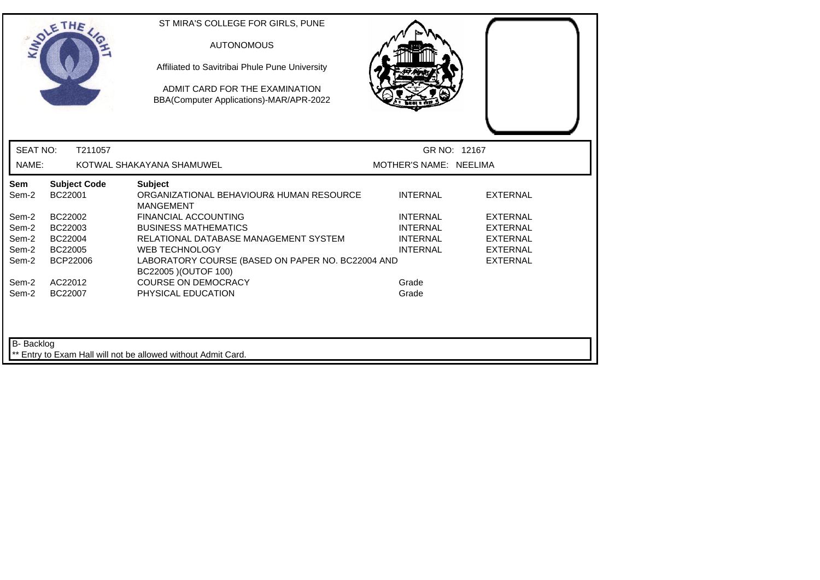|                 | SOLETHE .                      | ST MIRA'S COLLEGE FOR GIRLS, PUNE<br><b>AUTONOMOUS</b><br>Affiliated to Savitribai Phule Pune University<br>ADMIT CARD FOR THE EXAMINATION<br>BBA(Computer Applications)-MAR/APR-2022 |                        |                 |  |
|-----------------|--------------------------------|---------------------------------------------------------------------------------------------------------------------------------------------------------------------------------------|------------------------|-----------------|--|
| <b>SEAT NO:</b> | T211057                        |                                                                                                                                                                                       | GR NO: 12167           |                 |  |
| NAME:           |                                | KOTWAL SHAKAYANA SHAMUWEL                                                                                                                                                             | MOTHER'S NAME: NEELIMA |                 |  |
| Sem<br>Sem-2    | <b>Subject Code</b><br>BC22001 | <b>Subject</b><br>ORGANIZATIONAL BEHAVIOUR& HUMAN RESOURCE<br><b>MANGEMENT</b>                                                                                                        | <b>INTERNAL</b>        | <b>EXTERNAL</b> |  |
| Sem-2           | BC22002                        | <b>FINANCIAL ACCOUNTING</b>                                                                                                                                                           | <b>INTERNAL</b>        | <b>EXTERNAL</b> |  |
| Sem-2           | BC22003                        | <b>BUSINESS MATHEMATICS</b>                                                                                                                                                           | <b>INTERNAL</b>        | <b>EXTERNAL</b> |  |
| Sem-2           | BC22004                        | RELATIONAL DATABASE MANAGEMENT SYSTEM                                                                                                                                                 | <b>INTERNAL</b>        | <b>EXTERNAL</b> |  |
| Sem-2           | BC22005                        | <b>WEB TECHNOLOGY</b>                                                                                                                                                                 | <b>INTERNAL</b>        | <b>EXTERNAL</b> |  |
| Sem-2           | <b>BCP22006</b>                | LABORATORY COURSE (BASED ON PAPER NO. BC22004 AND<br>BC22005 ) (OUTOF 100)                                                                                                            |                        | <b>EXTERNAL</b> |  |
| Sem-2           | AC22012                        | <b>COURSE ON DEMOCRACY</b>                                                                                                                                                            | Grade                  |                 |  |
| Sem-2           | BC22007                        | PHYSICAL EDUCATION                                                                                                                                                                    | Grade                  |                 |  |
| B-Backlog       |                                | ** Entry to Exam Hall will not be allowed without Admit Card.                                                                                                                         |                        |                 |  |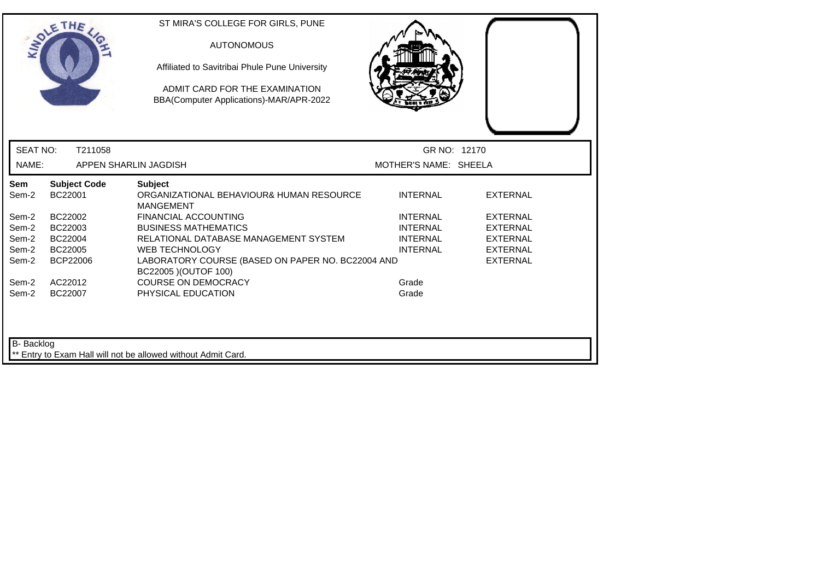|                 | <b>SOLETHE</b>                 | ST MIRA'S COLLEGE FOR GIRLS, PUNE<br><b>AUTONOMOUS</b><br>Affiliated to Savitribai Phule Pune University<br>ADMIT CARD FOR THE EXAMINATION<br>BBA(Computer Applications)-MAR/APR-2022 |                       |                 |  |
|-----------------|--------------------------------|---------------------------------------------------------------------------------------------------------------------------------------------------------------------------------------|-----------------------|-----------------|--|
| <b>SEAT NO:</b> | T211058                        |                                                                                                                                                                                       | GR NO: 12170          |                 |  |
| NAME:           |                                | APPEN SHARLIN JAGDISH                                                                                                                                                                 | MOTHER'S NAME: SHEELA |                 |  |
| Sem<br>Sem-2    | <b>Subject Code</b><br>BC22001 | <b>Subject</b><br>ORGANIZATIONAL BEHAVIOUR& HUMAN RESOURCE<br><b>MANGEMENT</b>                                                                                                        | <b>INTERNAL</b>       | <b>EXTERNAL</b> |  |
| Sem-2           | BC22002                        | <b>FINANCIAL ACCOUNTING</b>                                                                                                                                                           | <b>INTERNAL</b>       | <b>EXTERNAL</b> |  |
| Sem-2           | BC22003                        | <b>BUSINESS MATHEMATICS</b>                                                                                                                                                           | <b>INTERNAL</b>       | <b>EXTERNAL</b> |  |
| Sem-2           | BC22004                        | RELATIONAL DATABASE MANAGEMENT SYSTEM                                                                                                                                                 | <b>INTERNAL</b>       | <b>EXTERNAL</b> |  |
| Sem-2           | BC22005                        | <b>WEB TECHNOLOGY</b>                                                                                                                                                                 | <b>INTERNAL</b>       | <b>EXTERNAL</b> |  |
| Sem-2           | <b>BCP22006</b>                | LABORATORY COURSE (BASED ON PAPER NO. BC22004 AND<br>BC22005 ) (OUTOF 100)                                                                                                            |                       | <b>EXTERNAL</b> |  |
| Sem-2           | AC22012                        | <b>COURSE ON DEMOCRACY</b>                                                                                                                                                            | Grade                 |                 |  |
| Sem-2           | BC22007                        | PHYSICAL EDUCATION                                                                                                                                                                    | Grade                 |                 |  |
| B- Backlog      |                                | Entry to Exam Hall will not be allowed without Admit Card.                                                                                                                            |                       |                 |  |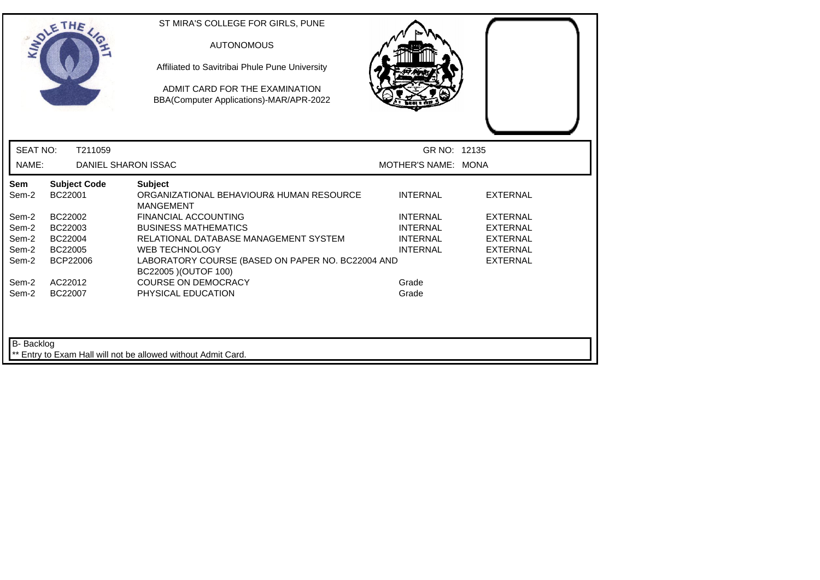|                   | SOLETHE .                      | ST MIRA'S COLLEGE FOR GIRLS, PUNE<br><b>AUTONOMOUS</b><br>Affiliated to Savitribai Phule Pune University<br>ADMIT CARD FOR THE EXAMINATION<br>BBA(Computer Applications)-MAR/APR-2022 |                     |                 |  |
|-------------------|--------------------------------|---------------------------------------------------------------------------------------------------------------------------------------------------------------------------------------|---------------------|-----------------|--|
| <b>SEAT NO:</b>   | T211059                        |                                                                                                                                                                                       | GR NO: 12135        |                 |  |
| NAME:             | <b>DANIEL SHARON ISSAC</b>     |                                                                                                                                                                                       | MOTHER'S NAME: MONA |                 |  |
| Sem<br>Sem-2      | <b>Subject Code</b><br>BC22001 | <b>Subject</b><br>ORGANIZATIONAL BEHAVIOUR& HUMAN RESOURCE<br><b>MANGEMENT</b>                                                                                                        | <b>INTERNAL</b>     | <b>EXTERNAL</b> |  |
| Sem-2             | BC22002                        | <b>FINANCIAL ACCOUNTING</b>                                                                                                                                                           | <b>INTERNAL</b>     | <b>EXTERNAL</b> |  |
| Sem-2             | BC22003                        | <b>BUSINESS MATHEMATICS</b>                                                                                                                                                           | <b>INTERNAL</b>     | <b>EXTERNAL</b> |  |
| Sem-2             | BC22004                        | RELATIONAL DATABASE MANAGEMENT SYSTEM                                                                                                                                                 | <b>INTERNAL</b>     | <b>EXTERNAL</b> |  |
| Sem-2             | BC22005                        | <b>WEB TECHNOLOGY</b>                                                                                                                                                                 | <b>INTERNAL</b>     | <b>EXTERNAL</b> |  |
| Sem-2             | BCP22006                       | LABORATORY COURSE (BASED ON PAPER NO. BC22004 AND<br>BC22005 ) (OUTOF 100)                                                                                                            |                     | <b>EXTERNAL</b> |  |
| Sem-2             | AC22012                        | <b>COURSE ON DEMOCRACY</b>                                                                                                                                                            | Grade               |                 |  |
| Sem-2             | BC22007                        | PHYSICAL EDUCATION                                                                                                                                                                    | Grade               |                 |  |
| <b>B-</b> Backlog |                                | ** Entry to Exam Hall will not be allowed without Admit Card.                                                                                                                         |                     |                 |  |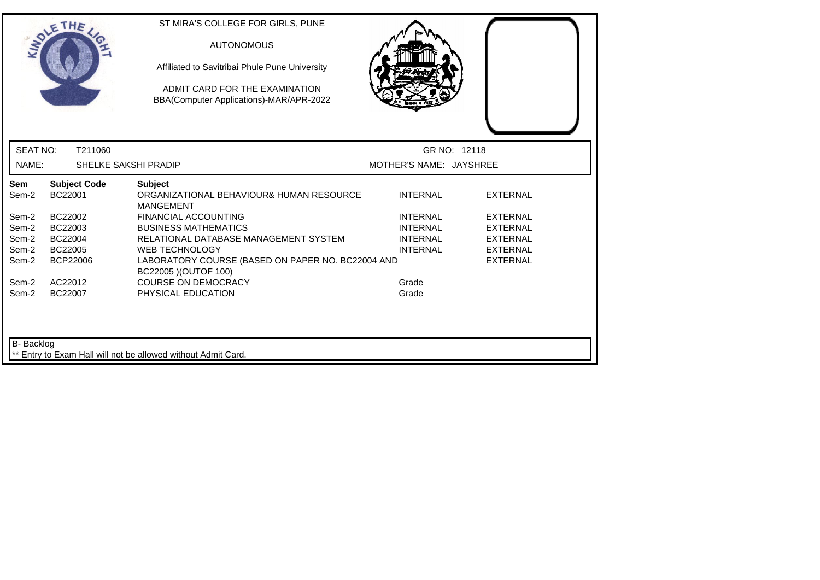|                   | <b>SOLETHE</b>                 | ST MIRA'S COLLEGE FOR GIRLS, PUNE<br><b>AUTONOMOUS</b><br>Affiliated to Savitribai Phule Pune University<br>ADMIT CARD FOR THE EXAMINATION<br>BBA(Computer Applications)-MAR/APR-2022 |                         |                 |
|-------------------|--------------------------------|---------------------------------------------------------------------------------------------------------------------------------------------------------------------------------------|-------------------------|-----------------|
| <b>SEAT NO:</b>   | T211060                        |                                                                                                                                                                                       |                         | GR NO: 12118    |
| NAME:             | <b>SHELKE SAKSHI PRADIP</b>    |                                                                                                                                                                                       | MOTHER'S NAME: JAYSHREE |                 |
| Sem<br>Sem-2      | <b>Subject Code</b><br>BC22001 | <b>Subject</b><br>ORGANIZATIONAL BEHAVIOUR& HUMAN RESOURCE<br><b>MANGEMENT</b>                                                                                                        | <b>INTERNAL</b>         | <b>EXTERNAL</b> |
| Sem-2             | BC22002                        | <b>FINANCIAL ACCOUNTING</b>                                                                                                                                                           | <b>INTERNAL</b>         | <b>EXTERNAL</b> |
| Sem-2             | BC22003                        | <b>BUSINESS MATHEMATICS</b>                                                                                                                                                           | <b>INTERNAL</b>         | <b>EXTERNAL</b> |
| Sem-2             | BC22004                        | RELATIONAL DATABASE MANAGEMENT SYSTEM                                                                                                                                                 | <b>INTERNAL</b>         | <b>EXTERNAL</b> |
| Sem-2             | BC22005                        | <b>WEB TECHNOLOGY</b>                                                                                                                                                                 | <b>INTERNAL</b>         | <b>EXTERNAL</b> |
| Sem-2             | BCP22006                       | LABORATORY COURSE (BASED ON PAPER NO. BC22004 AND<br>BC22005 ) (OUTOF 100)                                                                                                            |                         | <b>EXTERNAL</b> |
| Sem-2             | AC22012                        | <b>COURSE ON DEMOCRACY</b>                                                                                                                                                            | Grade                   |                 |
| Sem-2             | BC22007                        | PHYSICAL EDUCATION                                                                                                                                                                    | Grade                   |                 |
| <b>B-</b> Backlog |                                | ** Entry to Exam Hall will not be allowed without Admit Card.                                                                                                                         |                         |                 |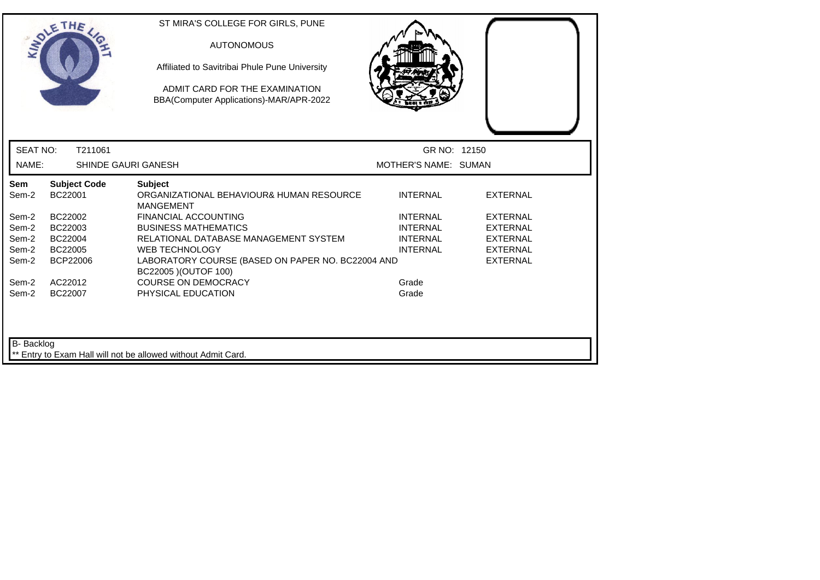|                     | THE                            | ST MIRA'S COLLEGE FOR GIRLS, PUNE<br><b>AUTONOMOUS</b><br>Affiliated to Savitribai Phule Pune University<br>ADMIT CARD FOR THE EXAMINATION<br>BBA(Computer Applications)-MAR/APR-2022 |                      |                 |  |
|---------------------|--------------------------------|---------------------------------------------------------------------------------------------------------------------------------------------------------------------------------------|----------------------|-----------------|--|
| <b>SEAT NO:</b>     | T211061                        |                                                                                                                                                                                       | GR NO: 12150         |                 |  |
| NAME:               | <b>SHINDE GAURI GANESH</b>     |                                                                                                                                                                                       | MOTHER'S NAME: SUMAN |                 |  |
| <b>Sem</b><br>Sem-2 | <b>Subject Code</b><br>BC22001 | <b>Subject</b><br>ORGANIZATIONAL BEHAVIOUR& HUMAN RESOURCE<br><b>MANGEMENT</b>                                                                                                        | <b>INTERNAL</b>      | <b>EXTERNAL</b> |  |
| Sem-2               | BC22002                        | <b>FINANCIAL ACCOUNTING</b>                                                                                                                                                           | <b>INTERNAL</b>      | <b>EXTERNAL</b> |  |
| Sem-2               | BC22003                        | <b>BUSINESS MATHEMATICS</b>                                                                                                                                                           | <b>INTERNAL</b>      | <b>EXTERNAL</b> |  |
| Sem-2               | BC22004                        | RELATIONAL DATABASE MANAGEMENT SYSTEM                                                                                                                                                 | <b>INTERNAL</b>      | <b>EXTERNAL</b> |  |
| Sem-2               | BC22005                        | <b>WEB TECHNOLOGY</b>                                                                                                                                                                 | <b>INTERNAL</b>      | <b>EXTERNAL</b> |  |
| Sem-2               | BCP22006                       | LABORATORY COURSE (BASED ON PAPER NO. BC22004 AND<br>BC22005 ) (OUTOF 100)                                                                                                            |                      | <b>EXTERNAL</b> |  |
| Sem-2               | AC22012                        | <b>COURSE ON DEMOCRACY</b>                                                                                                                                                            | Grade                |                 |  |
| Sem-2               | BC22007                        | PHYSICAL EDUCATION                                                                                                                                                                    | Grade                |                 |  |
| <b>B-</b> Backlog   |                                | ** Entry to Exam Hall will not be allowed without Admit Card.                                                                                                                         |                      |                 |  |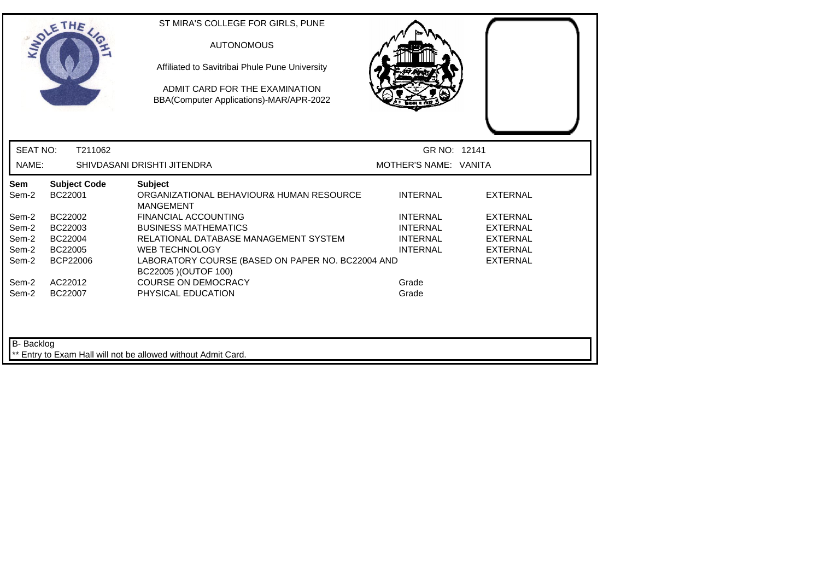|                 | SOLETHE .                      | ST MIRA'S COLLEGE FOR GIRLS, PUNE<br><b>AUTONOMOUS</b><br>Affiliated to Savitribai Phule Pune University<br>ADMIT CARD FOR THE EXAMINATION<br>BBA(Computer Applications)-MAR/APR-2022 |                       |                 |  |
|-----------------|--------------------------------|---------------------------------------------------------------------------------------------------------------------------------------------------------------------------------------|-----------------------|-----------------|--|
| <b>SEAT NO:</b> | T211062                        |                                                                                                                                                                                       | GR NO: 12141          |                 |  |
| NAME:           |                                | SHIVDASANI DRISHTI JITENDRA                                                                                                                                                           | MOTHER'S NAME: VANITA |                 |  |
| Sem<br>Sem-2    | <b>Subject Code</b><br>BC22001 | <b>Subject</b><br>ORGANIZATIONAL BEHAVIOUR& HUMAN RESOURCE<br><b>MANGEMENT</b>                                                                                                        | <b>INTERNAL</b>       | <b>EXTERNAL</b> |  |
| Sem-2           | BC22002                        | <b>FINANCIAL ACCOUNTING</b>                                                                                                                                                           | <b>INTERNAL</b>       | <b>EXTERNAL</b> |  |
| Sem-2           | BC22003                        | <b>BUSINESS MATHEMATICS</b>                                                                                                                                                           | <b>INTERNAL</b>       | <b>EXTERNAL</b> |  |
| Sem-2           | BC22004                        | RELATIONAL DATABASE MANAGEMENT SYSTEM                                                                                                                                                 | <b>INTERNAL</b>       | <b>EXTERNAL</b> |  |
| Sem-2           | BC22005                        | <b>WEB TECHNOLOGY</b>                                                                                                                                                                 | <b>INTERNAL</b>       | <b>EXTERNAL</b> |  |
| Sem-2           | BCP22006                       | LABORATORY COURSE (BASED ON PAPER NO. BC22004 AND<br>BC22005 ) (OUTOF 100)                                                                                                            |                       | <b>EXTERNAL</b> |  |
| Sem-2           | AC22012                        | <b>COURSE ON DEMOCRACY</b>                                                                                                                                                            | Grade                 |                 |  |
| Sem-2           | BC22007                        | PHYSICAL EDUCATION                                                                                                                                                                    | Grade                 |                 |  |
| B- Backlog      |                                | ** Entry to Exam Hall will not be allowed without Admit Card.                                                                                                                         |                       |                 |  |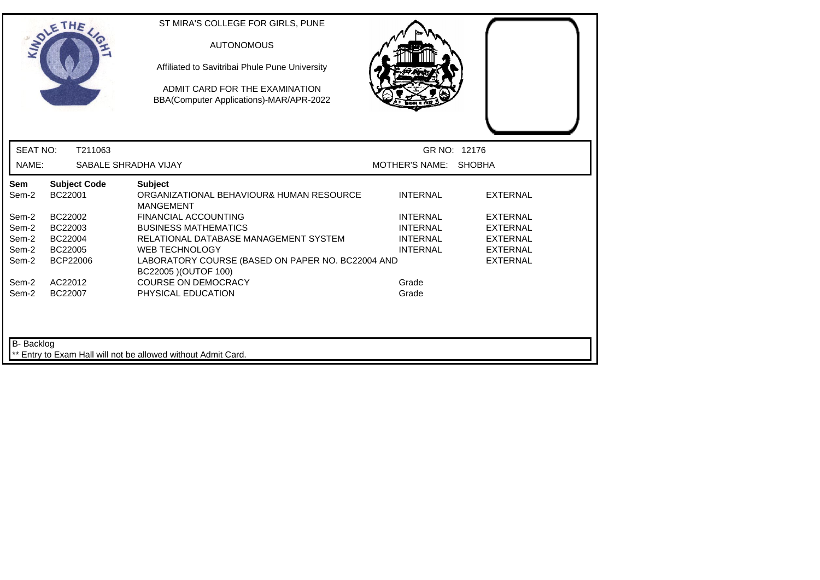|                 | <b>SOLETHE</b>                 | ST MIRA'S COLLEGE FOR GIRLS, PUNE<br><b>AUTONOMOUS</b><br>Affiliated to Savitribai Phule Pune University<br>ADMIT CARD FOR THE EXAMINATION<br>BBA(Computer Applications)-MAR/APR-2022 |                       |                 |  |
|-----------------|--------------------------------|---------------------------------------------------------------------------------------------------------------------------------------------------------------------------------------|-----------------------|-----------------|--|
| <b>SEAT NO:</b> | T211063                        |                                                                                                                                                                                       |                       | GR NO: 12176    |  |
| NAME:           | SABALE SHRADHA VIJAY           |                                                                                                                                                                                       | MOTHER'S NAME: SHOBHA |                 |  |
| Sem<br>Sem-2    | <b>Subject Code</b><br>BC22001 | <b>Subject</b><br>ORGANIZATIONAL BEHAVIOUR& HUMAN RESOURCE<br><b>MANGEMENT</b>                                                                                                        | <b>INTERNAL</b>       | <b>EXTERNAL</b> |  |
| Sem-2           | BC22002                        | <b>FINANCIAL ACCOUNTING</b>                                                                                                                                                           | <b>INTERNAL</b>       | <b>EXTERNAL</b> |  |
| Sem-2           | BC22003                        | <b>BUSINESS MATHEMATICS</b>                                                                                                                                                           | <b>INTERNAL</b>       | <b>EXTERNAL</b> |  |
| Sem-2           | BC22004                        | RELATIONAL DATABASE MANAGEMENT SYSTEM                                                                                                                                                 | <b>INTERNAL</b>       | <b>EXTERNAL</b> |  |
| Sem-2           | BC22005                        | <b>WEB TECHNOLOGY</b>                                                                                                                                                                 | <b>INTERNAL</b>       | <b>EXTERNAL</b> |  |
| Sem-2           | BCP22006                       | LABORATORY COURSE (BASED ON PAPER NO. BC22004 AND<br>BC22005 ) (OUTOF 100)                                                                                                            |                       | <b>EXTERNAL</b> |  |
| Sem-2           | AC22012                        | <b>COURSE ON DEMOCRACY</b>                                                                                                                                                            | Grade                 |                 |  |
| Sem-2           | BC22007                        | PHYSICAL EDUCATION                                                                                                                                                                    | Grade                 |                 |  |
| B- Backlog      |                                | Entry to Exam Hall will not be allowed without Admit Card.                                                                                                                            |                       |                 |  |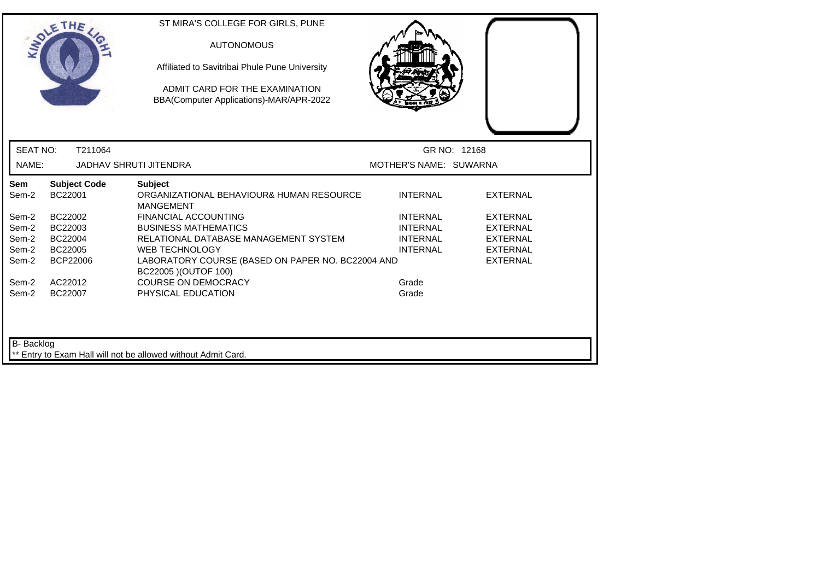|                   | <b>SOLETHE</b>                 | ST MIRA'S COLLEGE FOR GIRLS, PUNE<br><b>AUTONOMOUS</b><br>Affiliated to Savitribai Phule Pune University<br>ADMIT CARD FOR THE EXAMINATION<br>BBA(Computer Applications)-MAR/APR-2022 |                        |                 |
|-------------------|--------------------------------|---------------------------------------------------------------------------------------------------------------------------------------------------------------------------------------|------------------------|-----------------|
| <b>SEAT NO:</b>   | T211064                        |                                                                                                                                                                                       |                        | GR NO: 12168    |
| NAME:             |                                | <b>JADHAV SHRUTI JITENDRA</b>                                                                                                                                                         | MOTHER'S NAME: SUWARNA |                 |
| Sem<br>Sem-2      | <b>Subject Code</b><br>BC22001 | <b>Subject</b><br>ORGANIZATIONAL BEHAVIOUR& HUMAN RESOURCE<br><b>MANGEMENT</b>                                                                                                        | <b>INTERNAL</b>        | <b>EXTERNAL</b> |
| Sem-2             | BC22002                        | <b>FINANCIAL ACCOUNTING</b>                                                                                                                                                           | <b>INTERNAL</b>        | <b>EXTERNAL</b> |
| Sem-2             | BC22003                        | <b>BUSINESS MATHEMATICS</b>                                                                                                                                                           | <b>INTERNAL</b>        | <b>EXTERNAL</b> |
| Sem-2             | BC22004                        | RELATIONAL DATABASE MANAGEMENT SYSTEM                                                                                                                                                 | <b>INTERNAL</b>        | <b>EXTERNAL</b> |
| Sem-2             | BC22005                        | <b>WEB TECHNOLOGY</b>                                                                                                                                                                 | <b>INTERNAL</b>        | <b>EXTERNAL</b> |
| Sem-2             | <b>BCP22006</b>                | LABORATORY COURSE (BASED ON PAPER NO. BC22004 AND<br>BC22005 ) (OUTOF 100)                                                                                                            |                        | <b>EXTERNAL</b> |
| Sem-2             | AC22012                        | <b>COURSE ON DEMOCRACY</b>                                                                                                                                                            | Grade                  |                 |
| Sem-2             | BC22007                        | PHYSICAL EDUCATION                                                                                                                                                                    | Grade                  |                 |
| <b>B-</b> Backlog |                                | ** Entry to Exam Hall will not be allowed without Admit Card.                                                                                                                         |                        |                 |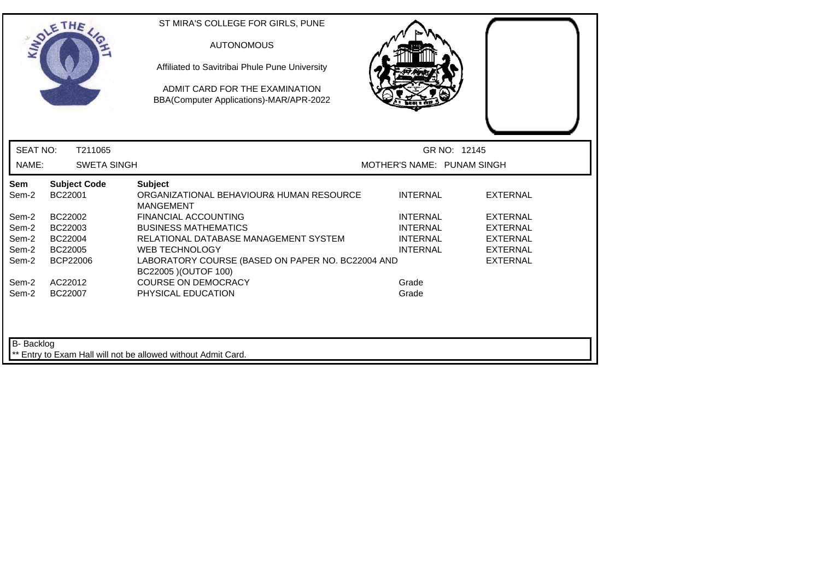| GR NO: 12145<br>MOTHER'S NAME: PUNAM SINGH        |                 |
|---------------------------------------------------|-----------------|
|                                                   |                 |
|                                                   |                 |
| <b>INTERNAL</b>                                   | <b>EXTERNAL</b> |
| <b>INTERNAL</b>                                   | <b>EXTERNAL</b> |
| <b>INTERNAL</b>                                   | <b>EXTERNAL</b> |
| <b>INTERNAL</b>                                   | <b>EXTERNAL</b> |
| <b>INTERNAL</b>                                   | <b>EXTERNAL</b> |
| LABORATORY COURSE (BASED ON PAPER NO. BC22004 AND | <b>EXTERNAL</b> |
| Grade                                             |                 |
| Grade                                             |                 |
|                                                   |                 |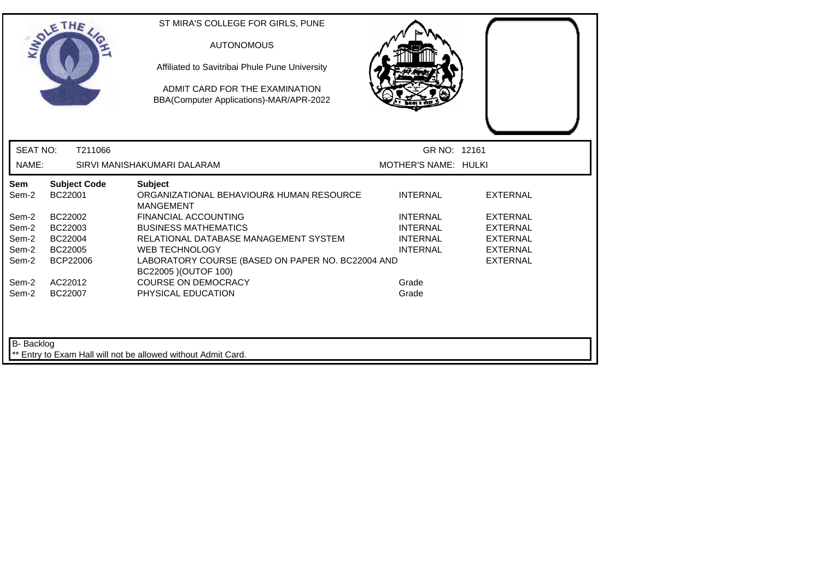|                 | SOLETHE .                      | ST MIRA'S COLLEGE FOR GIRLS, PUNE<br><b>AUTONOMOUS</b><br>Affiliated to Savitribai Phule Pune University<br>ADMIT CARD FOR THE EXAMINATION<br>BBA(Computer Applications)-MAR/APR-2022 |                                    |                                    |
|-----------------|--------------------------------|---------------------------------------------------------------------------------------------------------------------------------------------------------------------------------------|------------------------------------|------------------------------------|
| <b>SEAT NO:</b> | T211066                        |                                                                                                                                                                                       | GR NO: 12161                       |                                    |
| NAME:           |                                | SIRVI MANISHAKUMARI DALARAM                                                                                                                                                           | MOTHER'S NAME: HULKI               |                                    |
| Sem<br>Sem-2    | <b>Subject Code</b><br>BC22001 | <b>Subject</b><br>ORGANIZATIONAL BEHAVIOUR& HUMAN RESOURCE<br><b>MANGEMENT</b>                                                                                                        | <b>INTERNAL</b>                    | <b>EXTERNAL</b>                    |
| Sem-2           | BC22002                        | <b>FINANCIAL ACCOUNTING</b>                                                                                                                                                           | <b>INTERNAL</b>                    | <b>EXTERNAL</b>                    |
| Sem-2<br>Sem-2  | BC22003<br>BC22004             | <b>BUSINESS MATHEMATICS</b><br>RELATIONAL DATABASE MANAGEMENT SYSTEM                                                                                                                  | <b>INTERNAL</b><br><b>INTERNAL</b> | <b>EXTERNAL</b><br><b>EXTERNAL</b> |
| Sem-2           | BC22005                        | <b>WEB TECHNOLOGY</b>                                                                                                                                                                 | <b>INTERNAL</b>                    | <b>EXTERNAL</b>                    |
| Sem-2           | <b>BCP22006</b>                | LABORATORY COURSE (BASED ON PAPER NO. BC22004 AND<br>BC22005 ) (OUTOF 100)                                                                                                            |                                    | <b>EXTERNAL</b>                    |
| Sem-2           | AC22012                        | <b>COURSE ON DEMOCRACY</b>                                                                                                                                                            | Grade                              |                                    |
| Sem-2           | BC22007                        | PHYSICAL EDUCATION                                                                                                                                                                    | Grade                              |                                    |
| B- Backlog      |                                | Entry to Exam Hall will not be allowed without Admit Card.                                                                                                                            |                                    |                                    |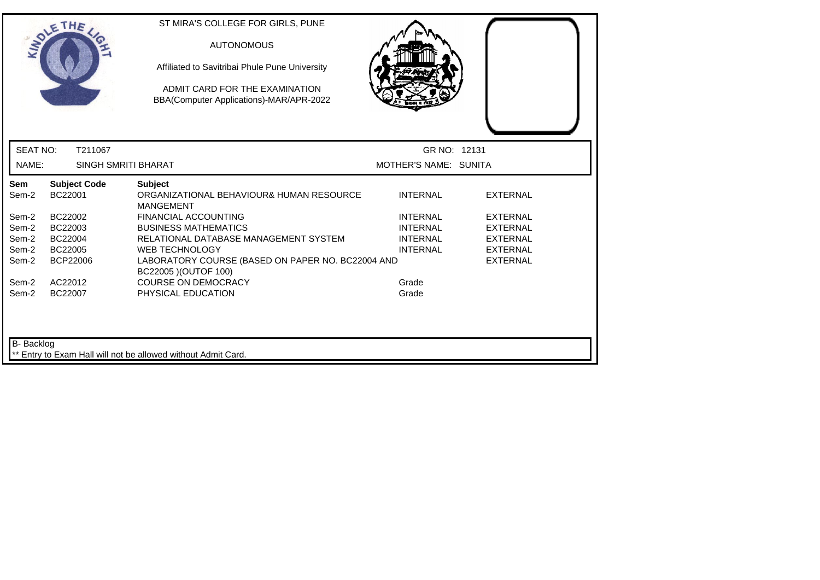|                 | THE                            | ST MIRA'S COLLEGE FOR GIRLS, PUNE<br><b>AUTONOMOUS</b><br>Affiliated to Savitribai Phule Pune University<br>ADMIT CARD FOR THE EXAMINATION<br>BBA(Computer Applications)-MAR/APR-2022 |                       |                 |  |
|-----------------|--------------------------------|---------------------------------------------------------------------------------------------------------------------------------------------------------------------------------------|-----------------------|-----------------|--|
| <b>SEAT NO:</b> | T211067                        |                                                                                                                                                                                       | GR NO: 12131          |                 |  |
| NAME:           | <b>SINGH SMRITI BHARAT</b>     |                                                                                                                                                                                       | MOTHER'S NAME: SUNITA |                 |  |
| Sem<br>Sem-2    | <b>Subject Code</b><br>BC22001 | <b>Subject</b><br>ORGANIZATIONAL BEHAVIOUR& HUMAN RESOURCE<br><b>MANGEMENT</b>                                                                                                        | <b>INTERNAL</b>       | <b>EXTERNAL</b> |  |
| Sem-2           | BC22002                        | <b>FINANCIAL ACCOUNTING</b>                                                                                                                                                           | <b>INTERNAL</b>       | <b>EXTERNAL</b> |  |
| Sem-2           | BC22003                        | <b>BUSINESS MATHEMATICS</b>                                                                                                                                                           | <b>INTERNAL</b>       | <b>EXTERNAL</b> |  |
| Sem-2           | BC22004                        | RELATIONAL DATABASE MANAGEMENT SYSTEM                                                                                                                                                 | <b>INTERNAL</b>       | <b>EXTERNAL</b> |  |
| Sem-2           | BC22005                        | <b>WEB TECHNOLOGY</b>                                                                                                                                                                 | <b>INTERNAL</b>       | <b>EXTERNAL</b> |  |
| Sem-2           | <b>BCP22006</b>                | LABORATORY COURSE (BASED ON PAPER NO. BC22004 AND<br>BC22005 ) (OUTOF 100)                                                                                                            |                       | <b>EXTERNAL</b> |  |
| Sem-2           | AC22012                        | <b>COURSE ON DEMOCRACY</b>                                                                                                                                                            | Grade                 |                 |  |
| Sem-2           | BC22007                        | PHYSICAL EDUCATION                                                                                                                                                                    | Grade                 |                 |  |
| B- Backlog      |                                | Entry to Exam Hall will not be allowed without Admit Card.                                                                                                                            |                       |                 |  |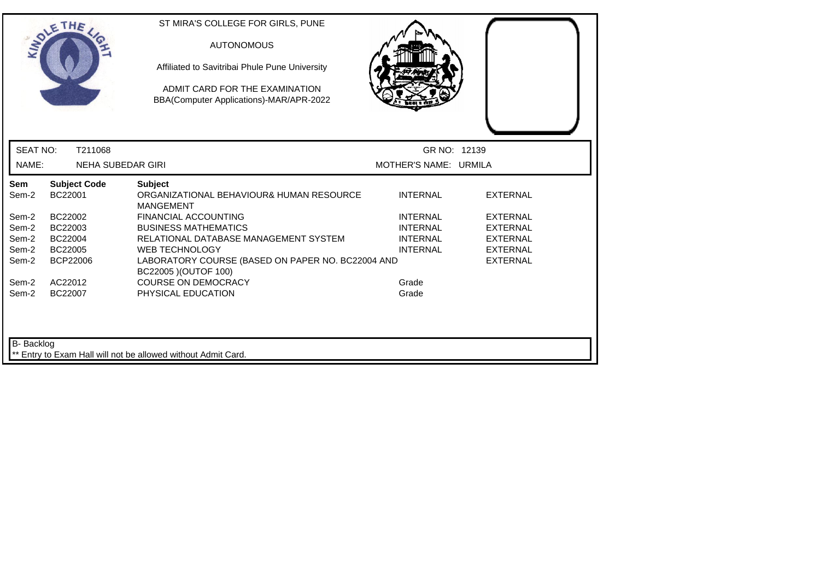|                 | THE                            | ST MIRA'S COLLEGE FOR GIRLS, PUNE<br><b>AUTONOMOUS</b><br>Affiliated to Savitribai Phule Pune University<br>ADMIT CARD FOR THE EXAMINATION<br>BBA(Computer Applications)-MAR/APR-2022 |                       |                 |
|-----------------|--------------------------------|---------------------------------------------------------------------------------------------------------------------------------------------------------------------------------------|-----------------------|-----------------|
| <b>SEAT NO:</b> | T211068                        |                                                                                                                                                                                       | GR NO: 12139          |                 |
| NAME:           | <b>NEHA SUBEDAR GIRI</b>       |                                                                                                                                                                                       | MOTHER'S NAME: URMILA |                 |
| Sem<br>Sem-2    | <b>Subject Code</b><br>BC22001 | <b>Subject</b><br>ORGANIZATIONAL BEHAVIOUR& HUMAN RESOURCE<br><b>MANGEMENT</b>                                                                                                        | <b>INTERNAL</b>       | <b>EXTERNAL</b> |
| Sem-2           | BC22002                        | <b>FINANCIAL ACCOUNTING</b>                                                                                                                                                           | <b>INTERNAL</b>       | <b>EXTERNAL</b> |
| Sem-2           | BC22003                        | <b>BUSINESS MATHEMATICS</b>                                                                                                                                                           | <b>INTERNAL</b>       | <b>EXTERNAL</b> |
| Sem-2           | BC22004                        | RELATIONAL DATABASE MANAGEMENT SYSTEM                                                                                                                                                 | <b>INTERNAL</b>       | <b>EXTERNAL</b> |
| Sem-2           | BC22005                        | <b>WEB TECHNOLOGY</b>                                                                                                                                                                 | <b>INTERNAL</b>       | <b>EXTERNAL</b> |
| Sem-2           | <b>BCP22006</b>                | LABORATORY COURSE (BASED ON PAPER NO. BC22004 AND<br>BC22005 ) (OUTOF 100)                                                                                                            |                       | <b>EXTERNAL</b> |
| Sem-2           | AC22012                        | <b>COURSE ON DEMOCRACY</b>                                                                                                                                                            | Grade                 |                 |
| Sem-2           | BC22007                        | PHYSICAL EDUCATION                                                                                                                                                                    | Grade                 |                 |
| B- Backlog      |                                | Entry to Exam Hall will not be allowed without Admit Card.                                                                                                                            |                       |                 |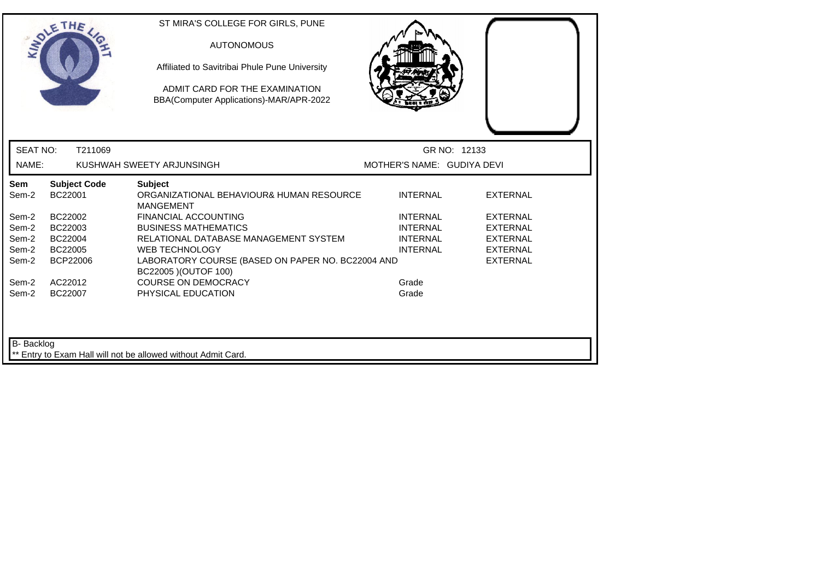|                   | SOLETHE                        | ST MIRA'S COLLEGE FOR GIRLS, PUNE<br><b>AUTONOMOUS</b><br>Affiliated to Savitribai Phule Pune University<br>ADMIT CARD FOR THE EXAMINATION<br>BBA(Computer Applications)-MAR/APR-2022 |                            |                 |
|-------------------|--------------------------------|---------------------------------------------------------------------------------------------------------------------------------------------------------------------------------------|----------------------------|-----------------|
| <b>SEAT NO:</b>   | T211069                        |                                                                                                                                                                                       | GR NO: 12133               |                 |
| NAME:             |                                | KUSHWAH SWEETY ARJUNSINGH                                                                                                                                                             | MOTHER'S NAME: GUDIYA DEVI |                 |
| Sem<br>Sem-2      | <b>Subject Code</b><br>BC22001 | <b>Subject</b><br>ORGANIZATIONAL BEHAVIOUR& HUMAN RESOURCE<br><b>MANGEMENT</b>                                                                                                        | <b>INTERNAL</b>            | <b>EXTERNAL</b> |
| Sem-2             | BC22002                        | <b>FINANCIAL ACCOUNTING</b>                                                                                                                                                           | <b>INTERNAL</b>            | <b>EXTERNAL</b> |
| Sem-2             | BC22003                        | <b>BUSINESS MATHEMATICS</b>                                                                                                                                                           | <b>INTERNAL</b>            | <b>EXTERNAL</b> |
| Sem-2             | BC22004                        | RELATIONAL DATABASE MANAGEMENT SYSTEM                                                                                                                                                 | <b>INTERNAL</b>            | <b>EXTERNAL</b> |
| Sem-2             | BC22005                        | <b>WEB TECHNOLOGY</b>                                                                                                                                                                 | <b>INTERNAL</b>            | <b>EXTERNAL</b> |
| Sem-2             | <b>BCP22006</b>                | LABORATORY COURSE (BASED ON PAPER NO. BC22004 AND<br>BC22005 ) (OUTOF 100)                                                                                                            |                            | <b>EXTERNAL</b> |
| Sem-2             | AC22012                        | <b>COURSE ON DEMOCRACY</b>                                                                                                                                                            | Grade                      |                 |
| Sem-2             | BC22007                        | PHYSICAL EDUCATION                                                                                                                                                                    | Grade                      |                 |
| <b>B-</b> Backlog |                                | ** Entry to Exam Hall will not be allowed without Admit Card.                                                                                                                         |                            |                 |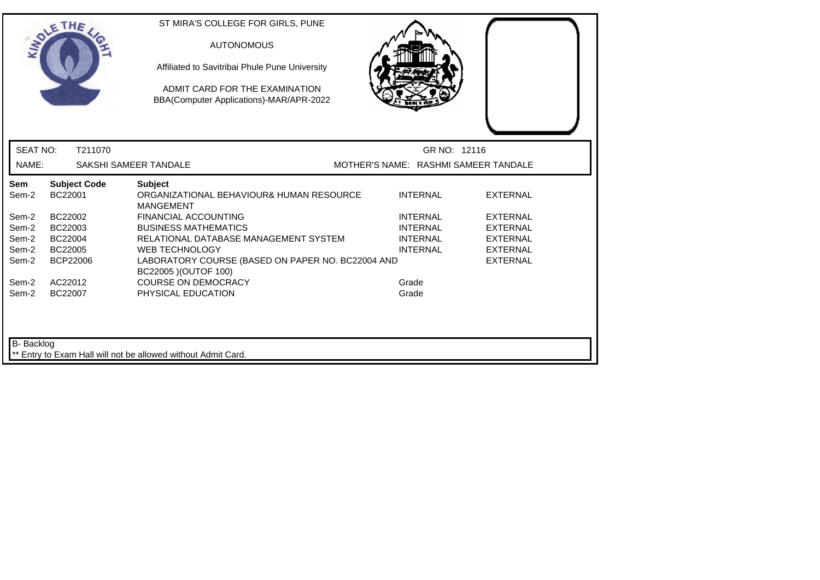|                     | SOLETHE .                      | ST MIRA'S COLLEGE FOR GIRLS, PUNE<br><b>AUTONOMOUS</b><br>Affiliated to Savitribai Phule Pune University<br>ADMIT CARD FOR THE EXAMINATION<br>BBA(Computer Applications)-MAR/APR-2022 |                                      |                                    |
|---------------------|--------------------------------|---------------------------------------------------------------------------------------------------------------------------------------------------------------------------------------|--------------------------------------|------------------------------------|
| <b>SEAT NO:</b>     | T211070                        |                                                                                                                                                                                       | GR NO: 12116                         |                                    |
| NAME:               |                                | SAKSHI SAMEER TANDALE                                                                                                                                                                 | MOTHER'S NAME: RASHMI SAMEER TANDALE |                                    |
| <b>Sem</b><br>Sem-2 | <b>Subject Code</b><br>BC22001 | <b>Subject</b><br>ORGANIZATIONAL BEHAVIOUR& HUMAN RESOURCE<br><b>MANGEMENT</b>                                                                                                        | <b>INTERNAL</b>                      | <b>EXTERNAL</b>                    |
| Sem-2<br>Sem-2      | BC22002<br>BC22003             | FINANCIAL ACCOUNTING<br><b>BUSINESS MATHEMATICS</b>                                                                                                                                   | <b>INTERNAL</b><br><b>INTERNAL</b>   | <b>EXTERNAL</b><br><b>EXTERNAL</b> |
| Sem-2<br>Sem-2      | BC22004<br>BC22005             | RELATIONAL DATABASE MANAGEMENT SYSTEM<br><b>WEB TECHNOLOGY</b>                                                                                                                        | <b>INTERNAL</b><br><b>INTERNAL</b>   | <b>EXTERNAL</b><br><b>EXTERNAL</b> |
| Sem-2               | BCP22006                       | LABORATORY COURSE (BASED ON PAPER NO. BC22004 AND<br>BC22005 ) (OUTOF 100)                                                                                                            |                                      | <b>EXTERNAL</b>                    |
| Sem-2<br>Sem-2      | AC22012<br>BC22007             | <b>COURSE ON DEMOCRACY</b><br>PHYSICAL EDUCATION                                                                                                                                      | Grade<br>Grade                       |                                    |
| B- Backlog          |                                | ** Entry to Exam Hall will not be allowed without Admit Card.                                                                                                                         |                                      |                                    |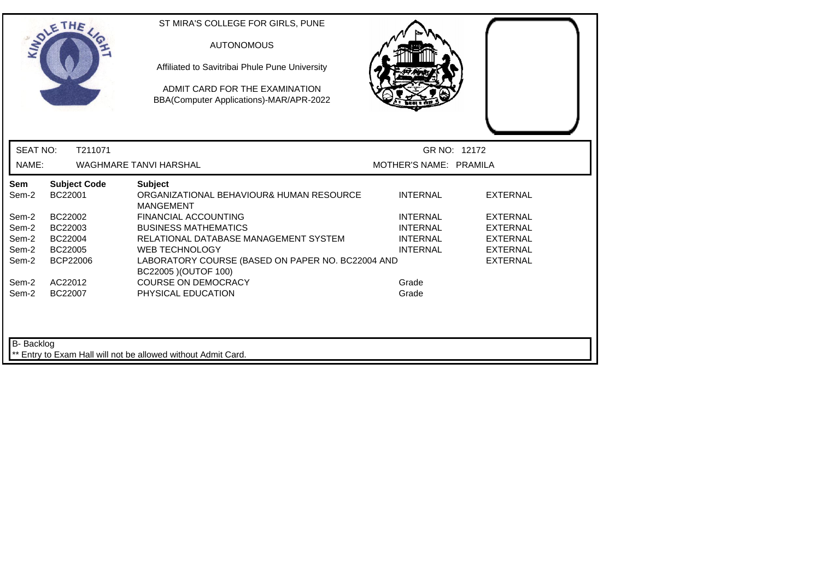|                   | <b>SOLETHE</b>                 | ST MIRA'S COLLEGE FOR GIRLS, PUNE<br><b>AUTONOMOUS</b><br>Affiliated to Savitribai Phule Pune University<br>ADMIT CARD FOR THE EXAMINATION<br>BBA(Computer Applications)-MAR/APR-2022 |                                    |                                    |
|-------------------|--------------------------------|---------------------------------------------------------------------------------------------------------------------------------------------------------------------------------------|------------------------------------|------------------------------------|
| <b>SEAT NO:</b>   | T211071                        |                                                                                                                                                                                       | GR NO: 12172                       |                                    |
| NAME:             |                                | <b>WAGHMARE TANVI HARSHAL</b>                                                                                                                                                         | MOTHER'S NAME: PRAMILA             |                                    |
| Sem<br>Sem-2      | <b>Subject Code</b><br>BC22001 | <b>Subject</b><br>ORGANIZATIONAL BEHAVIOUR& HUMAN RESOURCE<br><b>MANGEMENT</b>                                                                                                        | <b>INTERNAL</b>                    | <b>EXTERNAL</b>                    |
| Sem-2             | BC22002                        | <b>FINANCIAL ACCOUNTING</b>                                                                                                                                                           | <b>INTERNAL</b>                    | <b>EXTERNAL</b>                    |
| Sem-2<br>Sem-2    | BC22003<br>BC22004             | <b>BUSINESS MATHEMATICS</b><br>RELATIONAL DATABASE MANAGEMENT SYSTEM                                                                                                                  | <b>INTERNAL</b><br><b>INTERNAL</b> | <b>EXTERNAL</b><br><b>EXTERNAL</b> |
| Sem-2             | BC22005                        | <b>WEB TECHNOLOGY</b>                                                                                                                                                                 | <b>INTERNAL</b>                    | <b>EXTERNAL</b>                    |
| Sem-2             | <b>BCP22006</b>                | LABORATORY COURSE (BASED ON PAPER NO. BC22004 AND<br>BC22005 ) (OUTOF 100)                                                                                                            |                                    | <b>EXTERNAL</b>                    |
| Sem-2             | AC22012                        | <b>COURSE ON DEMOCRACY</b>                                                                                                                                                            | Grade                              |                                    |
| Sem-2             | BC22007                        | PHYSICAL EDUCATION                                                                                                                                                                    | Grade                              |                                    |
| <b>B-</b> Backlog |                                | ** Entry to Exam Hall will not be allowed without Admit Card.                                                                                                                         |                                    |                                    |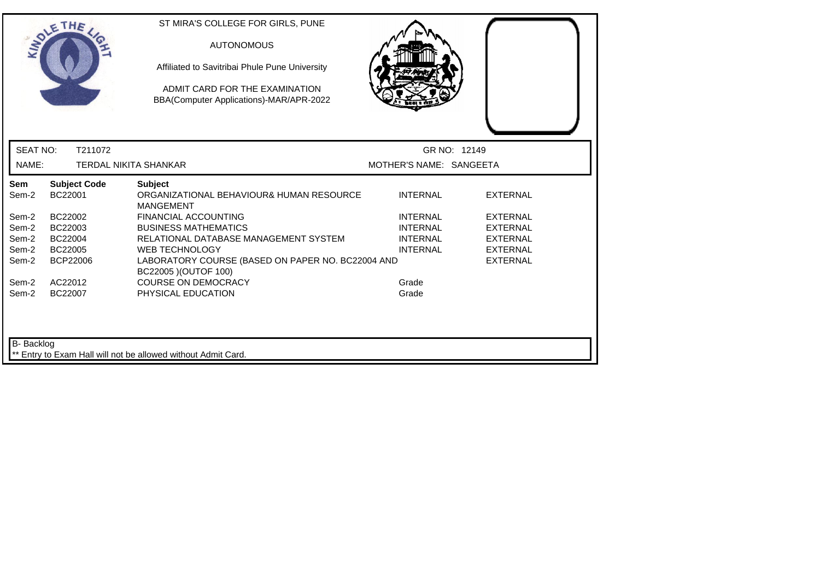|                   | <b>SOLETHE</b>                 | ST MIRA'S COLLEGE FOR GIRLS, PUNE<br><b>AUTONOMOUS</b><br>Affiliated to Savitribai Phule Pune University<br>ADMIT CARD FOR THE EXAMINATION<br>BBA(Computer Applications)-MAR/APR-2022 |                         |                 |
|-------------------|--------------------------------|---------------------------------------------------------------------------------------------------------------------------------------------------------------------------------------|-------------------------|-----------------|
| <b>SEAT NO:</b>   | T211072                        |                                                                                                                                                                                       |                         | GR NO: 12149    |
| NAME:             |                                | <b>TERDAL NIKITA SHANKAR</b>                                                                                                                                                          | MOTHER'S NAME: SANGEETA |                 |
| Sem<br>Sem-2      | <b>Subject Code</b><br>BC22001 | <b>Subject</b><br>ORGANIZATIONAL BEHAVIOUR& HUMAN RESOURCE<br><b>MANGEMENT</b>                                                                                                        | <b>INTERNAL</b>         | <b>EXTERNAL</b> |
| Sem-2             | BC22002                        | <b>FINANCIAL ACCOUNTING</b>                                                                                                                                                           | <b>INTERNAL</b>         | <b>EXTERNAL</b> |
| Sem-2             | BC22003                        | <b>BUSINESS MATHEMATICS</b>                                                                                                                                                           | <b>INTERNAL</b>         | <b>EXTERNAL</b> |
| Sem-2             | BC22004                        | RELATIONAL DATABASE MANAGEMENT SYSTEM                                                                                                                                                 | <b>INTERNAL</b>         | <b>EXTERNAL</b> |
| Sem-2             | BC22005                        | <b>WEB TECHNOLOGY</b>                                                                                                                                                                 | <b>INTERNAL</b>         | <b>EXTERNAL</b> |
| Sem-2             | BCP22006                       | LABORATORY COURSE (BASED ON PAPER NO. BC22004 AND<br>BC22005 ) (OUTOF 100)                                                                                                            |                         | <b>EXTERNAL</b> |
| Sem-2             | AC22012                        | <b>COURSE ON DEMOCRACY</b>                                                                                                                                                            | Grade                   |                 |
| Sem-2             | BC22007                        | PHYSICAL EDUCATION                                                                                                                                                                    | Grade                   |                 |
| <b>B-</b> Backlog |                                | ** Entry to Exam Hall will not be allowed without Admit Card.                                                                                                                         |                         |                 |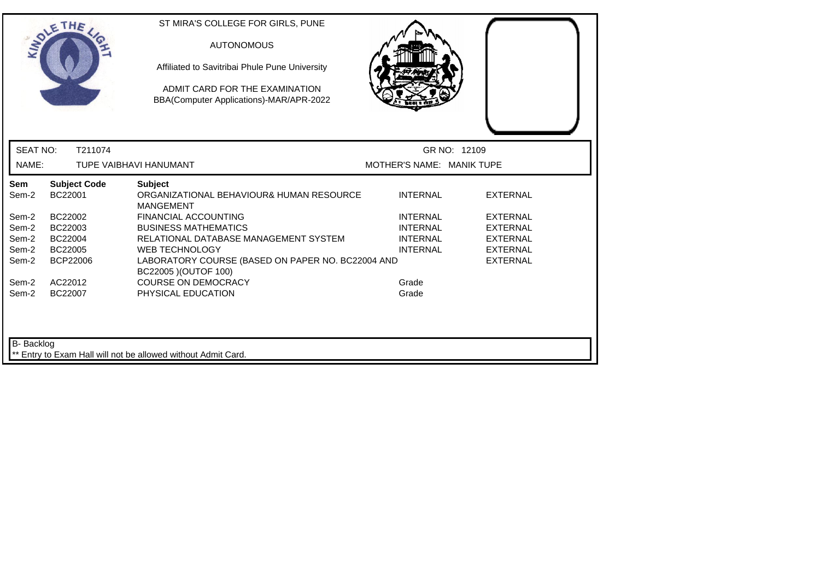|                                                | ADMIT CARD FOR THE EXAMINATION<br>BBA(Computer Applications)-MAR/APR-2022      |                                  |                 |
|------------------------------------------------|--------------------------------------------------------------------------------|----------------------------------|-----------------|
| <b>SEAT NO:</b><br>T211074                     |                                                                                | GR NO: 12109                     |                 |
| NAME:                                          | TUPE VAIBHAVI HANUMANT                                                         | <b>MOTHER'S NAME: MANIK TUPE</b> |                 |
| Sem<br><b>Subject Code</b><br>BC22001<br>Sem-2 | <b>Subject</b><br>ORGANIZATIONAL BEHAVIOUR& HUMAN RESOURCE<br><b>MANGEMENT</b> | <b>INTERNAL</b>                  | <b>EXTERNAL</b> |
| BC22002<br>Sem-2                               | <b>FINANCIAL ACCOUNTING</b>                                                    | <b>INTERNAL</b>                  | <b>EXTERNAL</b> |
| BC22003<br>Sem-2                               | <b>BUSINESS MATHEMATICS</b>                                                    | <b>INTERNAL</b>                  | <b>EXTERNAL</b> |
| Sem-2<br>BC22004                               | RELATIONAL DATABASE MANAGEMENT SYSTEM                                          | <b>INTERNAL</b>                  | <b>EXTERNAL</b> |
| Sem-2<br>BC22005                               | <b>WEB TECHNOLOGY</b>                                                          | <b>INTERNAL</b>                  | <b>EXTERNAL</b> |
| Sem-2<br><b>BCP22006</b>                       | LABORATORY COURSE (BASED ON PAPER NO. BC22004 AND<br>BC22005 ) (OUTOF 100)     |                                  | <b>EXTERNAL</b> |
| Sem-2<br>AC22012                               | <b>COURSE ON DEMOCRACY</b>                                                     | Grade                            |                 |
| Sem-2<br>BC22007                               | PHYSICAL EDUCATION                                                             | Grade                            |                 |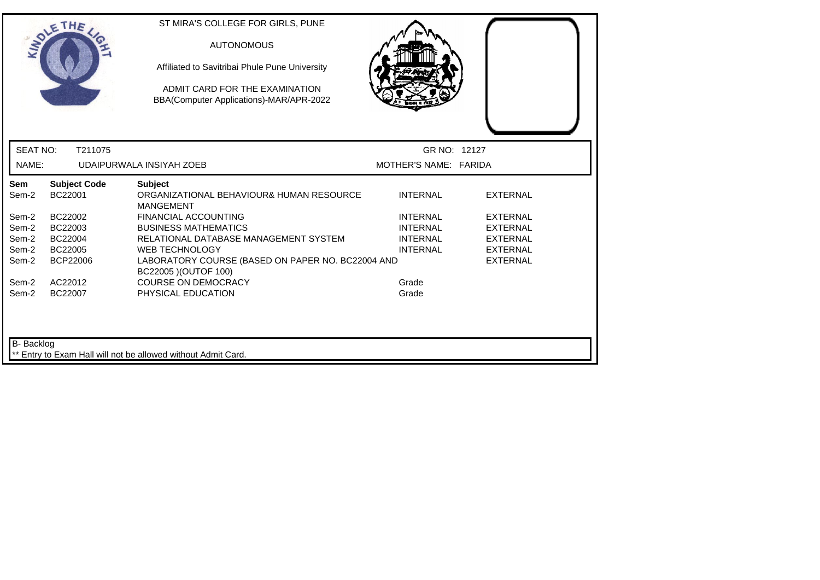|                   | OLETHE                         | ST MIRA'S COLLEGE FOR GIRLS, PUNE<br><b>AUTONOMOUS</b><br>Affiliated to Savitribai Phule Pune University<br>ADMIT CARD FOR THE EXAMINATION<br>BBA(Computer Applications)-MAR/APR-2022 |                       |                 |  |
|-------------------|--------------------------------|---------------------------------------------------------------------------------------------------------------------------------------------------------------------------------------|-----------------------|-----------------|--|
| <b>SEAT NO:</b>   | T211075                        |                                                                                                                                                                                       | GR NO: 12127          |                 |  |
| NAME:             |                                | UDAIPURWALA INSIYAH ZOEB                                                                                                                                                              | MOTHER'S NAME: FARIDA |                 |  |
| Sem<br>Sem-2      | <b>Subject Code</b><br>BC22001 | <b>Subject</b><br>ORGANIZATIONAL BEHAVIOUR& HUMAN RESOURCE<br><b>MANGEMENT</b>                                                                                                        | <b>INTERNAL</b>       | <b>EXTERNAL</b> |  |
| Sem-2             | BC22002                        | <b>FINANCIAL ACCOUNTING</b>                                                                                                                                                           | <b>INTERNAL</b>       | <b>EXTERNAL</b> |  |
| Sem-2             | BC22003                        | <b>BUSINESS MATHEMATICS</b>                                                                                                                                                           | <b>INTERNAL</b>       | <b>EXTERNAL</b> |  |
| Sem-2             | BC22004                        | RELATIONAL DATABASE MANAGEMENT SYSTEM                                                                                                                                                 | <b>INTERNAL</b>       | <b>EXTERNAL</b> |  |
| Sem-2             | BC22005                        | <b>WEB TECHNOLOGY</b>                                                                                                                                                                 | <b>INTERNAL</b>       | <b>EXTERNAL</b> |  |
| Sem-2             | BCP22006                       | LABORATORY COURSE (BASED ON PAPER NO. BC22004 AND<br>BC22005 ) (OUTOF 100)                                                                                                            |                       | <b>EXTERNAL</b> |  |
| Sem-2             | AC22012                        | <b>COURSE ON DEMOCRACY</b>                                                                                                                                                            | Grade                 |                 |  |
| Sem-2             | BC22007                        | PHYSICAL EDUCATION                                                                                                                                                                    | Grade                 |                 |  |
| <b>B-</b> Backlog |                                | ** Entry to Exam Hall will not be allowed without Admit Card.                                                                                                                         |                       |                 |  |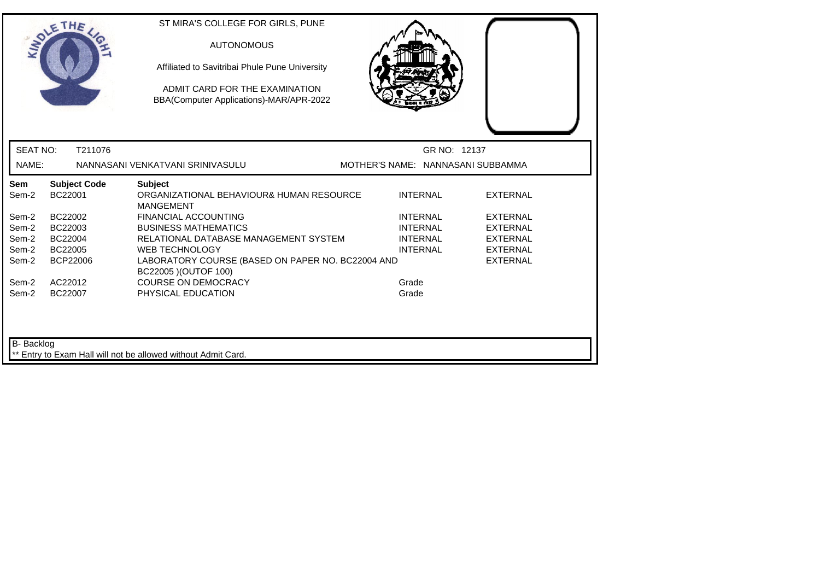|                   | SOLETHE .                      | ST MIRA'S COLLEGE FOR GIRLS, PUNE<br><b>AUTONOMOUS</b><br>Affiliated to Savitribai Phule Pune University<br>ADMIT CARD FOR THE EXAMINATION<br>BBA(Computer Applications)-MAR/APR-2022 |                                   |              |                 |
|-------------------|--------------------------------|---------------------------------------------------------------------------------------------------------------------------------------------------------------------------------------|-----------------------------------|--------------|-----------------|
| <b>SEAT NO:</b>   | T211076                        |                                                                                                                                                                                       |                                   | GR NO: 12137 |                 |
| NAME:             |                                | NANNASANI VENKATVANI SRINIVASULU                                                                                                                                                      | MOTHER'S NAME: NANNASANI SUBBAMMA |              |                 |
| Sem<br>Sem-2      | <b>Subject Code</b><br>BC22001 | <b>Subject</b><br>ORGANIZATIONAL BEHAVIOUR& HUMAN RESOURCE<br><b>MANGEMENT</b>                                                                                                        | <b>INTERNAL</b>                   |              | <b>EXTERNAL</b> |
| Sem-2             | BC22002                        | <b>FINANCIAL ACCOUNTING</b>                                                                                                                                                           | <b>INTERNAL</b>                   |              | <b>EXTERNAL</b> |
| Sem-2             | BC22003                        | <b>BUSINESS MATHEMATICS</b>                                                                                                                                                           | <b>INTERNAL</b>                   |              | <b>EXTERNAL</b> |
| Sem-2             | BC22004                        | RELATIONAL DATABASE MANAGEMENT SYSTEM                                                                                                                                                 | <b>INTERNAL</b>                   |              | <b>EXTERNAL</b> |
| Sem-2             | BC22005                        | <b>WEB TECHNOLOGY</b>                                                                                                                                                                 | <b>INTERNAL</b>                   |              | <b>EXTERNAL</b> |
| Sem-2             | <b>BCP22006</b>                | LABORATORY COURSE (BASED ON PAPER NO. BC22004 AND<br>BC22005 ) (OUTOF 100)                                                                                                            |                                   |              | <b>EXTERNAL</b> |
| Sem-2             | AC22012                        | <b>COURSE ON DEMOCRACY</b>                                                                                                                                                            | Grade                             |              |                 |
| Sem-2             | BC22007                        | PHYSICAL EDUCATION                                                                                                                                                                    | Grade                             |              |                 |
| <b>B-</b> Backlog |                                | ** Entry to Exam Hall will not be allowed without Admit Card.                                                                                                                         |                                   |              |                 |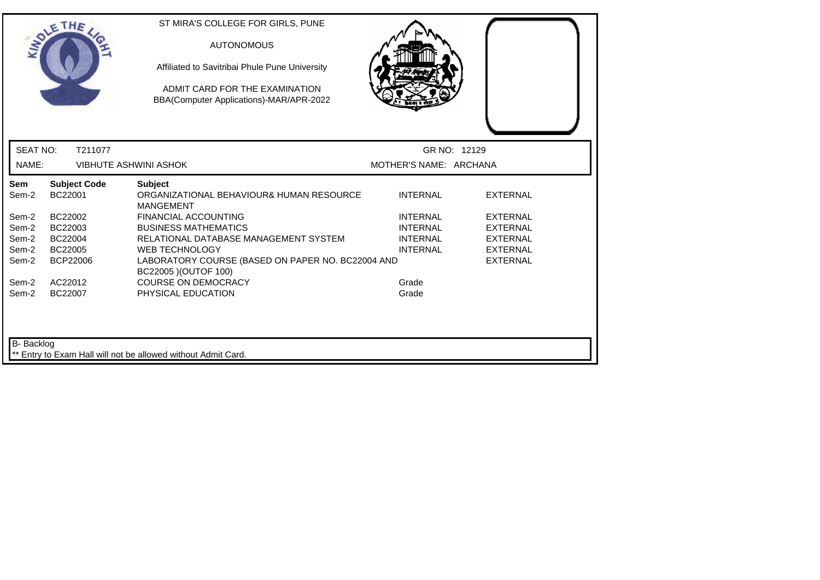|                   | <b>SOLETHE</b>                 | ST MIRA'S COLLEGE FOR GIRLS, PUNE<br><b>AUTONOMOUS</b><br>Affiliated to Savitribai Phule Pune University<br>ADMIT CARD FOR THE EXAMINATION<br>BBA(Computer Applications)-MAR/APR-2022 |                        |                 |
|-------------------|--------------------------------|---------------------------------------------------------------------------------------------------------------------------------------------------------------------------------------|------------------------|-----------------|
| <b>SEAT NO:</b>   | T211077                        |                                                                                                                                                                                       |                        | GR NO: 12129    |
| NAME:             |                                | <b>VIBHUTE ASHWINI ASHOK</b>                                                                                                                                                          | MOTHER'S NAME: ARCHANA |                 |
| Sem<br>Sem-2      | <b>Subject Code</b><br>BC22001 | <b>Subject</b><br>ORGANIZATIONAL BEHAVIOUR& HUMAN RESOURCE<br><b>MANGEMENT</b>                                                                                                        | <b>INTERNAL</b>        | <b>EXTERNAL</b> |
| Sem-2             | BC22002                        | <b>FINANCIAL ACCOUNTING</b>                                                                                                                                                           | <b>INTERNAL</b>        | <b>EXTERNAL</b> |
| Sem-2             | BC22003                        | <b>BUSINESS MATHEMATICS</b>                                                                                                                                                           | <b>INTERNAL</b>        | <b>EXTERNAL</b> |
| Sem-2             | BC22004                        | RELATIONAL DATABASE MANAGEMENT SYSTEM                                                                                                                                                 | <b>INTERNAL</b>        | <b>EXTERNAL</b> |
| Sem-2             | BC22005                        | <b>WEB TECHNOLOGY</b>                                                                                                                                                                 | <b>INTERNAL</b>        | <b>EXTERNAL</b> |
| Sem-2             | BCP22006                       | LABORATORY COURSE (BASED ON PAPER NO. BC22004 AND<br>BC22005 ) (OUTOF 100)                                                                                                            |                        | <b>EXTERNAL</b> |
| Sem-2             | AC22012                        | <b>COURSE ON DEMOCRACY</b>                                                                                                                                                            | Grade                  |                 |
| Sem-2             | BC22007                        | PHYSICAL EDUCATION                                                                                                                                                                    | Grade                  |                 |
| <b>B-</b> Backlog |                                | ** Entry to Exam Hall will not be allowed without Admit Card.                                                                                                                         |                        |                 |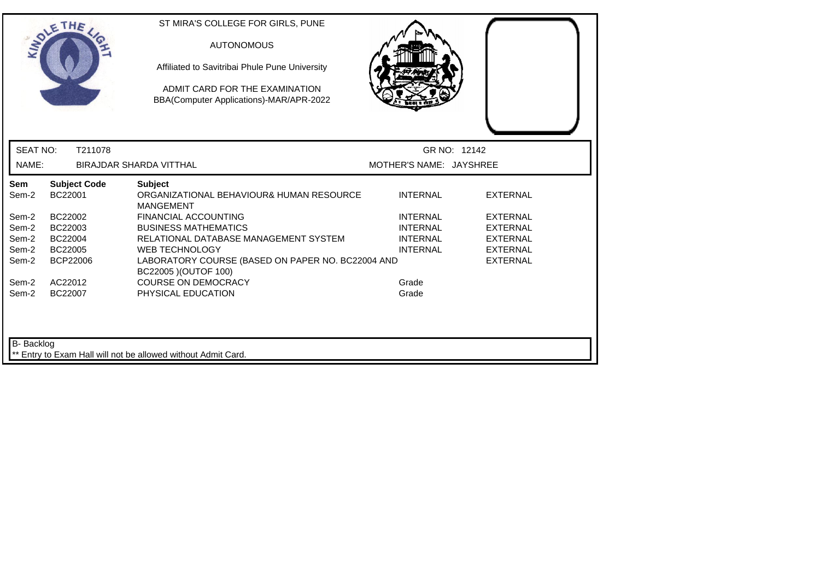|                   | SOLETHE .                      | ST MIRA'S COLLEGE FOR GIRLS, PUNE<br><b>AUTONOMOUS</b><br>Affiliated to Savitribai Phule Pune University<br>ADMIT CARD FOR THE EXAMINATION<br>BBA(Computer Applications)-MAR/APR-2022 |                         |                 |
|-------------------|--------------------------------|---------------------------------------------------------------------------------------------------------------------------------------------------------------------------------------|-------------------------|-----------------|
| <b>SEAT NO:</b>   | T211078                        |                                                                                                                                                                                       | GR NO: 12142            |                 |
| NAME:             |                                | <b>BIRAJDAR SHARDA VITTHAL</b>                                                                                                                                                        | MOTHER'S NAME: JAYSHREE |                 |
| Sem<br>Sem-2      | <b>Subject Code</b><br>BC22001 | <b>Subject</b><br>ORGANIZATIONAL BEHAVIOUR& HUMAN RESOURCE<br><b>MANGEMENT</b>                                                                                                        | <b>INTERNAL</b>         | <b>EXTERNAL</b> |
| Sem-2             | BC22002                        | <b>FINANCIAL ACCOUNTING</b>                                                                                                                                                           | <b>INTERNAL</b>         | <b>EXTERNAL</b> |
| Sem-2             | BC22003                        | <b>BUSINESS MATHEMATICS</b>                                                                                                                                                           | <b>INTERNAL</b>         | <b>EXTERNAL</b> |
| Sem-2             | BC22004                        | RELATIONAL DATABASE MANAGEMENT SYSTEM                                                                                                                                                 | <b>INTERNAL</b>         | <b>EXTERNAL</b> |
| Sem-2             | BC22005                        | <b>WEB TECHNOLOGY</b>                                                                                                                                                                 | <b>INTERNAL</b>         | <b>EXTERNAL</b> |
| Sem-2             | BCP22006                       | LABORATORY COURSE (BASED ON PAPER NO. BC22004 AND<br>BC22005 ) (OUTOF 100)                                                                                                            |                         | <b>EXTERNAL</b> |
| Sem-2             | AC22012                        | <b>COURSE ON DEMOCRACY</b>                                                                                                                                                            | Grade                   |                 |
| Sem-2             | BC22007                        | PHYSICAL EDUCATION                                                                                                                                                                    | Grade                   |                 |
| <b>B-</b> Backlog |                                | ** Entry to Exam Hall will not be allowed without Admit Card.                                                                                                                         |                         |                 |